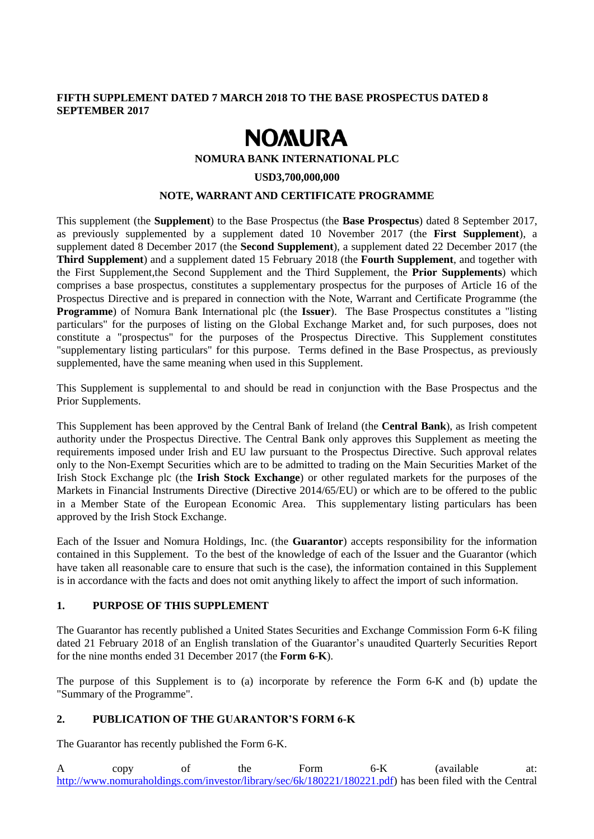# **FIFTH SUPPLEMENT DATED 7 MARCH 2018 TO THE BASE PROSPECTUS DATED 8 SEPTEMBER 2017**

# **NOMURA**

#### **NOMURA BANK INTERNATIONAL PLC**

#### **USD3,700,000,000**

#### **NOTE, WARRANT AND CERTIFICATE PROGRAMME**

This supplement (the **Supplement**) to the Base Prospectus (the **Base Prospectus**) dated 8 September 2017, as previously supplemented by a supplement dated 10 November 2017 (the **First Supplement**), a supplement dated 8 December 2017 (the **Second Supplement**), a supplement dated 22 December 2017 (the **Third Supplement**) and a supplement dated 15 February 2018 (the **Fourth Supplement**, and together with the First Supplement,the Second Supplement and the Third Supplement, the **Prior Supplements**) which comprises a base prospectus, constitutes a supplementary prospectus for the purposes of Article 16 of the Prospectus Directive and is prepared in connection with the Note, Warrant and Certificate Programme (the **Programme**) of Nomura Bank International plc (the **Issuer**). The Base Prospectus constitutes a "listing particulars" for the purposes of listing on the Global Exchange Market and, for such purposes, does not constitute a "prospectus" for the purposes of the Prospectus Directive. This Supplement constitutes "supplementary listing particulars" for this purpose. Terms defined in the Base Prospectus, as previously supplemented, have the same meaning when used in this Supplement.

This Supplement is supplemental to and should be read in conjunction with the Base Prospectus and the Prior Supplements.

This Supplement has been approved by the Central Bank of Ireland (the **Central Bank**), as Irish competent authority under the Prospectus Directive. The Central Bank only approves this Supplement as meeting the requirements imposed under Irish and EU law pursuant to the Prospectus Directive. Such approval relates only to the Non-Exempt Securities which are to be admitted to trading on the Main Securities Market of the Irish Stock Exchange plc (the **Irish Stock Exchange**) or other regulated markets for the purposes of the Markets in Financial Instruments Directive (Directive 2014/65/EU) or which are to be offered to the public in a Member State of the European Economic Area. This supplementary listing particulars has been approved by the Irish Stock Exchange.

Each of the Issuer and Nomura Holdings, Inc. (the **Guarantor**) accepts responsibility for the information contained in this Supplement. To the best of the knowledge of each of the Issuer and the Guarantor (which have taken all reasonable care to ensure that such is the case), the information contained in this Supplement is in accordance with the facts and does not omit anything likely to affect the import of such information.

# **1. PURPOSE OF THIS SUPPLEMENT**

The Guarantor has recently published a United States Securities and Exchange Commission Form 6-K filing dated 21 February 2018 of an English translation of the Guarantor's unaudited Quarterly Securities Report for the nine months ended 31 December 2017 (the **Form 6-K**).

The purpose of this Supplement is to (a) incorporate by reference the Form 6-K and (b) update the "Summary of the Programme".

#### **2. PUBLICATION OF THE GUARANTOR'S FORM 6-K**

The Guarantor has recently published the Form 6-K.

A copy of the Form 6-K (available at: [http://www.nomuraholdings.com/investor/library/sec/6k/180221/180221.pdf\)](http://www.nomuraholdings.com/investor/library/sec/6k/180221/180221.pdf) has been filed with the Central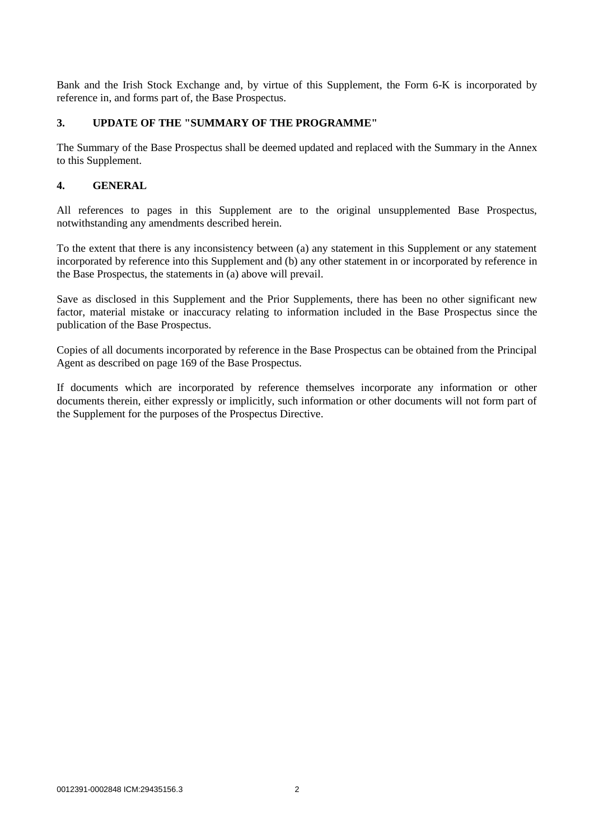Bank and the Irish Stock Exchange and, by virtue of this Supplement, the Form 6-K is incorporated by reference in, and forms part of, the Base Prospectus.

# **3. UPDATE OF THE "SUMMARY OF THE PROGRAMME"**

The Summary of the Base Prospectus shall be deemed updated and replaced with the Summary in the Annex to this Supplement.

# **4. GENERAL**

All references to pages in this Supplement are to the original unsupplemented Base Prospectus, notwithstanding any amendments described herein.

To the extent that there is any inconsistency between (a) any statement in this Supplement or any statement incorporated by reference into this Supplement and (b) any other statement in or incorporated by reference in the Base Prospectus, the statements in (a) above will prevail.

Save as disclosed in this Supplement and the Prior Supplements, there has been no other significant new factor, material mistake or inaccuracy relating to information included in the Base Prospectus since the publication of the Base Prospectus.

Copies of all documents incorporated by reference in the Base Prospectus can be obtained from the Principal Agent as described on page 169 of the Base Prospectus.

If documents which are incorporated by reference themselves incorporate any information or other documents therein, either expressly or implicitly, such information or other documents will not form part of the Supplement for the purposes of the Prospectus Directive.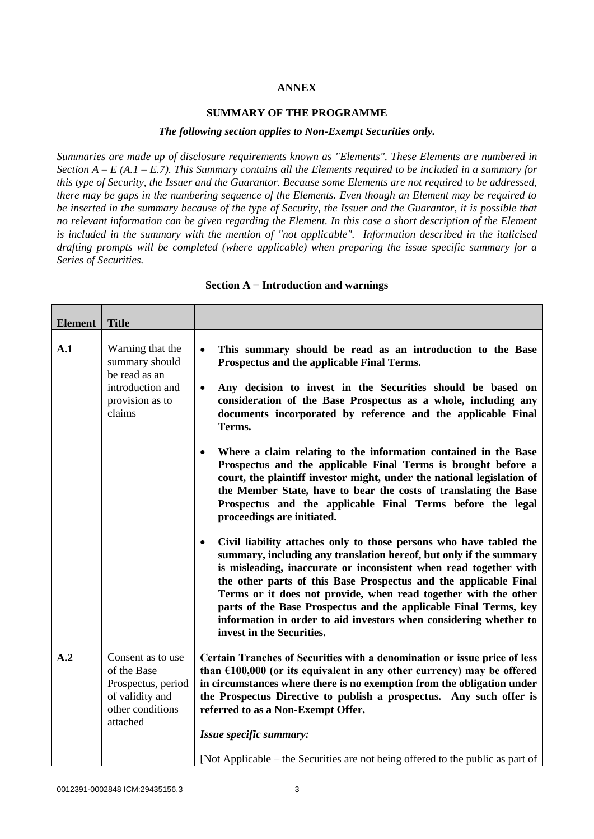# **ANNEX**

#### **SUMMARY OF THE PROGRAMME**

#### *The following section applies to Non-Exempt Securities only.*

*Summaries are made up of disclosure requirements known as "Elements". These Elements are numbered in Section A – E (A.1 – E.7). This Summary contains all the Elements required to be included in a summary for this type of Security, the Issuer and the Guarantor. Because some Elements are not required to be addressed, there may be gaps in the numbering sequence of the Elements. Even though an Element may be required to be inserted in the summary because of the type of Security, the Issuer and the Guarantor, it is possible that no relevant information can be given regarding the Element. In this case a short description of the Element is included in the summary with the mention of "not applicable". Information described in the italicised drafting prompts will be completed (where applicable) when preparing the issue specific summary for a Series of Securities.*

| <b>Element</b> | <b>Title</b>                                                                                         |                                                                                                                                                                                                                                                                                                                                                                                                                                                                                                                                         |
|----------------|------------------------------------------------------------------------------------------------------|-----------------------------------------------------------------------------------------------------------------------------------------------------------------------------------------------------------------------------------------------------------------------------------------------------------------------------------------------------------------------------------------------------------------------------------------------------------------------------------------------------------------------------------------|
| A.1            | Warning that the<br>summary should<br>be read as an<br>introduction and<br>provision as to<br>claims | This summary should be read as an introduction to the Base<br>$\bullet$<br>Prospectus and the applicable Final Terms.<br>Any decision to invest in the Securities should be based on<br>$\bullet$<br>consideration of the Base Prospectus as a whole, including any<br>documents incorporated by reference and the applicable Final<br>Terms.                                                                                                                                                                                           |
|                |                                                                                                      | Where a claim relating to the information contained in the Base<br>$\bullet$<br>Prospectus and the applicable Final Terms is brought before a<br>court, the plaintiff investor might, under the national legislation of<br>the Member State, have to bear the costs of translating the Base<br>Prospectus and the applicable Final Terms before the legal<br>proceedings are initiated.                                                                                                                                                 |
|                |                                                                                                      | Civil liability attaches only to those persons who have tabled the<br>$\bullet$<br>summary, including any translation hereof, but only if the summary<br>is misleading, inaccurate or inconsistent when read together with<br>the other parts of this Base Prospectus and the applicable Final<br>Terms or it does not provide, when read together with the other<br>parts of the Base Prospectus and the applicable Final Terms, key<br>information in order to aid investors when considering whether to<br>invest in the Securities. |
| A.2            | Consent as to use<br>of the Base<br>Prospectus, period<br>of validity and<br>other conditions        | Certain Tranches of Securities with a denomination or issue price of less<br>than $£100,000$ (or its equivalent in any other currency) may be offered<br>in circumstances where there is no exemption from the obligation under<br>the Prospectus Directive to publish a prospectus. Any such offer is<br>referred to as a Non-Exempt Offer.                                                                                                                                                                                            |
|                | attached                                                                                             | Issue specific summary:                                                                                                                                                                                                                                                                                                                                                                                                                                                                                                                 |
|                |                                                                                                      | [Not Applicable – the Securities are not being offered to the public as part of                                                                                                                                                                                                                                                                                                                                                                                                                                                         |

#### **Section A − Introduction and warnings**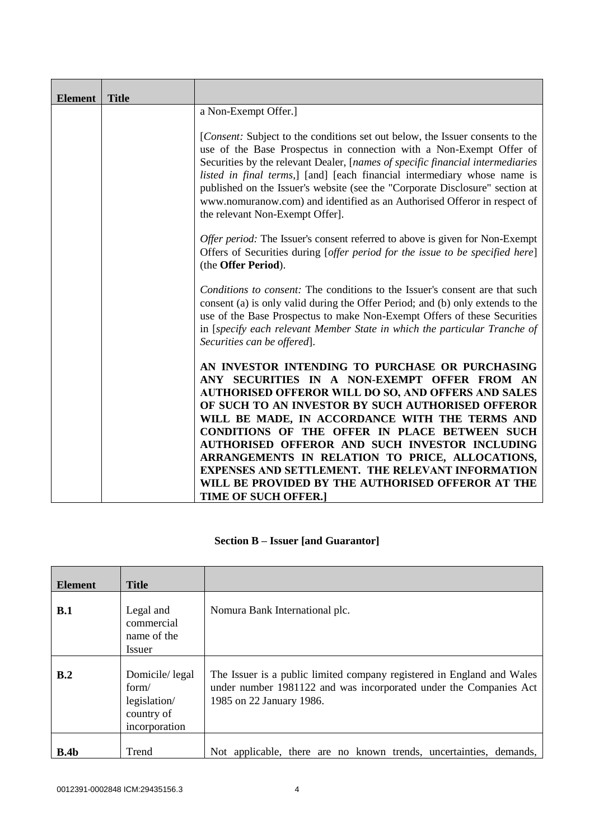| <b>Element</b> | <b>Title</b> |                                                                                                                                                                                                                                                                                                                                                                                                                                                                                                                                                                            |
|----------------|--------------|----------------------------------------------------------------------------------------------------------------------------------------------------------------------------------------------------------------------------------------------------------------------------------------------------------------------------------------------------------------------------------------------------------------------------------------------------------------------------------------------------------------------------------------------------------------------------|
|                |              | a Non-Exempt Offer.]                                                                                                                                                                                                                                                                                                                                                                                                                                                                                                                                                       |
|                |              | [ <i>Consent:</i> Subject to the conditions set out below, the Issuer consents to the<br>use of the Base Prospectus in connection with a Non-Exempt Offer of<br>Securities by the relevant Dealer, [names of specific financial intermediaries<br>listed in final terms,] [and] [each financial intermediary whose name is<br>published on the Issuer's website (see the "Corporate Disclosure" section at<br>www.nomuranow.com) and identified as an Authorised Offeror in respect of<br>the relevant Non-Exempt Offer].                                                  |
|                |              | Offer period: The Issuer's consent referred to above is given for Non-Exempt<br>Offers of Securities during [offer period for the issue to be specified here]<br>(the Offer Period).                                                                                                                                                                                                                                                                                                                                                                                       |
|                |              | Conditions to consent: The conditions to the Issuer's consent are that such<br>consent (a) is only valid during the Offer Period; and (b) only extends to the<br>use of the Base Prospectus to make Non-Exempt Offers of these Securities<br>in [specify each relevant Member State in which the particular Tranche of<br>Securities can be offered].                                                                                                                                                                                                                      |
|                |              | AN INVESTOR INTENDING TO PURCHASE OR PURCHASING<br>ANY SECURITIES IN A NON-EXEMPT OFFER FROM AN<br><b>AUTHORISED OFFEROR WILL DO SO, AND OFFERS AND SALES</b><br>OF SUCH TO AN INVESTOR BY SUCH AUTHORISED OFFEROR<br>WILL BE MADE, IN ACCORDANCE WITH THE TERMS AND<br>CONDITIONS OF THE OFFER IN PLACE BETWEEN SUCH<br>AUTHORISED OFFEROR AND SUCH INVESTOR INCLUDING<br>ARRANGEMENTS IN RELATION TO PRICE, ALLOCATIONS,<br><b>EXPENSES AND SETTLEMENT. THE RELEVANT INFORMATION</b><br>WILL BE PROVIDED BY THE AUTHORISED OFFEROR AT THE<br><b>TIME OF SUCH OFFER.]</b> |

# **Section B – Issuer [and Guarantor]**

| <b>Element</b>   | <b>Title</b>                                                           |                                                                                                                                                                         |
|------------------|------------------------------------------------------------------------|-------------------------------------------------------------------------------------------------------------------------------------------------------------------------|
| B.1              | Legal and<br>commercial<br>name of the<br>Issuer                       | Nomura Bank International plc.                                                                                                                                          |
| B.2              | Domicile/legal<br>form/<br>legislation/<br>country of<br>incorporation | The Issuer is a public limited company registered in England and Wales<br>under number 1981122 and was incorporated under the Companies Act<br>1985 on 22 January 1986. |
| B.4 <sub>b</sub> | Trend                                                                  | Not applicable, there are no known trends, uncertainties, demands,                                                                                                      |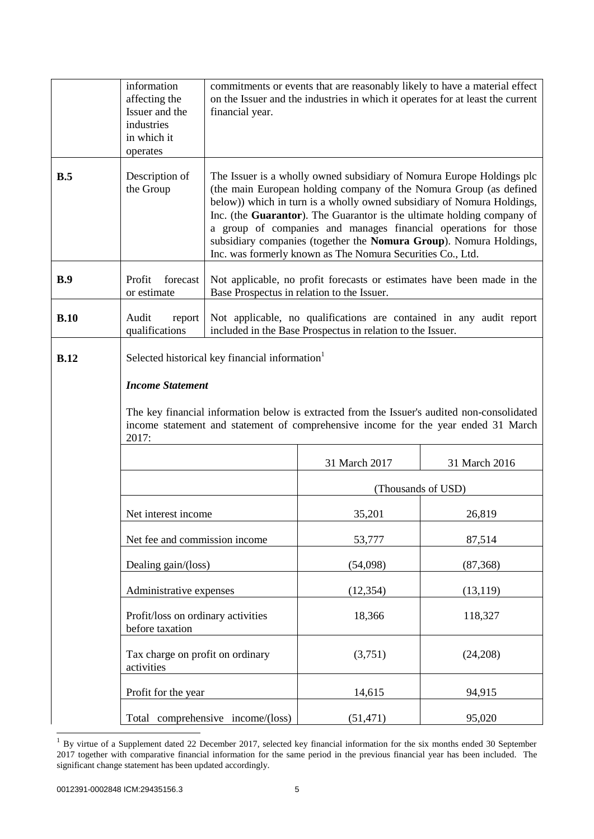|      | information<br>affecting the<br>Issuer and the<br>industries<br>in which it<br>operates | financial year.                                                                                                                                                                                                                                                                                                                                                                                                                                                                                        |               | commitments or events that are reasonably likely to have a material effect<br>on the Issuer and the industries in which it operates for at least the current |
|------|-----------------------------------------------------------------------------------------|--------------------------------------------------------------------------------------------------------------------------------------------------------------------------------------------------------------------------------------------------------------------------------------------------------------------------------------------------------------------------------------------------------------------------------------------------------------------------------------------------------|---------------|--------------------------------------------------------------------------------------------------------------------------------------------------------------|
| B.5  | Description of<br>the Group                                                             | The Issuer is a wholly owned subsidiary of Nomura Europe Holdings plc<br>(the main European holding company of the Nomura Group (as defined<br>below)) which in turn is a wholly owned subsidiary of Nomura Holdings,<br>Inc. (the Guarantor). The Guarantor is the ultimate holding company of<br>a group of companies and manages financial operations for those<br>subsidiary companies (together the Nomura Group). Nomura Holdings,<br>Inc. was formerly known as The Nomura Securities Co., Ltd. |               |                                                                                                                                                              |
| B.9  | Profit<br>forecast<br>or estimate                                                       | Not applicable, no profit forecasts or estimates have been made in the<br>Base Prospectus in relation to the Issuer.                                                                                                                                                                                                                                                                                                                                                                                   |               |                                                                                                                                                              |
| B.10 | Audit<br>report<br>qualifications                                                       | Not applicable, no qualifications are contained in any audit report<br>included in the Base Prospectus in relation to the Issuer.                                                                                                                                                                                                                                                                                                                                                                      |               |                                                                                                                                                              |
| B.12 | <b>Income Statement</b><br>2017:                                                        | Selected historical key financial information<br>The key financial information below is extracted from the Issuer's audited non-consolidated<br>income statement and statement of comprehensive income for the year ended 31 March                                                                                                                                                                                                                                                                     |               |                                                                                                                                                              |
|      |                                                                                         |                                                                                                                                                                                                                                                                                                                                                                                                                                                                                                        | 31 March 2017 | 31 March 2016                                                                                                                                                |
|      |                                                                                         |                                                                                                                                                                                                                                                                                                                                                                                                                                                                                                        |               | (Thousands of USD)                                                                                                                                           |
|      | Net interest income                                                                     |                                                                                                                                                                                                                                                                                                                                                                                                                                                                                                        | 35,201        | 26,819                                                                                                                                                       |
|      | Net fee and commission income                                                           |                                                                                                                                                                                                                                                                                                                                                                                                                                                                                                        | 53,777        | 87,514                                                                                                                                                       |
|      | Dealing gain/(loss)                                                                     |                                                                                                                                                                                                                                                                                                                                                                                                                                                                                                        | (54,098)      | (87, 368)                                                                                                                                                    |
|      |                                                                                         | Administrative expenses                                                                                                                                                                                                                                                                                                                                                                                                                                                                                |               | (13, 119)                                                                                                                                                    |
|      | Profit/loss on ordinary activities<br>before taxation                                   |                                                                                                                                                                                                                                                                                                                                                                                                                                                                                                        | 18,366        | 118,327                                                                                                                                                      |
|      | Tax charge on profit on ordinary<br>activities                                          |                                                                                                                                                                                                                                                                                                                                                                                                                                                                                                        | (3,751)       | (24,208)                                                                                                                                                     |
|      | Profit for the year                                                                     |                                                                                                                                                                                                                                                                                                                                                                                                                                                                                                        | 14,615        | 94,915                                                                                                                                                       |
|      |                                                                                         | Total comprehensive income/(loss)                                                                                                                                                                                                                                                                                                                                                                                                                                                                      | (51, 471)     | 95,020                                                                                                                                                       |

 1 By virtue of a Supplement dated 22 December 2017, selected key financial information for the six months ended 30 September 2017 together with comparative financial information for the same period in the previous financial year has been included. The significant change statement has been updated accordingly.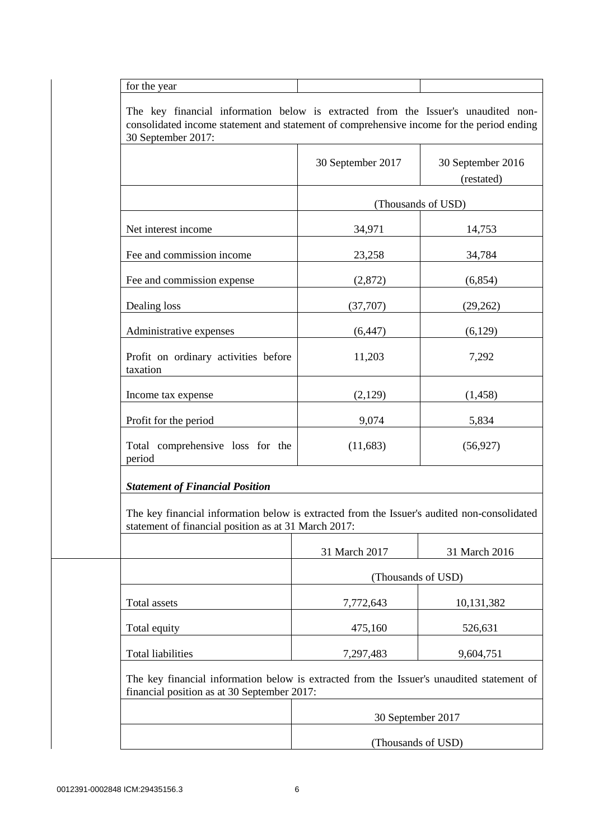for the year

The key financial information below is extracted from the Issuer's unaudited nonconsolidated income statement and statement of comprehensive income for the period ending 30 September 2017:

|                                                                                                                                                     | 30 September 2017  | 30 September 2016<br>(restated) |
|-----------------------------------------------------------------------------------------------------------------------------------------------------|--------------------|---------------------------------|
|                                                                                                                                                     |                    | (Thousands of USD)              |
| Net interest income                                                                                                                                 | 34,971             | 14,753                          |
| Fee and commission income                                                                                                                           | 23,258             | 34,784                          |
| Fee and commission expense                                                                                                                          | (2,872)            | (6, 854)                        |
| Dealing loss                                                                                                                                        | (37,707)           | (29, 262)                       |
| Administrative expenses                                                                                                                             | (6, 447)           | (6,129)                         |
| Profit on ordinary activities before<br>taxation                                                                                                    | 11,203             | 7,292                           |
| Income tax expense                                                                                                                                  | (2,129)            | (1,458)                         |
| Profit for the period                                                                                                                               | 9,074              | 5,834                           |
| Total comprehensive loss for the<br>period                                                                                                          | (11,683)           | (56, 927)                       |
| <b>Statement of Financial Position</b>                                                                                                              |                    |                                 |
| The key financial information below is extracted from the Issuer's audited non-consolidated<br>statement of financial position as at 31 March 2017: |                    |                                 |
|                                                                                                                                                     | 31 March 2017      | 31 March 2016                   |
|                                                                                                                                                     | (Thousands of USD) |                                 |
| Total assets                                                                                                                                        | 7,772,643          | 10,131,382                      |
| Total equity                                                                                                                                        | 475,160            | 526,631                         |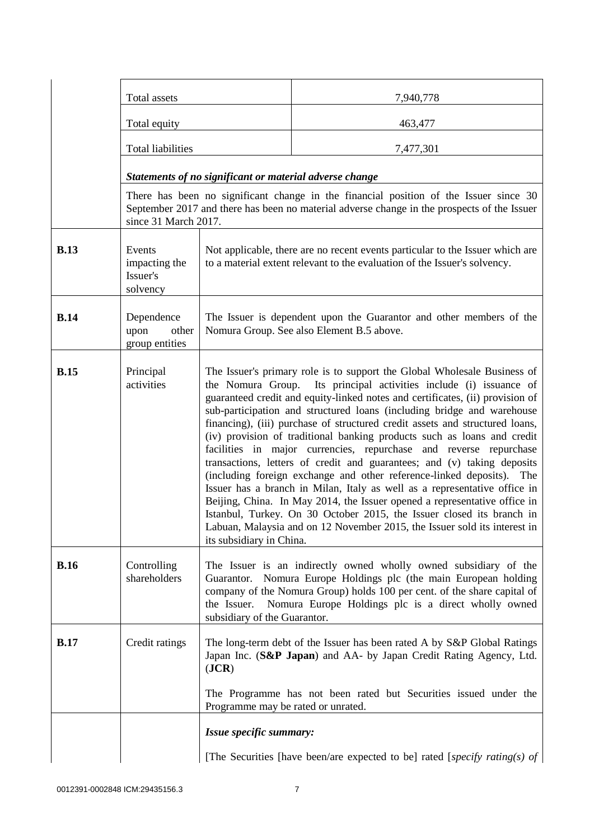|             | Total assets                                    |                                                                                                                                                                                                                                                                                                                                                                                                                                                                                                                                                                                                                                                                                                                                                                                                                                                                                                                                                                                                                                           | 7,940,778                                                                  |  |
|-------------|-------------------------------------------------|-------------------------------------------------------------------------------------------------------------------------------------------------------------------------------------------------------------------------------------------------------------------------------------------------------------------------------------------------------------------------------------------------------------------------------------------------------------------------------------------------------------------------------------------------------------------------------------------------------------------------------------------------------------------------------------------------------------------------------------------------------------------------------------------------------------------------------------------------------------------------------------------------------------------------------------------------------------------------------------------------------------------------------------------|----------------------------------------------------------------------------|--|
|             | Total equity                                    |                                                                                                                                                                                                                                                                                                                                                                                                                                                                                                                                                                                                                                                                                                                                                                                                                                                                                                                                                                                                                                           | 463,477                                                                    |  |
|             | <b>Total liabilities</b>                        |                                                                                                                                                                                                                                                                                                                                                                                                                                                                                                                                                                                                                                                                                                                                                                                                                                                                                                                                                                                                                                           | 7,477,301                                                                  |  |
|             |                                                 | Statements of no significant or material adverse change                                                                                                                                                                                                                                                                                                                                                                                                                                                                                                                                                                                                                                                                                                                                                                                                                                                                                                                                                                                   |                                                                            |  |
|             | since 31 March 2017.                            | There has been no significant change in the financial position of the Issuer since 30<br>September 2017 and there has been no material adverse change in the prospects of the Issuer                                                                                                                                                                                                                                                                                                                                                                                                                                                                                                                                                                                                                                                                                                                                                                                                                                                      |                                                                            |  |
| <b>B.13</b> | Events<br>impacting the<br>Issuer's<br>solvency | Not applicable, there are no recent events particular to the Issuer which are<br>to a material extent relevant to the evaluation of the Issuer's solvency.                                                                                                                                                                                                                                                                                                                                                                                                                                                                                                                                                                                                                                                                                                                                                                                                                                                                                |                                                                            |  |
| <b>B.14</b> | Dependence<br>upon<br>other<br>group entities   | The Issuer is dependent upon the Guarantor and other members of the<br>Nomura Group. See also Element B.5 above.                                                                                                                                                                                                                                                                                                                                                                                                                                                                                                                                                                                                                                                                                                                                                                                                                                                                                                                          |                                                                            |  |
| <b>B.15</b> | Principal<br>activities                         | The Issuer's primary role is to support the Global Wholesale Business of<br>the Nomura Group. Its principal activities include (i) issuance of<br>guaranteed credit and equity-linked notes and certificates, (ii) provision of<br>sub-participation and structured loans (including bridge and warehouse<br>financing), (iii) purchase of structured credit assets and structured loans,<br>(iv) provision of traditional banking products such as loans and credit<br>facilities in major currencies, repurchase and reverse repurchase<br>transactions, letters of credit and guarantees; and (v) taking deposits<br>(including foreign exchange and other reference-linked deposits). The<br>Issuer has a branch in Milan, Italy as well as a representative office in<br>Beijing, China. In May 2014, the Issuer opened a representative office in<br>Istanbul, Turkey. On 30 October 2015, the Issuer closed its branch in<br>Labuan, Malaysia and on 12 November 2015, the Issuer sold its interest in<br>its subsidiary in China. |                                                                            |  |
| <b>B.16</b> | Controlling<br>shareholders                     | The Issuer is an indirectly owned wholly owned subsidiary of the<br>Guarantor. Nomura Europe Holdings plc (the main European holding<br>company of the Nomura Group) holds 100 per cent. of the share capital of<br>Nomura Europe Holdings plc is a direct wholly owned<br>the Issuer.<br>subsidiary of the Guarantor.                                                                                                                                                                                                                                                                                                                                                                                                                                                                                                                                                                                                                                                                                                                    |                                                                            |  |
| <b>B.17</b> | Credit ratings                                  | The long-term debt of the Issuer has been rated A by S&P Global Ratings<br>Japan Inc. (S&P Japan) and AA- by Japan Credit Rating Agency, Ltd.<br>( <b>JCR</b> )                                                                                                                                                                                                                                                                                                                                                                                                                                                                                                                                                                                                                                                                                                                                                                                                                                                                           |                                                                            |  |
|             |                                                 | Programme may be rated or unrated.                                                                                                                                                                                                                                                                                                                                                                                                                                                                                                                                                                                                                                                                                                                                                                                                                                                                                                                                                                                                        | The Programme has not been rated but Securities issued under the           |  |
|             |                                                 | Issue specific summary:                                                                                                                                                                                                                                                                                                                                                                                                                                                                                                                                                                                                                                                                                                                                                                                                                                                                                                                                                                                                                   |                                                                            |  |
|             |                                                 |                                                                                                                                                                                                                                                                                                                                                                                                                                                                                                                                                                                                                                                                                                                                                                                                                                                                                                                                                                                                                                           | [The Securities [have been/are expected to be] rated [specify rating(s) of |  |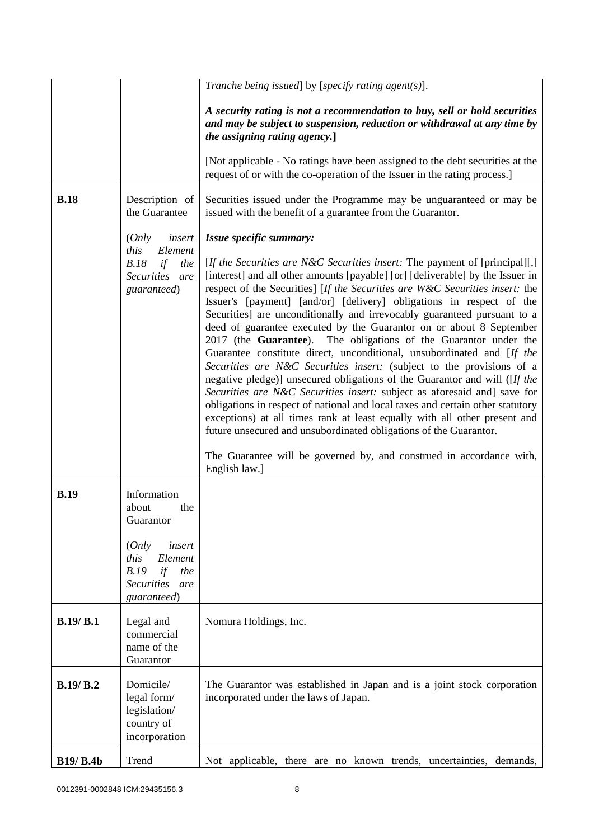|                  |                                                                                                    | Tranche being issued] by [specify rating agent(s)].                                                                                                                                                                                                                                                                                                                                                                                                                                                                                                                                                                                                                                                                                                                                                                                                                                                                                                                                                                                                                                                                                                                                                              |
|------------------|----------------------------------------------------------------------------------------------------|------------------------------------------------------------------------------------------------------------------------------------------------------------------------------------------------------------------------------------------------------------------------------------------------------------------------------------------------------------------------------------------------------------------------------------------------------------------------------------------------------------------------------------------------------------------------------------------------------------------------------------------------------------------------------------------------------------------------------------------------------------------------------------------------------------------------------------------------------------------------------------------------------------------------------------------------------------------------------------------------------------------------------------------------------------------------------------------------------------------------------------------------------------------------------------------------------------------|
|                  |                                                                                                    | A security rating is not a recommendation to buy, sell or hold securities<br>and may be subject to suspension, reduction or withdrawal at any time by<br>the assigning rating agency.]                                                                                                                                                                                                                                                                                                                                                                                                                                                                                                                                                                                                                                                                                                                                                                                                                                                                                                                                                                                                                           |
|                  |                                                                                                    | [Not applicable - No ratings have been assigned to the debt securities at the<br>request of or with the co-operation of the Issuer in the rating process.]                                                                                                                                                                                                                                                                                                                                                                                                                                                                                                                                                                                                                                                                                                                                                                                                                                                                                                                                                                                                                                                       |
| <b>B.18</b>      | Description of<br>the Guarantee                                                                    | Securities issued under the Programme may be unguaranteed or may be<br>issued with the benefit of a guarantee from the Guarantor.                                                                                                                                                                                                                                                                                                                                                                                                                                                                                                                                                                                                                                                                                                                                                                                                                                                                                                                                                                                                                                                                                |
|                  | (Only<br>insert<br>this<br>Element<br>B.18<br>if<br>the<br>Securities are<br>guaranteed)           | Issue specific summary:<br>[If the Securities are N&C Securities insert: The payment of [principal][,]<br>[interest] and all other amounts [payable] [or] [deliverable] by the Issuer in<br>respect of the Securities] [If the Securities are W&C Securities insert: the<br>Issuer's [payment] [and/or] [delivery] obligations in respect of the<br>Securities] are unconditionally and irrevocably guaranteed pursuant to a<br>deed of guarantee executed by the Guarantor on or about 8 September<br>2017 (the Guarantee). The obligations of the Guarantor under the<br>Guarantee constitute direct, unconditional, unsubordinated and [If the<br>Securities are N&C Securities insert: (subject to the provisions of a<br>negative pledge)] unsecured obligations of the Guarantor and will ([If the<br>Securities are N&C Securities insert: subject as aforesaid and] save for<br>obligations in respect of national and local taxes and certain other statutory<br>exceptions) at all times rank at least equally with all other present and<br>future unsecured and unsubordinated obligations of the Guarantor.<br>The Guarantee will be governed by, and construed in accordance with,<br>English law. |
| <b>B.19</b>      | Information<br>the<br>about<br>Guarantor                                                           |                                                                                                                                                                                                                                                                                                                                                                                                                                                                                                                                                                                                                                                                                                                                                                                                                                                                                                                                                                                                                                                                                                                                                                                                                  |
|                  | (Only<br>insert<br>this<br>Element<br>B.19<br>if<br>the<br><b>Securities</b><br>are<br>guaranteed) |                                                                                                                                                                                                                                                                                                                                                                                                                                                                                                                                                                                                                                                                                                                                                                                                                                                                                                                                                                                                                                                                                                                                                                                                                  |
| B.19/B.1         | Legal and<br>commercial<br>name of the<br>Guarantor                                                | Nomura Holdings, Inc.                                                                                                                                                                                                                                                                                                                                                                                                                                                                                                                                                                                                                                                                                                                                                                                                                                                                                                                                                                                                                                                                                                                                                                                            |
| <b>B.19/ B.2</b> | Domicile/<br>legal form/<br>legislation/<br>country of<br>incorporation                            | The Guarantor was established in Japan and is a joint stock corporation<br>incorporated under the laws of Japan.                                                                                                                                                                                                                                                                                                                                                                                                                                                                                                                                                                                                                                                                                                                                                                                                                                                                                                                                                                                                                                                                                                 |
| <b>B19/ B.4b</b> | Trend                                                                                              | Not applicable, there are no known trends, uncertainties, demands,                                                                                                                                                                                                                                                                                                                                                                                                                                                                                                                                                                                                                                                                                                                                                                                                                                                                                                                                                                                                                                                                                                                                               |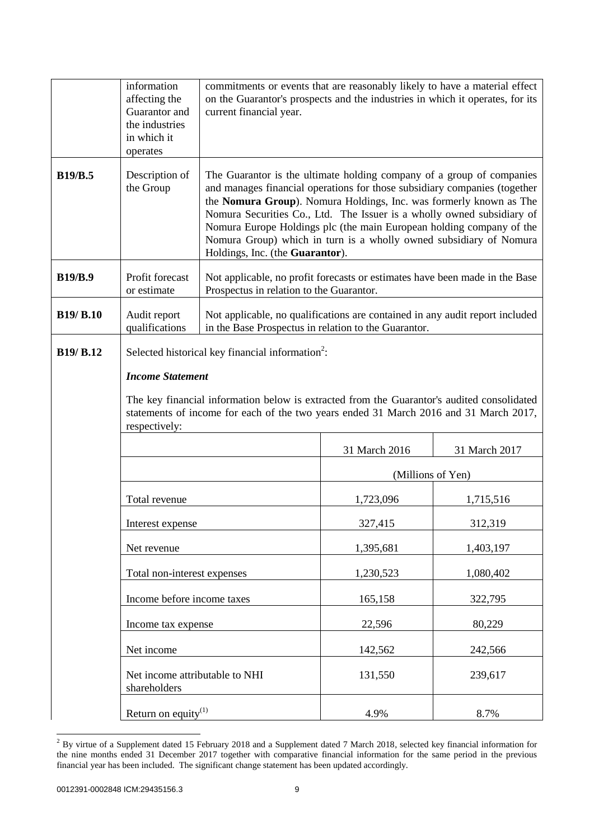|                  | information<br>affecting the<br>Guarantor and<br>the industries<br>in which it<br>operates | commitments or events that are reasonably likely to have a material effect<br>on the Guarantor's prospects and the industries in which it operates, for its<br>current financial year.                                                                                                                                                                                                                                                                                              |                   |               |
|------------------|--------------------------------------------------------------------------------------------|-------------------------------------------------------------------------------------------------------------------------------------------------------------------------------------------------------------------------------------------------------------------------------------------------------------------------------------------------------------------------------------------------------------------------------------------------------------------------------------|-------------------|---------------|
| <b>B19/B.5</b>   | Description of<br>the Group                                                                | The Guarantor is the ultimate holding company of a group of companies<br>and manages financial operations for those subsidiary companies (together<br>the Nomura Group). Nomura Holdings, Inc. was formerly known as The<br>Nomura Securities Co., Ltd. The Issuer is a wholly owned subsidiary of<br>Nomura Europe Holdings plc (the main European holding company of the<br>Nomura Group) which in turn is a wholly owned subsidiary of Nomura<br>Holdings, Inc. (the Guarantor). |                   |               |
| <b>B19/B.9</b>   | Profit forecast<br>or estimate                                                             | Not applicable, no profit forecasts or estimates have been made in the Base<br>Prospectus in relation to the Guarantor.                                                                                                                                                                                                                                                                                                                                                             |                   |               |
| <b>B19/ B.10</b> | Audit report<br>qualifications                                                             | Not applicable, no qualifications are contained in any audit report included<br>in the Base Prospectus in relation to the Guarantor.                                                                                                                                                                                                                                                                                                                                                |                   |               |
| <b>B19/ B.12</b> | <b>Income Statement</b><br>respectively:                                                   | Selected historical key financial information <sup>2</sup> :<br>The key financial information below is extracted from the Guarantor's audited consolidated<br>statements of income for each of the two years ended 31 March 2016 and 31 March 2017,                                                                                                                                                                                                                                 |                   |               |
|                  |                                                                                            |                                                                                                                                                                                                                                                                                                                                                                                                                                                                                     | 31 March 2016     | 31 March 2017 |
|                  |                                                                                            |                                                                                                                                                                                                                                                                                                                                                                                                                                                                                     | (Millions of Yen) |               |
|                  | Total revenue                                                                              |                                                                                                                                                                                                                                                                                                                                                                                                                                                                                     | 1,723,096         | 1,715,516     |
|                  | Interest expense                                                                           |                                                                                                                                                                                                                                                                                                                                                                                                                                                                                     | 327,415           | 312,319       |
| Net revenue      |                                                                                            |                                                                                                                                                                                                                                                                                                                                                                                                                                                                                     | 1,395,681         | 1,403,197     |
|                  | Total non-interest expenses                                                                |                                                                                                                                                                                                                                                                                                                                                                                                                                                                                     | 1,230,523         | 1,080,402     |
|                  | Income before income taxes                                                                 |                                                                                                                                                                                                                                                                                                                                                                                                                                                                                     | 165,158           | 322,795       |
|                  | Income tax expense                                                                         |                                                                                                                                                                                                                                                                                                                                                                                                                                                                                     | 22,596            | 80,229        |
|                  | Net income                                                                                 |                                                                                                                                                                                                                                                                                                                                                                                                                                                                                     | 142,562           | 242,566       |
|                  | Net income attributable to NHI<br>shareholders                                             |                                                                                                                                                                                                                                                                                                                                                                                                                                                                                     | 131,550           | 239,617       |
|                  | Return on equity $^{(1)}$                                                                  |                                                                                                                                                                                                                                                                                                                                                                                                                                                                                     | 4.9%              | 8.7%          |

 $\overline{a}$  $2$  By virtue of a Supplement dated 15 February 2018 and a Supplement dated 7 March 2018, selected key financial information for the nine months ended 31 December 2017 together with comparative financial information for the same period in the previous financial year has been included. The significant change statement has been updated accordingly.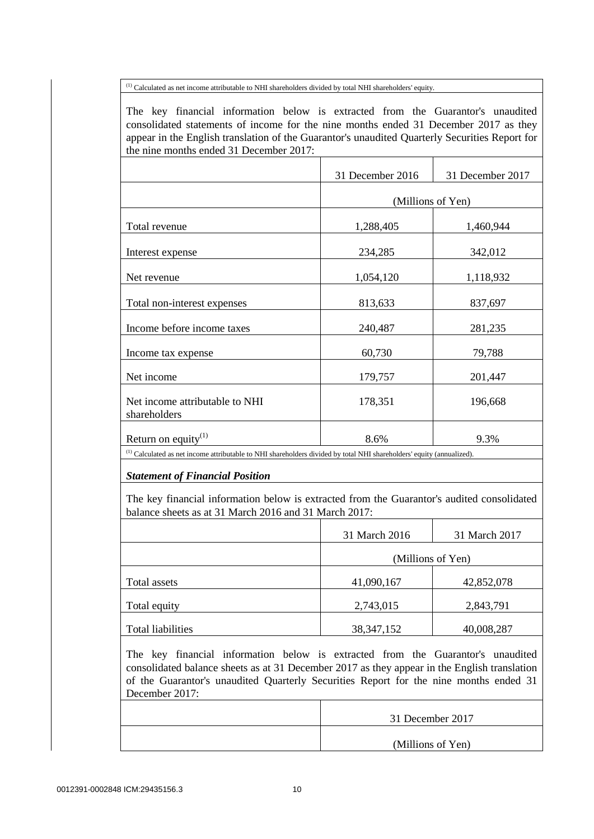(1) Calculated as net income attributable to NHI shareholders divided by total NHI shareholders' equity.

The key financial information below is extracted from the Guarantor's unaudited consolidated statements of income for the nine months ended 31 December 2017 as they appear in the English translation of the Guarantor's unaudited Quarterly Securities Report for the nine months ended 31 December 2017:

|                                                                                                                                  | 31 December 2016  | 31 December 2017 |  |
|----------------------------------------------------------------------------------------------------------------------------------|-------------------|------------------|--|
|                                                                                                                                  | (Millions of Yen) |                  |  |
| Total revenue                                                                                                                    | 1,288,405         | 1,460,944        |  |
| Interest expense                                                                                                                 | 234,285           | 342,012          |  |
| Net revenue                                                                                                                      | 1,054,120         | 1,118,932        |  |
| Total non-interest expenses                                                                                                      | 813,633           | 837,697          |  |
| Income before income taxes                                                                                                       | 240,487           | 281,235          |  |
| Income tax expense                                                                                                               | 60,730            | 79,788           |  |
| Net income                                                                                                                       | 179,757           | 201,447          |  |
| Net income attributable to NHI<br>shareholders                                                                                   | 178,351           | 196,668          |  |
| Return on equity $^{(1)}$                                                                                                        | 8.6%              | 9.3%             |  |
| <sup>(1)</sup> Calculated as net income attributable to NHI shareholders divided by total NHI shareholders' equity (annualized). |                   |                  |  |

*Statement of Financial Position*

The key financial information below is extracted from the Guarantor's audited consolidated balance sheets as at 31 March 2016 and 31 March 2017:

|                   | 31 March 2016     | 31 March 2017 |
|-------------------|-------------------|---------------|
|                   | (Millions of Yen) |               |
| Total assets      | 41,090,167        | 42,852,078    |
| Total equity      | 2,743,015         | 2,843,791     |
| Total liabilities | 38, 347, 152      | 40,008,287    |

The key financial information below is extracted from the Guarantor's unaudited consolidated balance sheets as at 31 December 2017 as they appear in the English translation of the Guarantor's unaudited Quarterly Securities Report for the nine months ended 31 December 2017:

| 31 December 2017  |
|-------------------|
| (Millions of Yen) |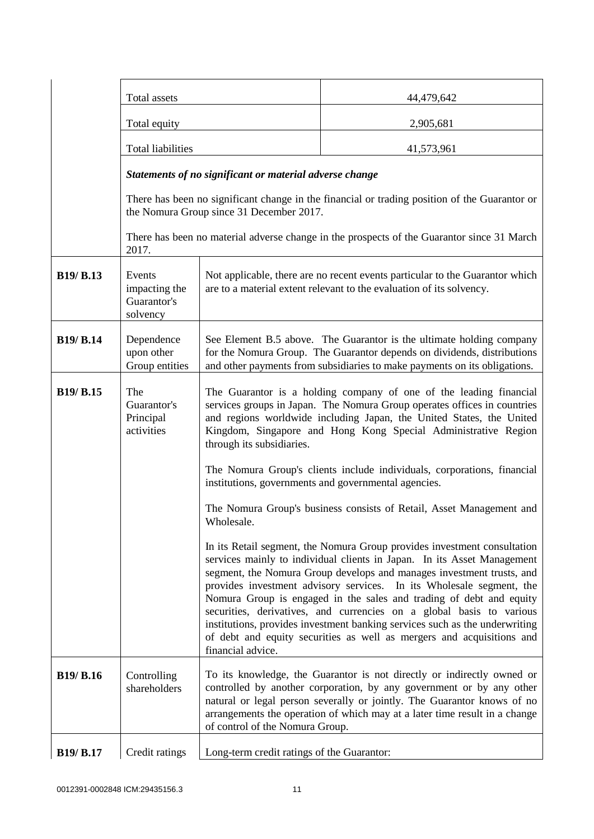|                  | Total assets                                            |                                                                                                                                                                                                                                                                                                                                                                                                                                                                                                                                                                                                                                  | 44,479,642                                                                                                                                                                                                                                                                                              |
|------------------|---------------------------------------------------------|----------------------------------------------------------------------------------------------------------------------------------------------------------------------------------------------------------------------------------------------------------------------------------------------------------------------------------------------------------------------------------------------------------------------------------------------------------------------------------------------------------------------------------------------------------------------------------------------------------------------------------|---------------------------------------------------------------------------------------------------------------------------------------------------------------------------------------------------------------------------------------------------------------------------------------------------------|
|                  | Total equity                                            |                                                                                                                                                                                                                                                                                                                                                                                                                                                                                                                                                                                                                                  | 2,905,681                                                                                                                                                                                                                                                                                               |
|                  | <b>Total liabilities</b>                                |                                                                                                                                                                                                                                                                                                                                                                                                                                                                                                                                                                                                                                  | 41,573,961                                                                                                                                                                                                                                                                                              |
|                  | Statements of no significant or material adverse change |                                                                                                                                                                                                                                                                                                                                                                                                                                                                                                                                                                                                                                  |                                                                                                                                                                                                                                                                                                         |
|                  | the Nomura Group since 31 December 2017.                |                                                                                                                                                                                                                                                                                                                                                                                                                                                                                                                                                                                                                                  | There has been no significant change in the financial or trading position of the Guarantor or                                                                                                                                                                                                           |
|                  | 2017.                                                   |                                                                                                                                                                                                                                                                                                                                                                                                                                                                                                                                                                                                                                  | There has been no material adverse change in the prospects of the Guarantor since 31 March                                                                                                                                                                                                              |
| <b>B19/ B.13</b> | Events<br>impacting the<br>Guarantor's<br>solvency      | Not applicable, there are no recent events particular to the Guarantor which<br>are to a material extent relevant to the evaluation of its solvency.                                                                                                                                                                                                                                                                                                                                                                                                                                                                             |                                                                                                                                                                                                                                                                                                         |
| <b>B19/ B.14</b> | Dependence<br>upon other<br>Group entities              | See Element B.5 above. The Guarantor is the ultimate holding company<br>for the Nomura Group. The Guarantor depends on dividends, distributions<br>and other payments from subsidiaries to make payments on its obligations.                                                                                                                                                                                                                                                                                                                                                                                                     |                                                                                                                                                                                                                                                                                                         |
| <b>B19/ B.15</b> | The<br>Guarantor's<br>Principal<br>activities           | The Guarantor is a holding company of one of the leading financial<br>services groups in Japan. The Nomura Group operates offices in countries<br>and regions worldwide including Japan, the United States, the United<br>Kingdom, Singapore and Hong Kong Special Administrative Region<br>through its subsidiaries.<br>The Nomura Group's clients include individuals, corporations, financial<br>institutions, governments and governmental agencies.                                                                                                                                                                         |                                                                                                                                                                                                                                                                                                         |
|                  |                                                         | The Nomura Group's business consists of Retail, Asset Management and<br>Wholesale.                                                                                                                                                                                                                                                                                                                                                                                                                                                                                                                                               |                                                                                                                                                                                                                                                                                                         |
|                  |                                                         | In its Retail segment, the Nomura Group provides investment consultation<br>services mainly to individual clients in Japan. In its Asset Management<br>segment, the Nomura Group develops and manages investment trusts, and<br>provides investment advisory services. In its Wholesale segment, the<br>Nomura Group is engaged in the sales and trading of debt and equity<br>securities, derivatives, and currencies on a global basis to various<br>institutions, provides investment banking services such as the underwriting<br>of debt and equity securities as well as mergers and acquisitions and<br>financial advice. |                                                                                                                                                                                                                                                                                                         |
| <b>B19/ B.16</b> | Controlling<br>shareholders                             | of control of the Nomura Group.                                                                                                                                                                                                                                                                                                                                                                                                                                                                                                                                                                                                  | To its knowledge, the Guarantor is not directly or indirectly owned or<br>controlled by another corporation, by any government or by any other<br>natural or legal person severally or jointly. The Guarantor knows of no<br>arrangements the operation of which may at a later time result in a change |
| <b>B19/ B.17</b> | Credit ratings                                          | Long-term credit ratings of the Guarantor:                                                                                                                                                                                                                                                                                                                                                                                                                                                                                                                                                                                       |                                                                                                                                                                                                                                                                                                         |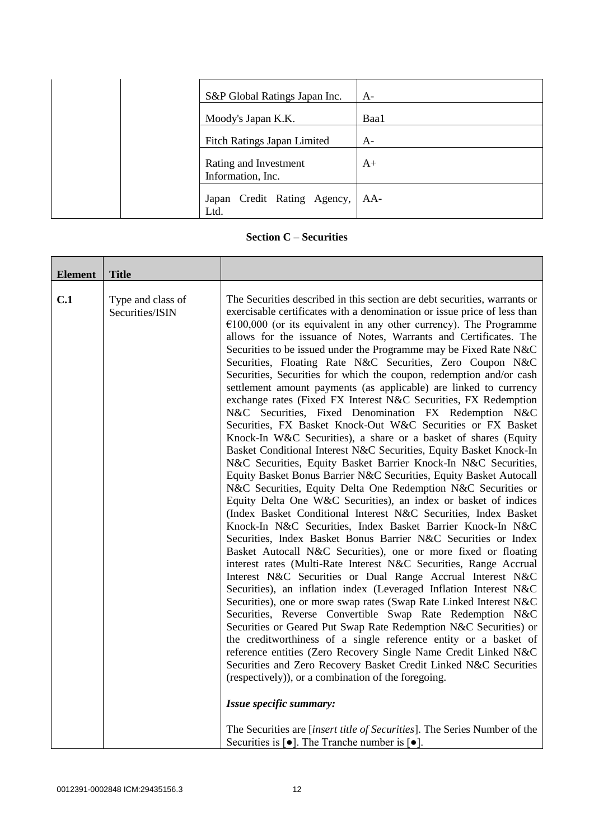|  | S&P Global Ratings Japan Inc.              | $A-$ |
|--|--------------------------------------------|------|
|  | Moody's Japan K.K.                         | Baa1 |
|  | <b>Fitch Ratings Japan Limited</b>         | $A-$ |
|  | Rating and Investment<br>Information, Inc. | $A+$ |
|  | Japan Credit Rating Agency,<br>Ltd.        | AA-  |

**Section C – Securities**

| <b>Element</b> | <b>Title</b>                         |                                                                                                                                                                                                                                                                                                                                                                                                                                                                                                                                                                                                                                                                                                                                                                                                                                                                                                                                                                                                                                                                                                                                                                                                                                                                                                                                                                                                                                                                                                                                                                                                                                                                                                                                                                                                                                                                                                                                                                                                                                                                                                                                                                                                                                                                                                                                                                       |
|----------------|--------------------------------------|-----------------------------------------------------------------------------------------------------------------------------------------------------------------------------------------------------------------------------------------------------------------------------------------------------------------------------------------------------------------------------------------------------------------------------------------------------------------------------------------------------------------------------------------------------------------------------------------------------------------------------------------------------------------------------------------------------------------------------------------------------------------------------------------------------------------------------------------------------------------------------------------------------------------------------------------------------------------------------------------------------------------------------------------------------------------------------------------------------------------------------------------------------------------------------------------------------------------------------------------------------------------------------------------------------------------------------------------------------------------------------------------------------------------------------------------------------------------------------------------------------------------------------------------------------------------------------------------------------------------------------------------------------------------------------------------------------------------------------------------------------------------------------------------------------------------------------------------------------------------------------------------------------------------------------------------------------------------------------------------------------------------------------------------------------------------------------------------------------------------------------------------------------------------------------------------------------------------------------------------------------------------------------------------------------------------------------------------------------------------------|
| C.1            | Type and class of<br>Securities/ISIN | The Securities described in this section are debt securities, warrants or<br>exercisable certificates with a denomination or issue price of less than<br>$\epsilon$ 100,000 (or its equivalent in any other currency). The Programme<br>allows for the issuance of Notes, Warrants and Certificates. The<br>Securities to be issued under the Programme may be Fixed Rate N&C<br>Securities, Floating Rate N&C Securities, Zero Coupon N&C<br>Securities, Securities for which the coupon, redemption and/or cash<br>settlement amount payments (as applicable) are linked to currency<br>exchange rates (Fixed FX Interest N&C Securities, FX Redemption<br>N&C Securities, Fixed Denomination FX Redemption N&C<br>Securities, FX Basket Knock-Out W&C Securities or FX Basket<br>Knock-In W&C Securities), a share or a basket of shares (Equity<br>Basket Conditional Interest N&C Securities, Equity Basket Knock-In<br>N&C Securities, Equity Basket Barrier Knock-In N&C Securities,<br>Equity Basket Bonus Barrier N&C Securities, Equity Basket Autocall<br>N&C Securities, Equity Delta One Redemption N&C Securities or<br>Equity Delta One W&C Securities), an index or basket of indices<br>(Index Basket Conditional Interest N&C Securities, Index Basket<br>Knock-In N&C Securities, Index Basket Barrier Knock-In N&C<br>Securities, Index Basket Bonus Barrier N&C Securities or Index<br>Basket Autocall N&C Securities), one or more fixed or floating<br>interest rates (Multi-Rate Interest N&C Securities, Range Accrual<br>Interest N&C Securities or Dual Range Accrual Interest N&C<br>Securities), an inflation index (Leveraged Inflation Interest N&C<br>Securities), one or more swap rates (Swap Rate Linked Interest N&C<br>Securities, Reverse Convertible Swap Rate Redemption N&C<br>Securities or Geared Put Swap Rate Redemption N&C Securities) or<br>the creditworthiness of a single reference entity or a basket of<br>reference entities (Zero Recovery Single Name Credit Linked N&C<br>Securities and Zero Recovery Basket Credit Linked N&C Securities<br>(respectively)), or a combination of the foregoing.<br>Issue specific summary:<br>The Securities are <i>[insert title of Securities]</i> . The Series Number of the<br>Securities is $\lceil \bullet \rceil$ . The Tranche number is $\lceil \bullet \rceil$ . |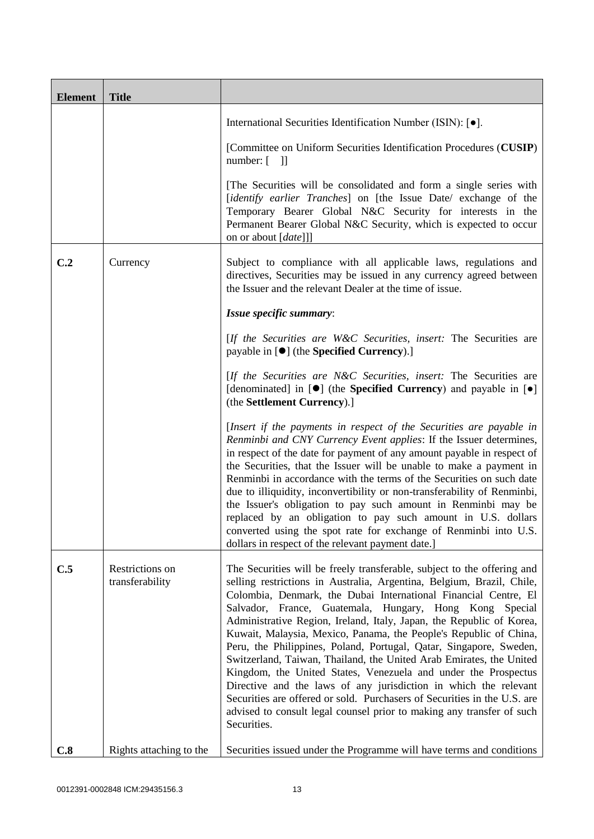| <b>Element</b> | <b>Title</b>                       |                                                                                                                                                                                                                                                                                                                                                                                                                                                                                                                                                                                                                                                                                                                                                                                                                                                                                    |
|----------------|------------------------------------|------------------------------------------------------------------------------------------------------------------------------------------------------------------------------------------------------------------------------------------------------------------------------------------------------------------------------------------------------------------------------------------------------------------------------------------------------------------------------------------------------------------------------------------------------------------------------------------------------------------------------------------------------------------------------------------------------------------------------------------------------------------------------------------------------------------------------------------------------------------------------------|
|                |                                    | International Securities Identification Number (ISIN): [ $\bullet$ ].                                                                                                                                                                                                                                                                                                                                                                                                                                                                                                                                                                                                                                                                                                                                                                                                              |
|                |                                    | [Committee on Uniform Securities Identification Procedures (CUSIP)<br>$number: [$ ]]                                                                                                                                                                                                                                                                                                                                                                                                                                                                                                                                                                                                                                                                                                                                                                                               |
|                |                                    | [The Securities will be consolidated and form a single series with<br>[identify earlier Tranches] on [the Issue Date/ exchange of the<br>Temporary Bearer Global N&C Security for interests in the<br>Permanent Bearer Global N&C Security, which is expected to occur<br>on or about [date]]]                                                                                                                                                                                                                                                                                                                                                                                                                                                                                                                                                                                     |
| C.2            | Currency                           | Subject to compliance with all applicable laws, regulations and<br>directives, Securities may be issued in any currency agreed between<br>the Issuer and the relevant Dealer at the time of issue.                                                                                                                                                                                                                                                                                                                                                                                                                                                                                                                                                                                                                                                                                 |
|                |                                    | Issue specific summary:                                                                                                                                                                                                                                                                                                                                                                                                                                                                                                                                                                                                                                                                                                                                                                                                                                                            |
|                |                                    | [If the Securities are W&C Securities, insert: The Securities are<br>payable in $[\bullet]$ (the <b>Specified Currency</b> ).]                                                                                                                                                                                                                                                                                                                                                                                                                                                                                                                                                                                                                                                                                                                                                     |
|                |                                    | [If the Securities are N&C Securities, insert: The Securities are<br>[denominated] in $[\bullet]$ (the <b>Specified Currency</b> ) and payable in $[\bullet]$<br>(the Settlement Currency).]                                                                                                                                                                                                                                                                                                                                                                                                                                                                                                                                                                                                                                                                                       |
|                |                                    | [Insert if the payments in respect of the Securities are payable in<br>Renminbi and CNY Currency Event applies: If the Issuer determines,<br>in respect of the date for payment of any amount payable in respect of<br>the Securities, that the Issuer will be unable to make a payment in<br>Renminbi in accordance with the terms of the Securities on such date<br>due to illiquidity, inconvertibility or non-transferability of Renminbi,<br>the Issuer's obligation to pay such amount in Renminbi may be<br>replaced by an obligation to pay such amount in U.S. dollars<br>converted using the spot rate for exchange of Renminbi into U.S.<br>dollars in respect of the relevant payment date.]                                                                                                                                                                           |
| C.5            | Restrictions on<br>transferability | The Securities will be freely transferable, subject to the offering and<br>selling restrictions in Australia, Argentina, Belgium, Brazil, Chile,<br>Colombia, Denmark, the Dubai International Financial Centre, El<br>Salvador, France, Guatemala, Hungary, Hong Kong Special<br>Administrative Region, Ireland, Italy, Japan, the Republic of Korea,<br>Kuwait, Malaysia, Mexico, Panama, the People's Republic of China,<br>Peru, the Philippines, Poland, Portugal, Qatar, Singapore, Sweden,<br>Switzerland, Taiwan, Thailand, the United Arab Emirates, the United<br>Kingdom, the United States, Venezuela and under the Prospectus<br>Directive and the laws of any jurisdiction in which the relevant<br>Securities are offered or sold. Purchasers of Securities in the U.S. are<br>advised to consult legal counsel prior to making any transfer of such<br>Securities. |
| C.8            | Rights attaching to the            | Securities issued under the Programme will have terms and conditions                                                                                                                                                                                                                                                                                                                                                                                                                                                                                                                                                                                                                                                                                                                                                                                                               |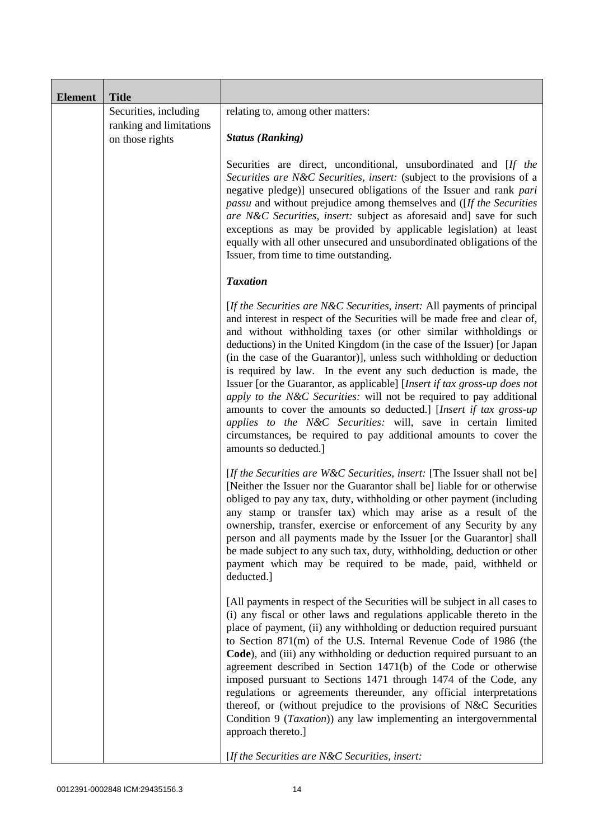| <b>Element</b> | <b>Title</b>                               |                                                                                                                                                                                                                                                                                                                                                                                                                                                                                                                                                                                                                                                                                                                                                                                                                                          |
|----------------|--------------------------------------------|------------------------------------------------------------------------------------------------------------------------------------------------------------------------------------------------------------------------------------------------------------------------------------------------------------------------------------------------------------------------------------------------------------------------------------------------------------------------------------------------------------------------------------------------------------------------------------------------------------------------------------------------------------------------------------------------------------------------------------------------------------------------------------------------------------------------------------------|
|                | Securities, including                      | relating to, among other matters:                                                                                                                                                                                                                                                                                                                                                                                                                                                                                                                                                                                                                                                                                                                                                                                                        |
|                | ranking and limitations<br>on those rights | <b>Status (Ranking)</b>                                                                                                                                                                                                                                                                                                                                                                                                                                                                                                                                                                                                                                                                                                                                                                                                                  |
|                |                                            | Securities are direct, unconditional, unsubordinated and [If the<br>Securities are N&C Securities, insert: (subject to the provisions of a<br>negative pledge)] unsecured obligations of the Issuer and rank pari<br>passu and without prejudice among themselves and ([If the Securities<br>are N&C Securities, insert: subject as aforesaid and] save for such<br>exceptions as may be provided by applicable legislation) at least<br>equally with all other unsecured and unsubordinated obligations of the<br>Issuer, from time to time outstanding.                                                                                                                                                                                                                                                                                |
|                |                                            | <b>Taxation</b>                                                                                                                                                                                                                                                                                                                                                                                                                                                                                                                                                                                                                                                                                                                                                                                                                          |
|                |                                            | [If the Securities are N&C Securities, insert: All payments of principal<br>and interest in respect of the Securities will be made free and clear of,<br>and without withholding taxes (or other similar withholdings or<br>deductions) in the United Kingdom (in the case of the Issuer) [or Japan<br>(in the case of the Guarantor)], unless such withholding or deduction<br>is required by law. In the event any such deduction is made, the<br>Issuer [or the Guarantor, as applicable] [Insert if tax gross-up does not<br>apply to the N&C Securities: will not be required to pay additional<br>amounts to cover the amounts so deducted.] [Insert if tax gross-up<br>applies to the N&C Securities: will, save in certain limited<br>circumstances, be required to pay additional amounts to cover the<br>amounts so deducted.] |
|                |                                            | [If the Securities are W&C Securities, insert: [The Issuer shall not be]<br>[Neither the Issuer nor the Guarantor shall be] liable for or otherwise<br>obliged to pay any tax, duty, withholding or other payment (including<br>any stamp or transfer tax) which may arise as a result of the<br>ownership, transfer, exercise or enforcement of any Security by any<br>person and all payments made by the Issuer [or the Guarantor] shall<br>be made subject to any such tax, duty, withholding, deduction or other<br>payment which may be required to be made, paid, withheld or<br>deducted.]                                                                                                                                                                                                                                       |
|                |                                            | [All payments in respect of the Securities will be subject in all cases to<br>(i) any fiscal or other laws and regulations applicable thereto in the<br>place of payment, (ii) any withholding or deduction required pursuant<br>to Section 871(m) of the U.S. Internal Revenue Code of 1986 (the<br>Code), and (iii) any withholding or deduction required pursuant to an<br>agreement described in Section 1471(b) of the Code or otherwise<br>imposed pursuant to Sections 1471 through 1474 of the Code, any<br>regulations or agreements thereunder, any official interpretations<br>thereof, or (without prejudice to the provisions of N&C Securities<br>Condition 9 ( <i>Taxation</i> )) any law implementing an intergovernmental<br>approach thereto.]                                                                         |
|                |                                            | [If the Securities are $N\&C$ Securities, insert:                                                                                                                                                                                                                                                                                                                                                                                                                                                                                                                                                                                                                                                                                                                                                                                        |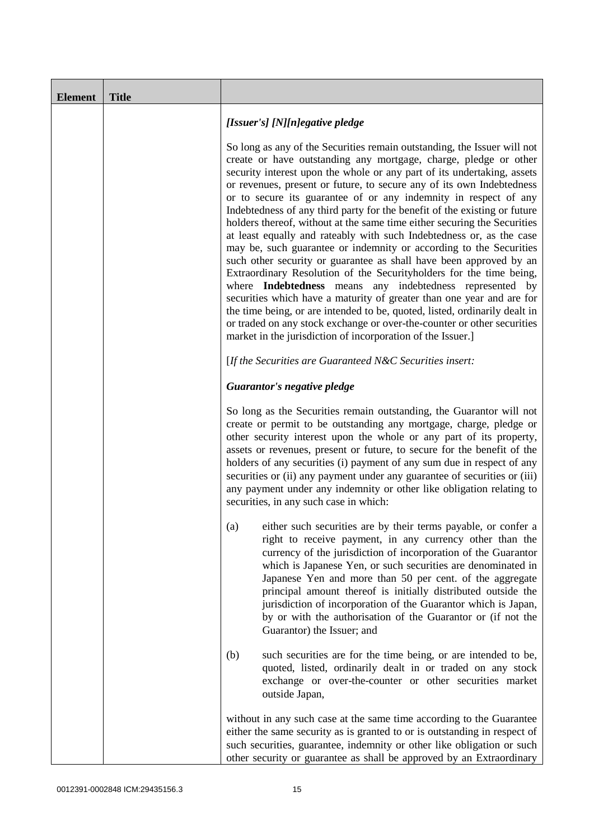| <b>Element</b> | <b>Title</b> |                                                                                                                                                                                                                                                                                                                                                                                                                                                                                                                                                                                                                                                                                                                                                                                                                                                                                                                                                                                                                                                                                                                                                                                       |
|----------------|--------------|---------------------------------------------------------------------------------------------------------------------------------------------------------------------------------------------------------------------------------------------------------------------------------------------------------------------------------------------------------------------------------------------------------------------------------------------------------------------------------------------------------------------------------------------------------------------------------------------------------------------------------------------------------------------------------------------------------------------------------------------------------------------------------------------------------------------------------------------------------------------------------------------------------------------------------------------------------------------------------------------------------------------------------------------------------------------------------------------------------------------------------------------------------------------------------------|
|                |              | [Issuer's] [N][n]egative pledge                                                                                                                                                                                                                                                                                                                                                                                                                                                                                                                                                                                                                                                                                                                                                                                                                                                                                                                                                                                                                                                                                                                                                       |
|                |              | So long as any of the Securities remain outstanding, the Issuer will not<br>create or have outstanding any mortgage, charge, pledge or other<br>security interest upon the whole or any part of its undertaking, assets<br>or revenues, present or future, to secure any of its own Indebtedness<br>or to secure its guarantee of or any indemnity in respect of any<br>Indebtedness of any third party for the benefit of the existing or future<br>holders thereof, without at the same time either securing the Securities<br>at least equally and rateably with such Indebtedness or, as the case<br>may be, such guarantee or indemnity or according to the Securities<br>such other security or guarantee as shall have been approved by an<br>Extraordinary Resolution of the Securityholders for the time being,<br>where Indebtedness means any indebtedness represented by<br>securities which have a maturity of greater than one year and are for<br>the time being, or are intended to be, quoted, listed, ordinarily dealt in<br>or traded on any stock exchange or over-the-counter or other securities<br>market in the jurisdiction of incorporation of the Issuer.] |
|                |              | [If the Securities are Guaranteed N&C Securities insert:                                                                                                                                                                                                                                                                                                                                                                                                                                                                                                                                                                                                                                                                                                                                                                                                                                                                                                                                                                                                                                                                                                                              |
|                |              | Guarantor's negative pledge                                                                                                                                                                                                                                                                                                                                                                                                                                                                                                                                                                                                                                                                                                                                                                                                                                                                                                                                                                                                                                                                                                                                                           |
|                |              | So long as the Securities remain outstanding, the Guarantor will not<br>create or permit to be outstanding any mortgage, charge, pledge or<br>other security interest upon the whole or any part of its property,<br>assets or revenues, present or future, to secure for the benefit of the<br>holders of any securities (i) payment of any sum due in respect of any<br>securities or (ii) any payment under any guarantee of securities or (iii)<br>any payment under any indemnity or other like obligation relating to<br>securities, in any such case in which:                                                                                                                                                                                                                                                                                                                                                                                                                                                                                                                                                                                                                 |
|                |              | either such securities are by their terms payable, or confer a<br>(a)<br>right to receive payment, in any currency other than the<br>currency of the jurisdiction of incorporation of the Guarantor<br>which is Japanese Yen, or such securities are denominated in<br>Japanese Yen and more than 50 per cent. of the aggregate<br>principal amount thereof is initially distributed outside the<br>jurisdiction of incorporation of the Guarantor which is Japan,<br>by or with the authorisation of the Guarantor or (if not the<br>Guarantor) the Issuer; and                                                                                                                                                                                                                                                                                                                                                                                                                                                                                                                                                                                                                      |
|                |              | such securities are for the time being, or are intended to be,<br>(b)<br>quoted, listed, ordinarily dealt in or traded on any stock<br>exchange or over-the-counter or other securities market<br>outside Japan,                                                                                                                                                                                                                                                                                                                                                                                                                                                                                                                                                                                                                                                                                                                                                                                                                                                                                                                                                                      |
|                |              | without in any such case at the same time according to the Guarantee<br>either the same security as is granted to or is outstanding in respect of<br>such securities, guarantee, indemnity or other like obligation or such<br>other security or guarantee as shall be approved by an Extraordinary                                                                                                                                                                                                                                                                                                                                                                                                                                                                                                                                                                                                                                                                                                                                                                                                                                                                                   |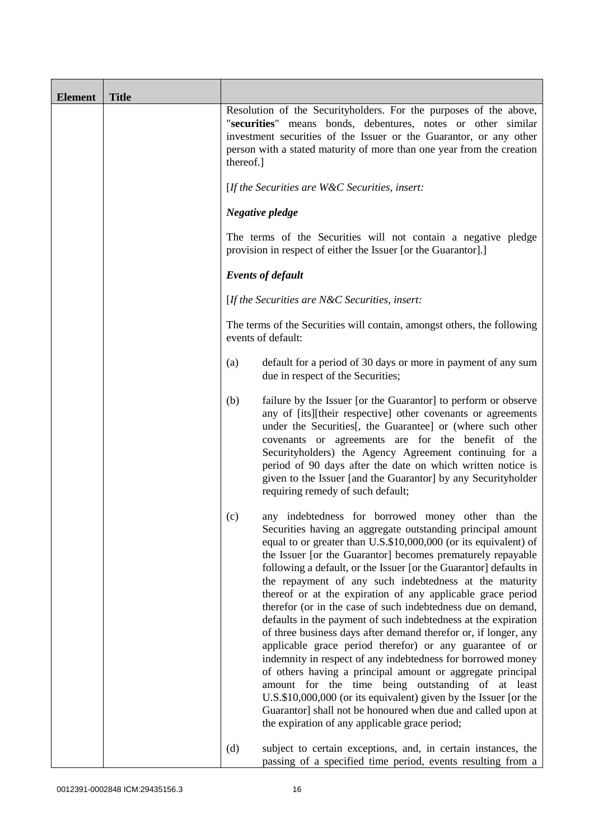| <b>Element</b> | <b>Title</b> |                                                                                                                                                                                                                                                                                                                                                                                                                                                                                                                                                                                                                                                                                                                                                                                                                                                                                                                                                                                                                                                                                                    |
|----------------|--------------|----------------------------------------------------------------------------------------------------------------------------------------------------------------------------------------------------------------------------------------------------------------------------------------------------------------------------------------------------------------------------------------------------------------------------------------------------------------------------------------------------------------------------------------------------------------------------------------------------------------------------------------------------------------------------------------------------------------------------------------------------------------------------------------------------------------------------------------------------------------------------------------------------------------------------------------------------------------------------------------------------------------------------------------------------------------------------------------------------|
|                |              | Resolution of the Securityholders. For the purposes of the above,<br>"securities" means bonds, debentures, notes or other similar<br>investment securities of the Issuer or the Guarantor, or any other<br>person with a stated maturity of more than one year from the creation<br>thereof.]                                                                                                                                                                                                                                                                                                                                                                                                                                                                                                                                                                                                                                                                                                                                                                                                      |
|                |              | [If the Securities are $W\&C$ Securities, insert:                                                                                                                                                                                                                                                                                                                                                                                                                                                                                                                                                                                                                                                                                                                                                                                                                                                                                                                                                                                                                                                  |
|                |              | Negative pledge                                                                                                                                                                                                                                                                                                                                                                                                                                                                                                                                                                                                                                                                                                                                                                                                                                                                                                                                                                                                                                                                                    |
|                |              | The terms of the Securities will not contain a negative pledge<br>provision in respect of either the Issuer [or the Guarantor].]                                                                                                                                                                                                                                                                                                                                                                                                                                                                                                                                                                                                                                                                                                                                                                                                                                                                                                                                                                   |
|                |              | <b>Events of default</b>                                                                                                                                                                                                                                                                                                                                                                                                                                                                                                                                                                                                                                                                                                                                                                                                                                                                                                                                                                                                                                                                           |
|                |              | [If the Securities are N&C Securities, insert:                                                                                                                                                                                                                                                                                                                                                                                                                                                                                                                                                                                                                                                                                                                                                                                                                                                                                                                                                                                                                                                     |
|                |              | The terms of the Securities will contain, amongst others, the following<br>events of default:                                                                                                                                                                                                                                                                                                                                                                                                                                                                                                                                                                                                                                                                                                                                                                                                                                                                                                                                                                                                      |
|                |              | default for a period of 30 days or more in payment of any sum<br>(a)<br>due in respect of the Securities;                                                                                                                                                                                                                                                                                                                                                                                                                                                                                                                                                                                                                                                                                                                                                                                                                                                                                                                                                                                          |
|                |              | (b)<br>failure by the Issuer [or the Guarantor] to perform or observe<br>any of [its][their respective] other covenants or agreements<br>under the Securities [, the Guarantee] or (where such other<br>covenants or agreements are for the benefit of the<br>Securityholders) the Agency Agreement continuing for a<br>period of 90 days after the date on which written notice is<br>given to the Issuer [and the Guarantor] by any Securityholder<br>requiring remedy of such default;                                                                                                                                                                                                                                                                                                                                                                                                                                                                                                                                                                                                          |
|                |              | any indebtedness for borrowed money other than the<br>(c)<br>Securities having an aggregate outstanding principal amount<br>equal to or greater than U.S.\$10,000,000 (or its equivalent) of<br>the Issuer [or the Guarantor] becomes prematurely repayable<br>following a default, or the Issuer [or the Guarantor] defaults in<br>the repayment of any such indebtedness at the maturity<br>thereof or at the expiration of any applicable grace period<br>therefor (or in the case of such indebtedness due on demand,<br>defaults in the payment of such indebtedness at the expiration<br>of three business days after demand therefor or, if longer, any<br>applicable grace period therefor) or any guarantee of or<br>indemnity in respect of any indebtedness for borrowed money<br>of others having a principal amount or aggregate principal<br>amount for the time being outstanding of at least<br>U.S.\$10,000,000 (or its equivalent) given by the Issuer [or the<br>Guarantor] shall not be honoured when due and called upon at<br>the expiration of any applicable grace period; |
|                |              | (d)<br>subject to certain exceptions, and, in certain instances, the<br>passing of a specified time period, events resulting from a                                                                                                                                                                                                                                                                                                                                                                                                                                                                                                                                                                                                                                                                                                                                                                                                                                                                                                                                                                |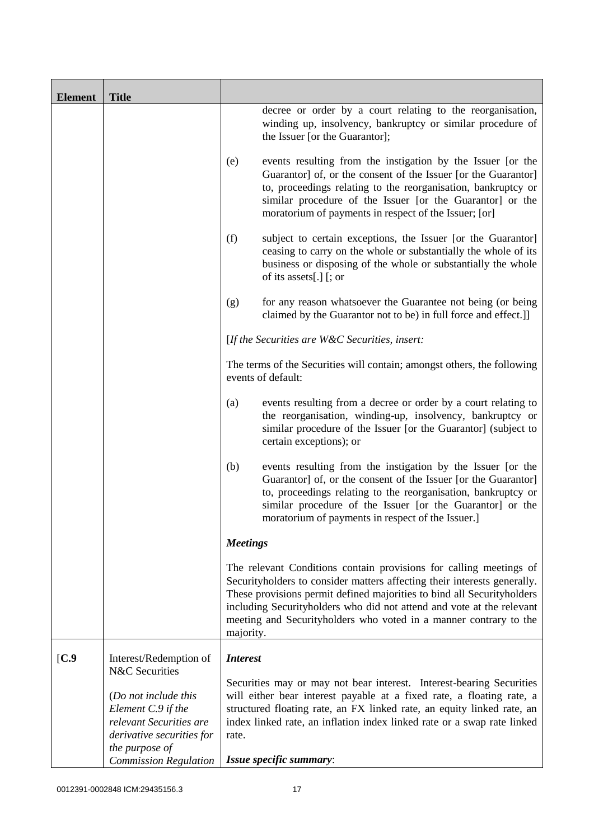| <b>Element</b> | <b>Title</b>                                                                                                                                         |                 |                                                                                                                                                                                                                                                                                                                                                                        |
|----------------|------------------------------------------------------------------------------------------------------------------------------------------------------|-----------------|------------------------------------------------------------------------------------------------------------------------------------------------------------------------------------------------------------------------------------------------------------------------------------------------------------------------------------------------------------------------|
|                |                                                                                                                                                      |                 | decree or order by a court relating to the reorganisation,<br>winding up, insolvency, bankruptcy or similar procedure of<br>the Issuer [or the Guarantor];                                                                                                                                                                                                             |
|                |                                                                                                                                                      | (e)             | events resulting from the instigation by the Issuer [or the<br>Guarantor] of, or the consent of the Issuer [or the Guarantor]<br>to, proceedings relating to the reorganisation, bankruptcy or<br>similar procedure of the Issuer [or the Guarantor] or the<br>moratorium of payments in respect of the Issuer; [or]                                                   |
|                |                                                                                                                                                      | (f)             | subject to certain exceptions, the Issuer [or the Guarantor]<br>ceasing to carry on the whole or substantially the whole of its<br>business or disposing of the whole or substantially the whole<br>of its assets[.] [; or                                                                                                                                             |
|                |                                                                                                                                                      | (g)             | for any reason whatsoever the Guarantee not being (or being<br>claimed by the Guarantor not to be) in full force and effect.]                                                                                                                                                                                                                                          |
|                |                                                                                                                                                      |                 | [If the Securities are $W\&C$ Securities, insert:                                                                                                                                                                                                                                                                                                                      |
|                |                                                                                                                                                      |                 | The terms of the Securities will contain; amongst others, the following<br>events of default:                                                                                                                                                                                                                                                                          |
|                |                                                                                                                                                      | (a)             | events resulting from a decree or order by a court relating to<br>the reorganisation, winding-up, insolvency, bankruptcy or<br>similar procedure of the Issuer [or the Guarantor] (subject to<br>certain exceptions); or                                                                                                                                               |
|                |                                                                                                                                                      | (b)             | events resulting from the instigation by the Issuer [or the<br>Guarantor] of, or the consent of the Issuer [or the Guarantor]<br>to, proceedings relating to the reorganisation, bankruptcy or<br>similar procedure of the Issuer [or the Guarantor] or the<br>moratorium of payments in respect of the Issuer.]                                                       |
|                |                                                                                                                                                      | <b>Meetings</b> |                                                                                                                                                                                                                                                                                                                                                                        |
|                |                                                                                                                                                      | majority.       | The relevant Conditions contain provisions for calling meetings of<br>Securityholders to consider matters affecting their interests generally.<br>These provisions permit defined majorities to bind all Securityholders<br>including Securityholders who did not attend and vote at the relevant<br>meeting and Securityholders who voted in a manner contrary to the |
| [C.9]          | Interest/Redemption of<br><b>N&amp;C</b> Securities                                                                                                  | <b>Interest</b> |                                                                                                                                                                                                                                                                                                                                                                        |
|                | (Do not include this<br>Element C.9 if the<br>relevant Securities are<br>derivative securities for<br>the purpose of<br><b>Commission Regulation</b> | rate.           | Securities may or may not bear interest. Interest-bearing Securities<br>will either bear interest payable at a fixed rate, a floating rate, a<br>structured floating rate, an FX linked rate, an equity linked rate, an<br>index linked rate, an inflation index linked rate or a swap rate linked<br>Issue specific summary:                                          |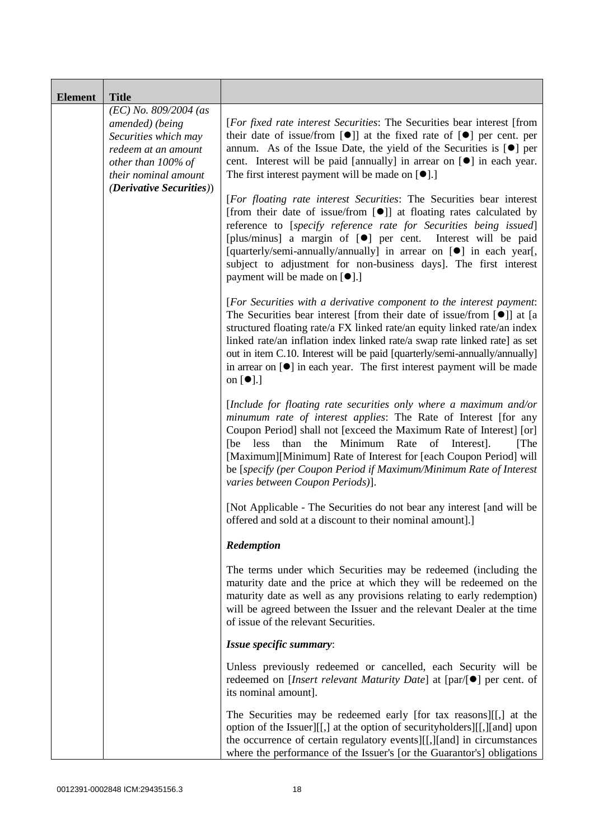| <b>Element</b> | <b>Title</b>                                                                                                                            |                                                                                                                                                                                                                                                                                                                                                                                                                                                                                                        |
|----------------|-----------------------------------------------------------------------------------------------------------------------------------------|--------------------------------------------------------------------------------------------------------------------------------------------------------------------------------------------------------------------------------------------------------------------------------------------------------------------------------------------------------------------------------------------------------------------------------------------------------------------------------------------------------|
|                | $(EC)$ No. 809/2004 (as<br>amended) (being<br>Securities which may<br>redeem at an amount<br>other than 100% of<br>their nominal amount | [For fixed rate interest Securities: The Securities bear interest [from<br>their date of issue/from $[\bullet]$ at the fixed rate of $[\bullet]$ per cent. per<br>annum. As of the Issue Date, the yield of the Securities is $[\bullet]$ per<br>cent. Interest will be paid [annually] in arrear on [ <sup>•</sup> ] in each year.<br>The first interest payment will be made on $[\bullet]$ .]                                                                                                       |
|                | <i>(Derivative Securities))</i>                                                                                                         | [For floating rate interest Securities: The Securities bear interest<br>[from their date of issue/from [ $\bullet$ ]] at floating rates calculated by<br>reference to [specify reference rate for Securities being issued]<br>[plus/minus] a margin of [ <sup>o</sup> ] per cent. Interest will be paid<br>[quarterly/semi-annually/annually] in arrear on [ $\bullet$ ] in each year[,<br>subject to adjustment for non-business days]. The first interest<br>payment will be made on [ $\bullet$ ].] |
|                |                                                                                                                                         | [For Securities with a derivative component to the interest payment:<br>The Securities bear interest [from their date of issue/from $[①]$ ] at [a<br>structured floating rate/a FX linked rate/an equity linked rate/an index<br>linked rate/an inflation index linked rate/a swap rate linked rate] as set<br>out in item C.10. Interest will be paid [quarterly/semi-annually/annually]<br>in arrear on $[\bullet]$ in each year. The first interest payment will be made<br>on $[\bullet]$ .]       |
|                |                                                                                                                                         | [Include for floating rate securities only where a maximum and/or<br>minumum rate of interest applies: The Rate of Interest [for any<br>Coupon Period] shall not [exceed the Maximum Rate of Interest] [or]<br>Minimum<br>than<br>the<br>Rate<br>of<br>Interest].<br>[The]<br>[be less]<br>[Maximum][Minimum] Rate of Interest for [each Coupon Period] will<br>be [specify (per Coupon Period if Maximum/Minimum Rate of Interest<br>varies between Coupon Periods)].                                 |
|                |                                                                                                                                         | [Not Applicable - The Securities do not bear any interest [and will be<br>offered and sold at a discount to their nominal amount].]                                                                                                                                                                                                                                                                                                                                                                    |
|                |                                                                                                                                         | Redemption                                                                                                                                                                                                                                                                                                                                                                                                                                                                                             |
|                |                                                                                                                                         | The terms under which Securities may be redeemed (including the<br>maturity date and the price at which they will be redeemed on the<br>maturity date as well as any provisions relating to early redemption)<br>will be agreed between the Issuer and the relevant Dealer at the time<br>of issue of the relevant Securities.                                                                                                                                                                         |
|                |                                                                                                                                         | Issue specific summary:                                                                                                                                                                                                                                                                                                                                                                                                                                                                                |
|                |                                                                                                                                         | Unless previously redeemed or cancelled, each Security will be<br>redeemed on [ <i>Insert relevant Maturity Date</i> ] at $[\text{par}/\bullet]$ per cent. of<br>its nominal amount].                                                                                                                                                                                                                                                                                                                  |
|                |                                                                                                                                         | The Securities may be redeemed early [for tax reasons][[,] at the<br>option of the Issuer][[,] at the option of securityholders][[,][and] upon<br>the occurrence of certain regulatory events][[,][and] in circumstances<br>where the performance of the Issuer's [or the Guarantor's] obligations                                                                                                                                                                                                     |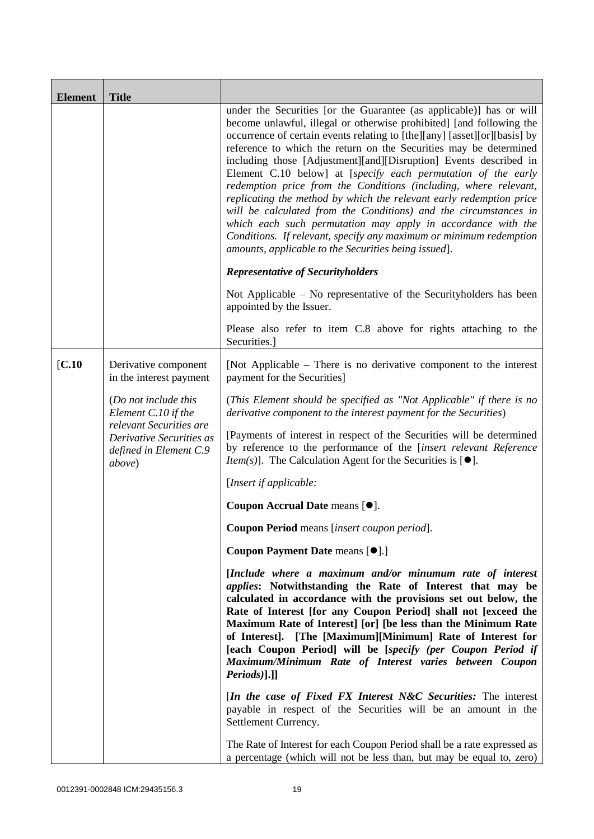| <b>Element</b> | <b>Title</b>                                                           |                                                                                                                                                                                                                                                                                                                                                                                                                                                                                                                                                                                                                                                                                                                                                                                                                                                  |
|----------------|------------------------------------------------------------------------|--------------------------------------------------------------------------------------------------------------------------------------------------------------------------------------------------------------------------------------------------------------------------------------------------------------------------------------------------------------------------------------------------------------------------------------------------------------------------------------------------------------------------------------------------------------------------------------------------------------------------------------------------------------------------------------------------------------------------------------------------------------------------------------------------------------------------------------------------|
|                |                                                                        | under the Securities [or the Guarantee (as applicable)] has or will<br>become unlawful, illegal or otherwise prohibited] [and following the<br>occurrence of certain events relating to [the][any] [asset][or][basis] by<br>reference to which the return on the Securities may be determined<br>including those [Adjustment][and][Disruption] Events described in<br>Element C.10 below] at [specify each permutation of the early<br>redemption price from the Conditions (including, where relevant,<br>replicating the method by which the relevant early redemption price<br>will be calculated from the Conditions) and the circumstances in<br>which each such permutation may apply in accordance with the<br>Conditions. If relevant, specify any maximum or minimum redemption<br>amounts, applicable to the Securities being issued]. |
|                |                                                                        | <b>Representative of Securityholders</b>                                                                                                                                                                                                                                                                                                                                                                                                                                                                                                                                                                                                                                                                                                                                                                                                         |
|                |                                                                        | Not Applicable $-$ No representative of the Security holders has been<br>appointed by the Issuer.                                                                                                                                                                                                                                                                                                                                                                                                                                                                                                                                                                                                                                                                                                                                                |
|                |                                                                        | Please also refer to item C.8 above for rights attaching to the<br>Securities.]                                                                                                                                                                                                                                                                                                                                                                                                                                                                                                                                                                                                                                                                                                                                                                  |
| [C.10]         | Derivative component<br>in the interest payment                        | [Not Applicable – There is no derivative component to the interest<br>payment for the Securities]                                                                                                                                                                                                                                                                                                                                                                                                                                                                                                                                                                                                                                                                                                                                                |
|                | (Do not include this<br>Element C.10 if the<br>relevant Securities are | (This Element should be specified as "Not Applicable" if there is no<br>derivative component to the interest payment for the Securities)                                                                                                                                                                                                                                                                                                                                                                                                                                                                                                                                                                                                                                                                                                         |
|                | Derivative Securities as<br>defined in Element C.9<br><i>above</i> )   | [Payments of interest in respect of the Securities will be determined<br>by reference to the performance of the [insert relevant Reference<br><i>Item(s)</i> ]. The Calculation Agent for the Securities is $[•]$ .                                                                                                                                                                                                                                                                                                                                                                                                                                                                                                                                                                                                                              |
|                |                                                                        | [Insert if applicable:                                                                                                                                                                                                                                                                                                                                                                                                                                                                                                                                                                                                                                                                                                                                                                                                                           |
|                |                                                                        | Coupon Accrual Date means [ $\bullet$ ].                                                                                                                                                                                                                                                                                                                                                                                                                                                                                                                                                                                                                                                                                                                                                                                                         |
|                |                                                                        | Coupon Period means [insert coupon period].                                                                                                                                                                                                                                                                                                                                                                                                                                                                                                                                                                                                                                                                                                                                                                                                      |
|                |                                                                        | Coupon Payment Date means [ $\bullet$ ].]                                                                                                                                                                                                                                                                                                                                                                                                                                                                                                                                                                                                                                                                                                                                                                                                        |
|                |                                                                        | [Include where a maximum and/or minumum rate of interest<br><i>applies:</i> Notwithstanding the Rate of Interest that may be<br>calculated in accordance with the provisions set out below, the<br>Rate of Interest [for any Coupon Period] shall not [exceed the<br>Maximum Rate of Interest] [or] [be less than the Minimum Rate<br>of Interest]. [The [Maximum][Minimum] Rate of Interest for<br>[each Coupon Period] will be [specify (per Coupon Period if<br>Maximum/Minimum Rate of Interest varies between Coupon<br>$Periods$ ].]]                                                                                                                                                                                                                                                                                                      |
|                |                                                                        | [In the case of Fixed FX Interest N&C Securities: The interest<br>payable in respect of the Securities will be an amount in the<br>Settlement Currency.                                                                                                                                                                                                                                                                                                                                                                                                                                                                                                                                                                                                                                                                                          |
|                |                                                                        | The Rate of Interest for each Coupon Period shall be a rate expressed as<br>a percentage (which will not be less than, but may be equal to, zero)                                                                                                                                                                                                                                                                                                                                                                                                                                                                                                                                                                                                                                                                                                |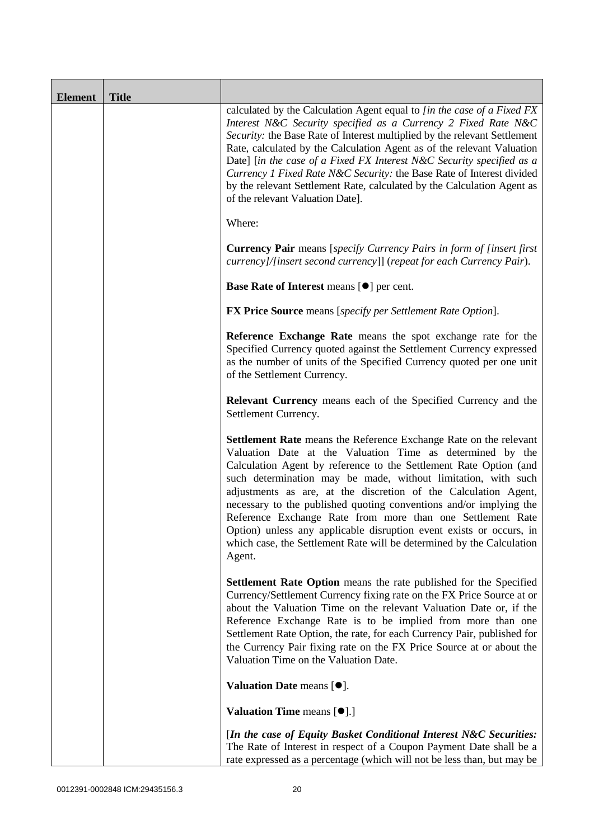| <b>Element</b> | <b>Title</b> |                                                                                                                                                                                                                                                                                                                                                                                                                                                                                                                                                                                                                                              |
|----------------|--------------|----------------------------------------------------------------------------------------------------------------------------------------------------------------------------------------------------------------------------------------------------------------------------------------------------------------------------------------------------------------------------------------------------------------------------------------------------------------------------------------------------------------------------------------------------------------------------------------------------------------------------------------------|
|                |              | calculated by the Calculation Agent equal to [in the case of a Fixed FX<br>Interest N&C Security specified as a Currency 2 Fixed Rate N&C<br>Security: the Base Rate of Interest multiplied by the relevant Settlement<br>Rate, calculated by the Calculation Agent as of the relevant Valuation<br>Date] [in the case of a Fixed FX Interest N&C Security specified as a<br>Currency 1 Fixed Rate N&C Security: the Base Rate of Interest divided<br>by the relevant Settlement Rate, calculated by the Calculation Agent as<br>of the relevant Valuation Date].                                                                            |
|                |              | Where:                                                                                                                                                                                                                                                                                                                                                                                                                                                                                                                                                                                                                                       |
|                |              | <b>Currency Pair</b> means [specify Currency Pairs in form of [insert first]<br>currency]/[insert second currency]] (repeat for each Currency Pair).                                                                                                                                                                                                                                                                                                                                                                                                                                                                                         |
|                |              | Base Rate of Interest means [ $\bullet$ ] per cent.                                                                                                                                                                                                                                                                                                                                                                                                                                                                                                                                                                                          |
|                |              | <b>FX Price Source</b> means [specify per Settlement Rate Option].                                                                                                                                                                                                                                                                                                                                                                                                                                                                                                                                                                           |
|                |              | Reference Exchange Rate means the spot exchange rate for the<br>Specified Currency quoted against the Settlement Currency expressed<br>as the number of units of the Specified Currency quoted per one unit<br>of the Settlement Currency.                                                                                                                                                                                                                                                                                                                                                                                                   |
|                |              | <b>Relevant Currency</b> means each of the Specified Currency and the<br>Settlement Currency.                                                                                                                                                                                                                                                                                                                                                                                                                                                                                                                                                |
|                |              | <b>Settlement Rate</b> means the Reference Exchange Rate on the relevant<br>Valuation Date at the Valuation Time as determined by the<br>Calculation Agent by reference to the Settlement Rate Option (and<br>such determination may be made, without limitation, with such<br>adjustments as are, at the discretion of the Calculation Agent,<br>necessary to the published quoting conventions and/or implying the<br>Reference Exchange Rate from more than one Settlement Rate<br>Option) unless any applicable disruption event exists or occurs, in<br>which case, the Settlement Rate will be determined by the Calculation<br>Agent. |
|                |              | <b>Settlement Rate Option</b> means the rate published for the Specified<br>Currency/Settlement Currency fixing rate on the FX Price Source at or<br>about the Valuation Time on the relevant Valuation Date or, if the<br>Reference Exchange Rate is to be implied from more than one<br>Settlement Rate Option, the rate, for each Currency Pair, published for<br>the Currency Pair fixing rate on the FX Price Source at or about the<br>Valuation Time on the Valuation Date.                                                                                                                                                           |
|                |              | Valuation Date means $[•]$ .                                                                                                                                                                                                                                                                                                                                                                                                                                                                                                                                                                                                                 |
|                |              | <b>Valuation Time means [<math>\bullet</math>].]</b>                                                                                                                                                                                                                                                                                                                                                                                                                                                                                                                                                                                         |
|                |              | [In the case of Equity Basket Conditional Interest N&C Securities:<br>The Rate of Interest in respect of a Coupon Payment Date shall be a<br>rate expressed as a percentage (which will not be less than, but may be                                                                                                                                                                                                                                                                                                                                                                                                                         |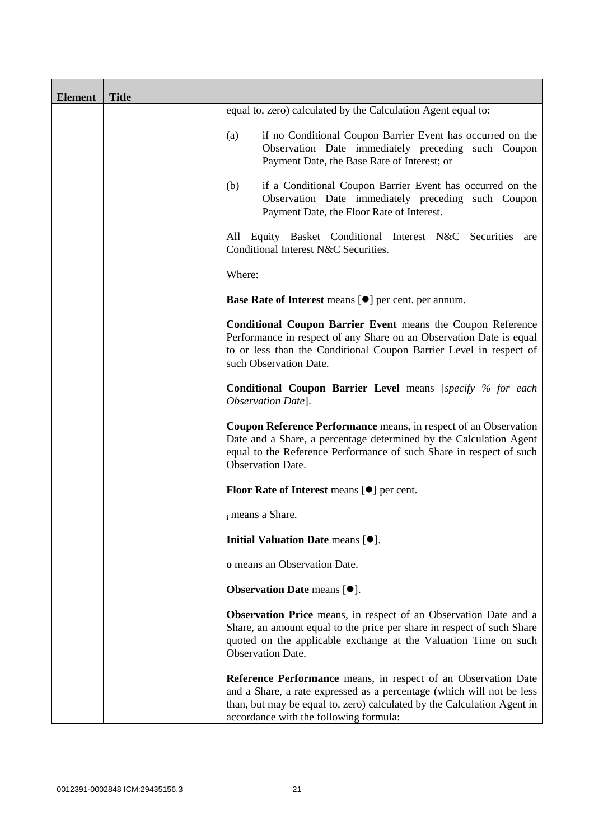| <b>Element</b> | <b>Title</b> |                                                                                                                                                                                                                                                                     |
|----------------|--------------|---------------------------------------------------------------------------------------------------------------------------------------------------------------------------------------------------------------------------------------------------------------------|
|                |              | equal to, zero) calculated by the Calculation Agent equal to:                                                                                                                                                                                                       |
|                |              | if no Conditional Coupon Barrier Event has occurred on the<br>(a)<br>Observation Date immediately preceding such Coupon<br>Payment Date, the Base Rate of Interest; or                                                                                              |
|                |              | if a Conditional Coupon Barrier Event has occurred on the<br>(b)<br>Observation Date immediately preceding such Coupon<br>Payment Date, the Floor Rate of Interest.                                                                                                 |
|                |              | All Equity Basket Conditional Interest N&C Securities<br>are<br>Conditional Interest N&C Securities.                                                                                                                                                                |
|                |              | Where:                                                                                                                                                                                                                                                              |
|                |              | Base Rate of Interest means [ $\bullet$ ] per cent. per annum.                                                                                                                                                                                                      |
|                |              | Conditional Coupon Barrier Event means the Coupon Reference<br>Performance in respect of any Share on an Observation Date is equal<br>to or less than the Conditional Coupon Barrier Level in respect of<br>such Observation Date.                                  |
|                |              | <b>Conditional Coupon Barrier Level</b> means [specify % for each<br>Observation Date].                                                                                                                                                                             |
|                |              | Coupon Reference Performance means, in respect of an Observation<br>Date and a Share, a percentage determined by the Calculation Agent<br>equal to the Reference Performance of such Share in respect of such<br><b>Observation Date.</b>                           |
|                |              | Floor Rate of Interest means [ $\bullet$ ] per cent.                                                                                                                                                                                                                |
|                |              | i means a Share.                                                                                                                                                                                                                                                    |
|                |              | Initial Valuation Date means [ $\bullet$ ].                                                                                                                                                                                                                         |
|                |              | o means an Observation Date.                                                                                                                                                                                                                                        |
|                |              | Observation Date means [ $\bullet$ ].                                                                                                                                                                                                                               |
|                |              | <b>Observation Price</b> means, in respect of an Observation Date and a<br>Share, an amount equal to the price per share in respect of such Share<br>quoted on the applicable exchange at the Valuation Time on such<br><b>Observation Date.</b>                    |
|                |              | <b>Reference Performance</b> means, in respect of an Observation Date<br>and a Share, a rate expressed as a percentage (which will not be less<br>than, but may be equal to, zero) calculated by the Calculation Agent in<br>accordance with the following formula: |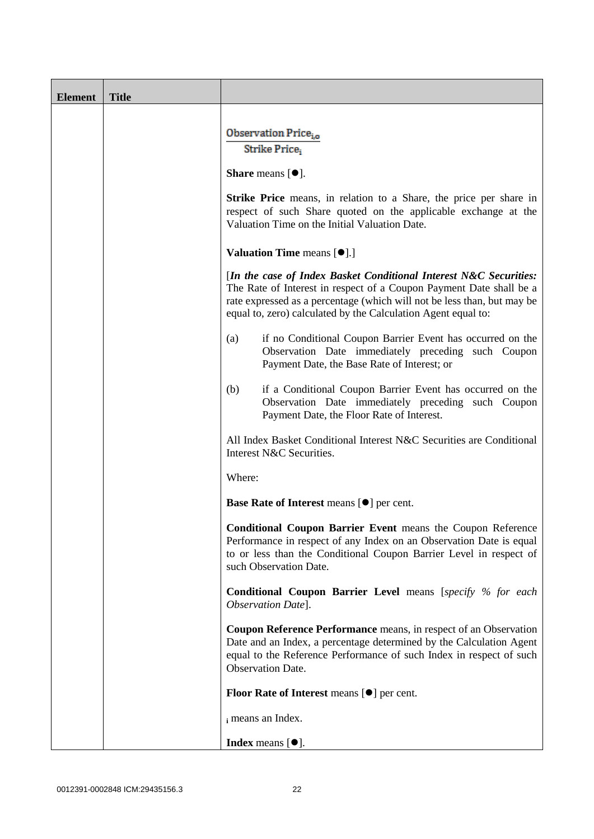| <b>Element</b> | <b>Title</b> |                                                                                                                                                                                                                                                                                      |
|----------------|--------------|--------------------------------------------------------------------------------------------------------------------------------------------------------------------------------------------------------------------------------------------------------------------------------------|
|                |              | Observation Price <sub>io</sub><br>Strike Price,                                                                                                                                                                                                                                     |
|                |              |                                                                                                                                                                                                                                                                                      |
|                |              | <b>Share</b> means $[①]$ .                                                                                                                                                                                                                                                           |
|                |              | <b>Strike Price</b> means, in relation to a Share, the price per share in<br>respect of such Share quoted on the applicable exchange at the<br>Valuation Time on the Initial Valuation Date.                                                                                         |
|                |              | <b>Valuation Time means [<math>\bullet</math>].]</b>                                                                                                                                                                                                                                 |
|                |              | [In the case of Index Basket Conditional Interest N&C Securities:<br>The Rate of Interest in respect of a Coupon Payment Date shall be a<br>rate expressed as a percentage (which will not be less than, but may be<br>equal to, zero) calculated by the Calculation Agent equal to: |
|                |              | if no Conditional Coupon Barrier Event has occurred on the<br>(a)<br>Observation Date immediately preceding such Coupon<br>Payment Date, the Base Rate of Interest; or                                                                                                               |
|                |              | if a Conditional Coupon Barrier Event has occurred on the<br>(b)<br>Observation Date immediately preceding such Coupon<br>Payment Date, the Floor Rate of Interest.                                                                                                                  |
|                |              | All Index Basket Conditional Interest N&C Securities are Conditional<br>Interest N&C Securities.                                                                                                                                                                                     |
|                |              | Where:                                                                                                                                                                                                                                                                               |
|                |              | Base Rate of Interest means [ $\bullet$ ] per cent.                                                                                                                                                                                                                                  |
|                |              | <b>Conditional Coupon Barrier Event</b> means the Coupon Reference<br>Performance in respect of any Index on an Observation Date is equal<br>to or less than the Conditional Coupon Barrier Level in respect of<br>such Observation Date.                                            |
|                |              | <b>Conditional Coupon Barrier Level</b> means [specify % for each<br>Observation Date].                                                                                                                                                                                              |
|                |              | Coupon Reference Performance means, in respect of an Observation<br>Date and an Index, a percentage determined by the Calculation Agent<br>equal to the Reference Performance of such Index in respect of such<br><b>Observation Date.</b>                                           |
|                |              | <b>Floor Rate of Interest means <math>[\bullet]</math> per cent.</b>                                                                                                                                                                                                                 |
|                |              | i means an Index.                                                                                                                                                                                                                                                                    |
|                |              | <b>Index</b> means $[•]$ .                                                                                                                                                                                                                                                           |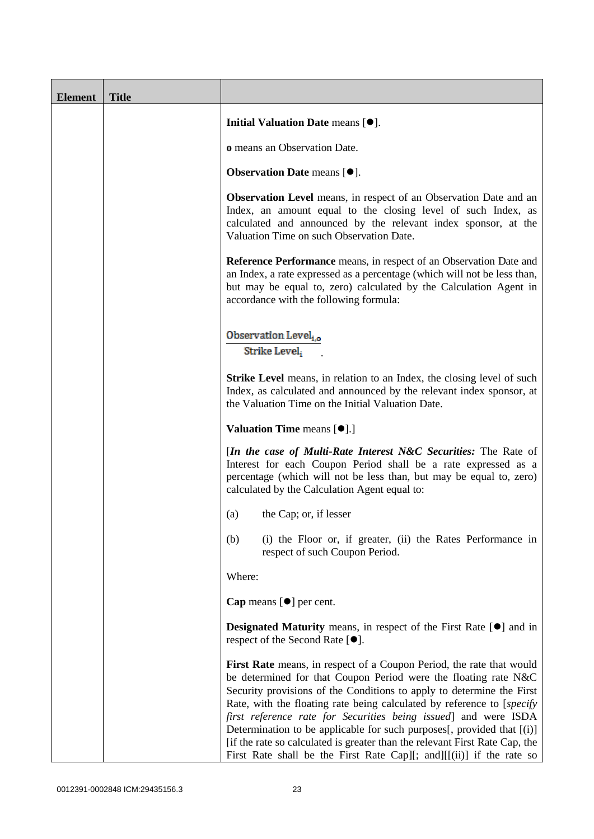| <b>Element</b> | <b>Title</b> |                                                                                                                                                                                                                                                                                                                                                                                                                                                                                                                                                                                                 |
|----------------|--------------|-------------------------------------------------------------------------------------------------------------------------------------------------------------------------------------------------------------------------------------------------------------------------------------------------------------------------------------------------------------------------------------------------------------------------------------------------------------------------------------------------------------------------------------------------------------------------------------------------|
|                |              | Initial Valuation Date means [ $\bullet$ ].                                                                                                                                                                                                                                                                                                                                                                                                                                                                                                                                                     |
|                |              | o means an Observation Date.                                                                                                                                                                                                                                                                                                                                                                                                                                                                                                                                                                    |
|                |              | Observation Date means [ $\bullet$ ].                                                                                                                                                                                                                                                                                                                                                                                                                                                                                                                                                           |
|                |              | Observation Level means, in respect of an Observation Date and an<br>Index, an amount equal to the closing level of such Index, as<br>calculated and announced by the relevant index sponsor, at the<br>Valuation Time on such Observation Date.                                                                                                                                                                                                                                                                                                                                                |
|                |              | <b>Reference Performance</b> means, in respect of an Observation Date and<br>an Index, a rate expressed as a percentage (which will not be less than,<br>but may be equal to, zero) calculated by the Calculation Agent in<br>accordance with the following formula:                                                                                                                                                                                                                                                                                                                            |
|                |              | Observation Level <sub>i.o</sub><br>Strike Level,                                                                                                                                                                                                                                                                                                                                                                                                                                                                                                                                               |
|                |              | <b>Strike Level</b> means, in relation to an Index, the closing level of such<br>Index, as calculated and announced by the relevant index sponsor, at<br>the Valuation Time on the Initial Valuation Date.                                                                                                                                                                                                                                                                                                                                                                                      |
|                |              | <b>Valuation Time means <math>[\bullet]</math>.</b> ]                                                                                                                                                                                                                                                                                                                                                                                                                                                                                                                                           |
|                |              | [In the case of Multi-Rate Interest N&C Securities: The Rate of<br>Interest for each Coupon Period shall be a rate expressed as a<br>percentage (which will not be less than, but may be equal to, zero)<br>calculated by the Calculation Agent equal to:                                                                                                                                                                                                                                                                                                                                       |
|                |              | the Cap; or, if lesser<br>(a)                                                                                                                                                                                                                                                                                                                                                                                                                                                                                                                                                                   |
|                |              | (i) the Floor or, if greater, (ii) the Rates Performance in<br>(b)<br>respect of such Coupon Period.                                                                                                                                                                                                                                                                                                                                                                                                                                                                                            |
|                |              | Where:                                                                                                                                                                                                                                                                                                                                                                                                                                                                                                                                                                                          |
|                |              | Cap means $[\bullet]$ per cent.                                                                                                                                                                                                                                                                                                                                                                                                                                                                                                                                                                 |
|                |              | <b>Designated Maturity</b> means, in respect of the First Rate [ $\bullet$ ] and in<br>respect of the Second Rate [ <sup>●</sup> ].                                                                                                                                                                                                                                                                                                                                                                                                                                                             |
|                |              | First Rate means, in respect of a Coupon Period, the rate that would<br>be determined for that Coupon Period were the floating rate N&C<br>Security provisions of the Conditions to apply to determine the First<br>Rate, with the floating rate being calculated by reference to [specify]<br>first reference rate for Securities being issued] and were ISDA<br>Determination to be applicable for such purposes[, provided that [(i)]<br>[if the rate so calculated is greater than the relevant First Rate Cap, the<br>First Rate shall be the First Rate Cap][; and][[(ii)] if the rate so |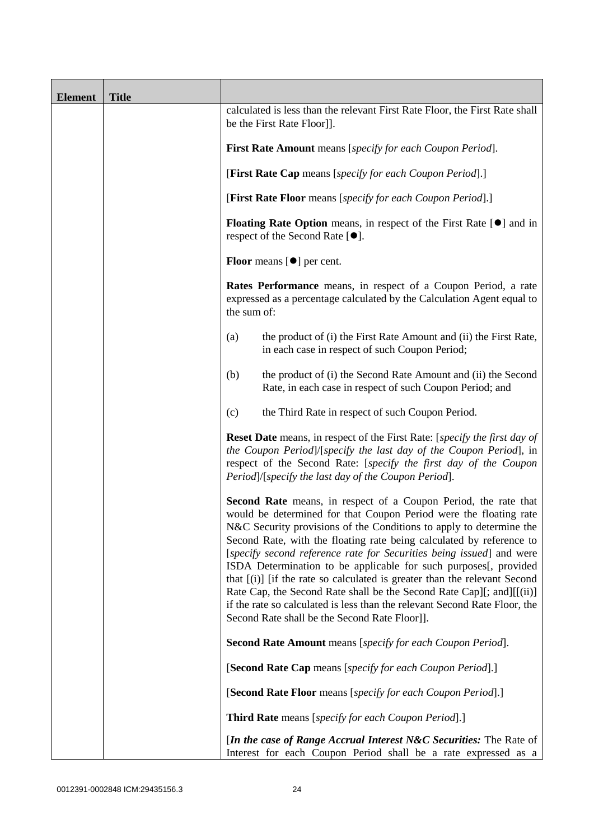| <b>Element</b> | <b>Title</b> |                                                                                                                                                                                                                                                                                                                                                                                                                                                                                                                                                                                                                                                                                                                             |
|----------------|--------------|-----------------------------------------------------------------------------------------------------------------------------------------------------------------------------------------------------------------------------------------------------------------------------------------------------------------------------------------------------------------------------------------------------------------------------------------------------------------------------------------------------------------------------------------------------------------------------------------------------------------------------------------------------------------------------------------------------------------------------|
|                |              | calculated is less than the relevant First Rate Floor, the First Rate shall<br>be the First Rate Floor]].                                                                                                                                                                                                                                                                                                                                                                                                                                                                                                                                                                                                                   |
|                |              | <b>First Rate Amount</b> means [specify for each Coupon Period].                                                                                                                                                                                                                                                                                                                                                                                                                                                                                                                                                                                                                                                            |
|                |              | [First Rate Cap means [specify for each Coupon Period].]                                                                                                                                                                                                                                                                                                                                                                                                                                                                                                                                                                                                                                                                    |
|                |              | [First Rate Floor means [specify for each Coupon Period].]                                                                                                                                                                                                                                                                                                                                                                                                                                                                                                                                                                                                                                                                  |
|                |              | <b>Floating Rate Option</b> means, in respect of the First Rate $[\bullet]$ and in<br>respect of the Second Rate [●].                                                                                                                                                                                                                                                                                                                                                                                                                                                                                                                                                                                                       |
|                |              | <b>Floor</b> means $[\bullet]$ per cent.                                                                                                                                                                                                                                                                                                                                                                                                                                                                                                                                                                                                                                                                                    |
|                |              | Rates Performance means, in respect of a Coupon Period, a rate<br>expressed as a percentage calculated by the Calculation Agent equal to<br>the sum of:                                                                                                                                                                                                                                                                                                                                                                                                                                                                                                                                                                     |
|                |              | the product of (i) the First Rate Amount and (ii) the First Rate,<br>(a)<br>in each case in respect of such Coupon Period;                                                                                                                                                                                                                                                                                                                                                                                                                                                                                                                                                                                                  |
|                |              | the product of (i) the Second Rate Amount and (ii) the Second<br>(b)<br>Rate, in each case in respect of such Coupon Period; and                                                                                                                                                                                                                                                                                                                                                                                                                                                                                                                                                                                            |
|                |              | the Third Rate in respect of such Coupon Period.<br>(c)                                                                                                                                                                                                                                                                                                                                                                                                                                                                                                                                                                                                                                                                     |
|                |              | <b>Reset Date</b> means, in respect of the First Rate: [specify the first day of<br>the Coupon Period]/[specify the last day of the Coupon Period], in<br>respect of the Second Rate: [specify the first day of the Coupon<br>Period]/[specify the last day of the Coupon Period].                                                                                                                                                                                                                                                                                                                                                                                                                                          |
|                |              | <b>Second Rate</b> means, in respect of a Coupon Period, the rate that<br>would be determined for that Coupon Period were the floating rate<br>N&C Security provisions of the Conditions to apply to determine the<br>Second Rate, with the floating rate being calculated by reference to<br>[specify second reference rate for Securities being issued] and were<br>ISDA Determination to be applicable for such purposes[, provided<br>that [(i)] [if the rate so calculated is greater than the relevant Second<br>Rate Cap, the Second Rate shall be the Second Rate Cap][; and][[(ii)]<br>if the rate so calculated is less than the relevant Second Rate Floor, the<br>Second Rate shall be the Second Rate Floor]]. |
|                |              | <b>Second Rate Amount</b> means [specify for each Coupon Period].                                                                                                                                                                                                                                                                                                                                                                                                                                                                                                                                                                                                                                                           |
|                |              | [Second Rate Cap means [specify for each Coupon Period].]                                                                                                                                                                                                                                                                                                                                                                                                                                                                                                                                                                                                                                                                   |
|                |              | [Second Rate Floor means [specify for each Coupon Period].]                                                                                                                                                                                                                                                                                                                                                                                                                                                                                                                                                                                                                                                                 |
|                |              | <b>Third Rate</b> means [specify for each Coupon Period].]                                                                                                                                                                                                                                                                                                                                                                                                                                                                                                                                                                                                                                                                  |
|                |              | [In the case of Range Accrual Interest N&C Securities: The Rate of<br>Interest for each Coupon Period shall be a rate expressed as a                                                                                                                                                                                                                                                                                                                                                                                                                                                                                                                                                                                        |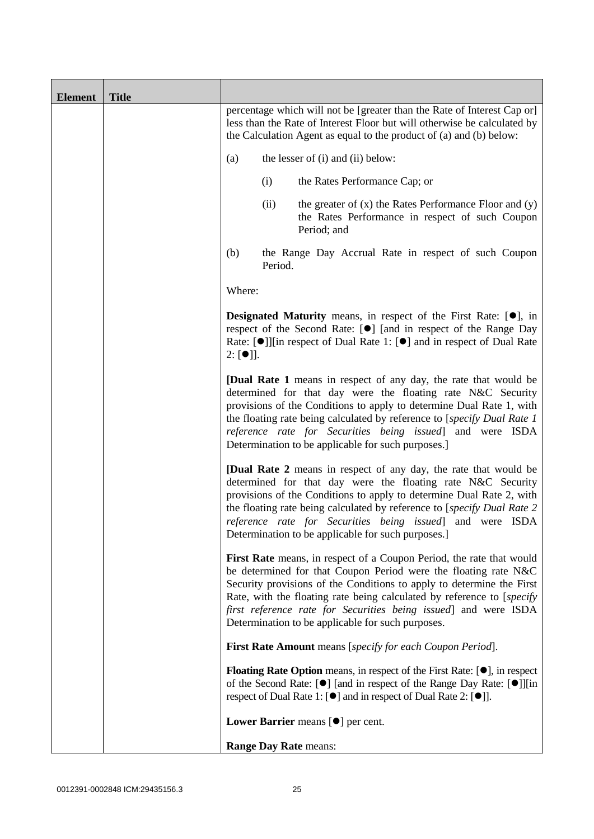| <b>Element</b> | <b>Title</b> |                                                                                                                                                                                                                                              |                                                                                                                                                                                                                                                                                                                                                                                                                     |  |
|----------------|--------------|----------------------------------------------------------------------------------------------------------------------------------------------------------------------------------------------------------------------------------------------|---------------------------------------------------------------------------------------------------------------------------------------------------------------------------------------------------------------------------------------------------------------------------------------------------------------------------------------------------------------------------------------------------------------------|--|
|                |              |                                                                                                                                                                                                                                              | percentage which will not be [greater than the Rate of Interest Cap or]<br>less than the Rate of Interest Floor but will otherwise be calculated by<br>the Calculation Agent as equal to the product of (a) and (b) below:                                                                                                                                                                                          |  |
|                |              | (a)                                                                                                                                                                                                                                          | the lesser of (i) and (ii) below:                                                                                                                                                                                                                                                                                                                                                                                   |  |
|                |              |                                                                                                                                                                                                                                              | (i)<br>the Rates Performance Cap; or                                                                                                                                                                                                                                                                                                                                                                                |  |
|                |              |                                                                                                                                                                                                                                              | (ii)<br>the greater of $(x)$ the Rates Performance Floor and $(y)$<br>the Rates Performance in respect of such Coupon<br>Period; and                                                                                                                                                                                                                                                                                |  |
|                |              | (b)                                                                                                                                                                                                                                          | the Range Day Accrual Rate in respect of such Coupon<br>Period.                                                                                                                                                                                                                                                                                                                                                     |  |
|                |              | Where:                                                                                                                                                                                                                                       |                                                                                                                                                                                                                                                                                                                                                                                                                     |  |
|                |              | <b>Designated Maturity</b> means, in respect of the First Rate: $[•]$ , in<br>respect of the Second Rate: [●] [and in respect of the Range Day<br>Rate: [●]][in respect of Dual Rate 1: [●] and in respect of Dual Rate<br>$2: [\bullet]$ ]. |                                                                                                                                                                                                                                                                                                                                                                                                                     |  |
|                |              |                                                                                                                                                                                                                                              | <b>[Dual Rate 1</b> means in respect of any day, the rate that would be<br>determined for that day were the floating rate N&C Security<br>provisions of the Conditions to apply to determine Dual Rate 1, with<br>the floating rate being calculated by reference to [specify Dual Rate 1<br>reference rate for Securities being issued] and were ISDA<br>Determination to be applicable for such purposes.]        |  |
|                |              |                                                                                                                                                                                                                                              | <b>[Dual Rate 2</b> means in respect of any day, the rate that would be<br>determined for that day were the floating rate N&C Security<br>provisions of the Conditions to apply to determine Dual Rate 2, with<br>the floating rate being calculated by reference to [specify Dual Rate 2<br>reference rate for Securities being issued] and were ISDA<br>Determination to be applicable for such purposes.         |  |
|                |              |                                                                                                                                                                                                                                              | First Rate means, in respect of a Coupon Period, the rate that would<br>be determined for that Coupon Period were the floating rate N&C<br>Security provisions of the Conditions to apply to determine the First<br>Rate, with the floating rate being calculated by reference to [specify]<br>first reference rate for Securities being issued] and were ISDA<br>Determination to be applicable for such purposes. |  |
|                |              |                                                                                                                                                                                                                                              | First Rate Amount means [specify for each Coupon Period].                                                                                                                                                                                                                                                                                                                                                           |  |
|                |              |                                                                                                                                                                                                                                              | <b>Floating Rate Option</b> means, in respect of the First Rate: $[•]$ , in respect<br>of the Second Rate: [ $\bullet$ ] [and in respect of the Range Day Rate: [ $\bullet$ ]][in<br>respect of Dual Rate 1: $[\bullet]$ and in respect of Dual Rate 2: $[\bullet]$ ].                                                                                                                                              |  |
|                |              |                                                                                                                                                                                                                                              | Lower Barrier means $[\bullet]$ per cent.                                                                                                                                                                                                                                                                                                                                                                           |  |
|                |              |                                                                                                                                                                                                                                              | <b>Range Day Rate means:</b>                                                                                                                                                                                                                                                                                                                                                                                        |  |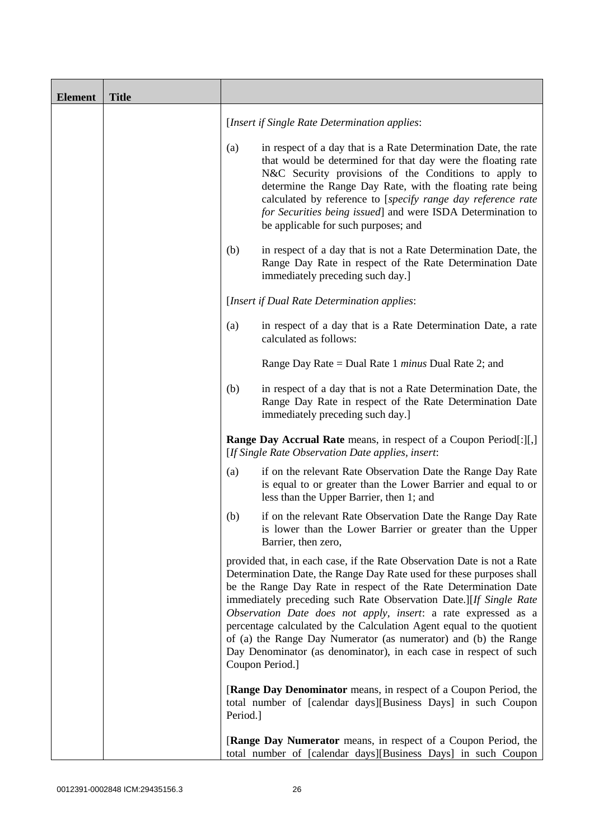| <b>Element</b> | <b>Title</b> |          |                                                                                                                                                                                                                                                                                                                                                                                                                                                                                                                                                                                              |
|----------------|--------------|----------|----------------------------------------------------------------------------------------------------------------------------------------------------------------------------------------------------------------------------------------------------------------------------------------------------------------------------------------------------------------------------------------------------------------------------------------------------------------------------------------------------------------------------------------------------------------------------------------------|
|                |              |          | [Insert if Single Rate Determination applies:                                                                                                                                                                                                                                                                                                                                                                                                                                                                                                                                                |
|                |              | (a)      | in respect of a day that is a Rate Determination Date, the rate<br>that would be determined for that day were the floating rate<br>N&C Security provisions of the Conditions to apply to<br>determine the Range Day Rate, with the floating rate being<br>calculated by reference to [specify range day reference rate<br>for Securities being issued] and were ISDA Determination to<br>be applicable for such purposes; and                                                                                                                                                                |
|                |              | (b)      | in respect of a day that is not a Rate Determination Date, the<br>Range Day Rate in respect of the Rate Determination Date<br>immediately preceding such day.]                                                                                                                                                                                                                                                                                                                                                                                                                               |
|                |              |          | [Insert if Dual Rate Determination applies:                                                                                                                                                                                                                                                                                                                                                                                                                                                                                                                                                  |
|                |              | (a)      | in respect of a day that is a Rate Determination Date, a rate<br>calculated as follows:                                                                                                                                                                                                                                                                                                                                                                                                                                                                                                      |
|                |              |          | Range Day Rate = Dual Rate 1 <i>minus</i> Dual Rate 2; and                                                                                                                                                                                                                                                                                                                                                                                                                                                                                                                                   |
|                |              | (b)      | in respect of a day that is not a Rate Determination Date, the<br>Range Day Rate in respect of the Rate Determination Date<br>immediately preceding such day.]                                                                                                                                                                                                                                                                                                                                                                                                                               |
|                |              |          | <b>Range Day Accrual Rate</b> means, in respect of a Coupon Period[:][,]<br>[If Single Rate Observation Date applies, insert:                                                                                                                                                                                                                                                                                                                                                                                                                                                                |
|                |              | (a)      | if on the relevant Rate Observation Date the Range Day Rate<br>is equal to or greater than the Lower Barrier and equal to or<br>less than the Upper Barrier, then 1; and                                                                                                                                                                                                                                                                                                                                                                                                                     |
|                |              | (b)      | if on the relevant Rate Observation Date the Range Day Rate<br>is lower than the Lower Barrier or greater than the Upper<br>Barrier, then zero,                                                                                                                                                                                                                                                                                                                                                                                                                                              |
|                |              |          | provided that, in each case, if the Rate Observation Date is not a Rate<br>Determination Date, the Range Day Rate used for these purposes shall<br>be the Range Day Rate in respect of the Rate Determination Date<br>immediately preceding such Rate Observation Date.][If Single Rate<br>Observation Date does not apply, insert: a rate expressed as a<br>percentage calculated by the Calculation Agent equal to the quotient<br>of (a) the Range Day Numerator (as numerator) and (b) the Range<br>Day Denominator (as denominator), in each case in respect of such<br>Coupon Period.] |
|                |              | Period.] | <b>[Range Day Denominator</b> means, in respect of a Coupon Period, the<br>total number of [calendar days][Business Days] in such Coupon                                                                                                                                                                                                                                                                                                                                                                                                                                                     |
|                |              |          | [Range Day Numerator means, in respect of a Coupon Period, the<br>total number of [calendar days][Business Days] in such Coupon                                                                                                                                                                                                                                                                                                                                                                                                                                                              |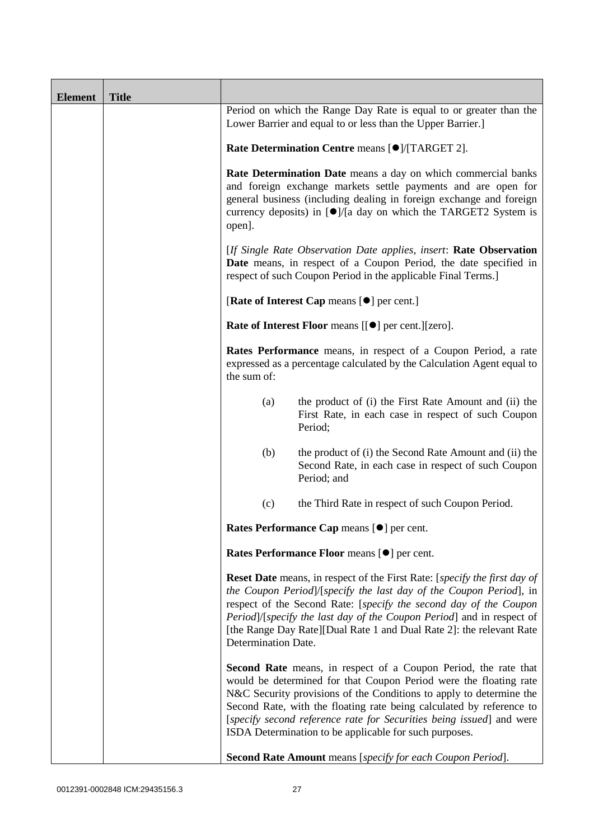| <b>Element</b> | <b>Title</b> |                                                                                                                                                                                                                                                                                                          |                                                                                                                                                                                                                                                                                                                                                                                                                              |  |  |
|----------------|--------------|----------------------------------------------------------------------------------------------------------------------------------------------------------------------------------------------------------------------------------------------------------------------------------------------------------|------------------------------------------------------------------------------------------------------------------------------------------------------------------------------------------------------------------------------------------------------------------------------------------------------------------------------------------------------------------------------------------------------------------------------|--|--|
|                |              |                                                                                                                                                                                                                                                                                                          | Period on which the Range Day Rate is equal to or greater than the<br>Lower Barrier and equal to or less than the Upper Barrier.]                                                                                                                                                                                                                                                                                            |  |  |
|                |              | Rate Determination Centre means [ $\bullet$ ]/[TARGET 2].                                                                                                                                                                                                                                                |                                                                                                                                                                                                                                                                                                                                                                                                                              |  |  |
|                |              | Rate Determination Date means a day on which commercial banks<br>and foreign exchange markets settle payments and are open for<br>general business (including dealing in foreign exchange and foreign<br>currency deposits) in $\left[ \bullet \right]$ /[a day on which the TARGET2 System is<br>open]. |                                                                                                                                                                                                                                                                                                                                                                                                                              |  |  |
|                |              | [If Single Rate Observation Date applies, insert: Rate Observation<br>Date means, in respect of a Coupon Period, the date specified in<br>respect of such Coupon Period in the applicable Final Terms.]                                                                                                  |                                                                                                                                                                                                                                                                                                                                                                                                                              |  |  |
|                |              |                                                                                                                                                                                                                                                                                                          | [Rate of Interest Cap means [ $\bullet$ ] per cent.]                                                                                                                                                                                                                                                                                                                                                                         |  |  |
|                |              |                                                                                                                                                                                                                                                                                                          | <b>Rate of Interest Floor</b> means [[ $\bullet$ ] per cent.][zero].                                                                                                                                                                                                                                                                                                                                                         |  |  |
|                |              | the sum of:                                                                                                                                                                                                                                                                                              | Rates Performance means, in respect of a Coupon Period, a rate<br>expressed as a percentage calculated by the Calculation Agent equal to                                                                                                                                                                                                                                                                                     |  |  |
|                |              | (a)                                                                                                                                                                                                                                                                                                      | the product of (i) the First Rate Amount and (ii) the<br>First Rate, in each case in respect of such Coupon<br>Period;                                                                                                                                                                                                                                                                                                       |  |  |
|                |              | (b)                                                                                                                                                                                                                                                                                                      | the product of (i) the Second Rate Amount and (ii) the<br>Second Rate, in each case in respect of such Coupon<br>Period; and                                                                                                                                                                                                                                                                                                 |  |  |
|                |              | (c)                                                                                                                                                                                                                                                                                                      | the Third Rate in respect of such Coupon Period.                                                                                                                                                                                                                                                                                                                                                                             |  |  |
|                |              |                                                                                                                                                                                                                                                                                                          | Rates Performance Cap means [ $\bullet$ ] per cent.                                                                                                                                                                                                                                                                                                                                                                          |  |  |
|                |              |                                                                                                                                                                                                                                                                                                          | Rates Performance Floor means [ $\bullet$ ] per cent.                                                                                                                                                                                                                                                                                                                                                                        |  |  |
|                |              | Determination Date.                                                                                                                                                                                                                                                                                      | <b>Reset Date</b> means, in respect of the First Rate: [ <i>specify the first day of</i><br>the Coupon Period]/[specify the last day of the Coupon Period], in<br>respect of the Second Rate: [specify the second day of the Coupon<br>Period]/[specify the last day of the Coupon Period] and in respect of<br>[the Range Day Rate][Dual Rate 1 and Dual Rate 2]: the relevant Rate                                         |  |  |
|                |              |                                                                                                                                                                                                                                                                                                          | <b>Second Rate</b> means, in respect of a Coupon Period, the rate that<br>would be determined for that Coupon Period were the floating rate<br>N&C Security provisions of the Conditions to apply to determine the<br>Second Rate, with the floating rate being calculated by reference to<br>[specify second reference rate for Securities being issued] and were<br>ISDA Determination to be applicable for such purposes. |  |  |
|                |              |                                                                                                                                                                                                                                                                                                          | Second Rate Amount means [specify for each Coupon Period].                                                                                                                                                                                                                                                                                                                                                                   |  |  |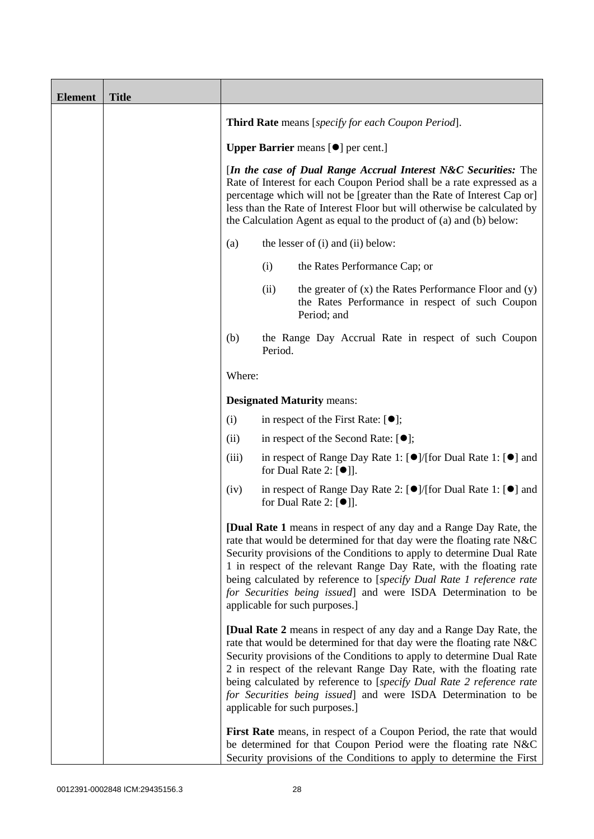| <b>Element</b> | <b>Title</b> |                                                                                                                                                                                                                                                                                                                                                                                                                                                                                                                                                                                                                                                                                                                                                                                                                                                                                                                                                           |         |                                                                                                                                                                                                                  |
|----------------|--------------|-----------------------------------------------------------------------------------------------------------------------------------------------------------------------------------------------------------------------------------------------------------------------------------------------------------------------------------------------------------------------------------------------------------------------------------------------------------------------------------------------------------------------------------------------------------------------------------------------------------------------------------------------------------------------------------------------------------------------------------------------------------------------------------------------------------------------------------------------------------------------------------------------------------------------------------------------------------|---------|------------------------------------------------------------------------------------------------------------------------------------------------------------------------------------------------------------------|
|                |              | <b>Third Rate</b> means [specify for each Coupon Period].                                                                                                                                                                                                                                                                                                                                                                                                                                                                                                                                                                                                                                                                                                                                                                                                                                                                                                 |         |                                                                                                                                                                                                                  |
|                |              | <b>Upper Barrier</b> means [ $\bullet$ ] per cent.]                                                                                                                                                                                                                                                                                                                                                                                                                                                                                                                                                                                                                                                                                                                                                                                                                                                                                                       |         |                                                                                                                                                                                                                  |
|                |              | [In the case of Dual Range Accrual Interest N&C Securities: The<br>Rate of Interest for each Coupon Period shall be a rate expressed as a<br>percentage which will not be [greater than the Rate of Interest Cap or]<br>less than the Rate of Interest Floor but will otherwise be calculated by<br>the Calculation Agent as equal to the product of (a) and (b) below:                                                                                                                                                                                                                                                                                                                                                                                                                                                                                                                                                                                   |         |                                                                                                                                                                                                                  |
|                |              | the lesser of (i) and (ii) below:<br>(a)                                                                                                                                                                                                                                                                                                                                                                                                                                                                                                                                                                                                                                                                                                                                                                                                                                                                                                                  |         |                                                                                                                                                                                                                  |
|                |              |                                                                                                                                                                                                                                                                                                                                                                                                                                                                                                                                                                                                                                                                                                                                                                                                                                                                                                                                                           | (i)     | the Rates Performance Cap; or                                                                                                                                                                                    |
|                |              |                                                                                                                                                                                                                                                                                                                                                                                                                                                                                                                                                                                                                                                                                                                                                                                                                                                                                                                                                           | (ii)    | the greater of $(x)$ the Rates Performance Floor and $(y)$<br>the Rates Performance in respect of such Coupon<br>Period; and                                                                                     |
|                |              | (b)                                                                                                                                                                                                                                                                                                                                                                                                                                                                                                                                                                                                                                                                                                                                                                                                                                                                                                                                                       | Period. | the Range Day Accrual Rate in respect of such Coupon                                                                                                                                                             |
|                |              | Where:                                                                                                                                                                                                                                                                                                                                                                                                                                                                                                                                                                                                                                                                                                                                                                                                                                                                                                                                                    |         |                                                                                                                                                                                                                  |
|                |              |                                                                                                                                                                                                                                                                                                                                                                                                                                                                                                                                                                                                                                                                                                                                                                                                                                                                                                                                                           |         | <b>Designated Maturity means:</b>                                                                                                                                                                                |
|                |              | (i)                                                                                                                                                                                                                                                                                                                                                                                                                                                                                                                                                                                                                                                                                                                                                                                                                                                                                                                                                       |         | in respect of the First Rate: $[•]$ ;                                                                                                                                                                            |
|                |              | (ii)                                                                                                                                                                                                                                                                                                                                                                                                                                                                                                                                                                                                                                                                                                                                                                                                                                                                                                                                                      |         | in respect of the Second Rate: $[•]$ ;                                                                                                                                                                           |
|                |              | (iii)                                                                                                                                                                                                                                                                                                                                                                                                                                                                                                                                                                                                                                                                                                                                                                                                                                                                                                                                                     |         | in respect of Range Day Rate 1: $\Theta$ /(for Dual Rate 1: $\Theta$ ) and<br>for Dual Rate 2: $[①$ ].                                                                                                           |
|                |              | (iv)                                                                                                                                                                                                                                                                                                                                                                                                                                                                                                                                                                                                                                                                                                                                                                                                                                                                                                                                                      |         | in respect of Range Day Rate 2: $\lceil \bullet \rceil / [\text{for Dual Rate 1}: \lceil \bullet \rceil]$ and<br>for Dual Rate 2: [ <sup>●</sup> ]].                                                             |
|                |              | [Dual Rate 1 means in respect of any day and a Range Day Rate, the<br>rate that would be determined for that day were the floating rate N&C<br>Security provisions of the Conditions to apply to determine Dual Rate<br>1 in respect of the relevant Range Day Rate, with the floating rate<br>being calculated by reference to [specify Dual Rate 1 reference rate<br>for Securities being issued] and were ISDA Determination to be<br>applicable for such purposes.]<br><b>[Dual Rate 2</b> means in respect of any day and a Range Day Rate, the<br>rate that would be determined for that day were the floating rate N&C<br>Security provisions of the Conditions to apply to determine Dual Rate<br>2 in respect of the relevant Range Day Rate, with the floating rate<br>being calculated by reference to [specify Dual Rate 2 reference rate<br>for Securities being issued] and were ISDA Determination to be<br>applicable for such purposes.] |         |                                                                                                                                                                                                                  |
|                |              |                                                                                                                                                                                                                                                                                                                                                                                                                                                                                                                                                                                                                                                                                                                                                                                                                                                                                                                                                           |         |                                                                                                                                                                                                                  |
|                |              |                                                                                                                                                                                                                                                                                                                                                                                                                                                                                                                                                                                                                                                                                                                                                                                                                                                                                                                                                           |         | First Rate means, in respect of a Coupon Period, the rate that would<br>be determined for that Coupon Period were the floating rate N&C<br>Security provisions of the Conditions to apply to determine the First |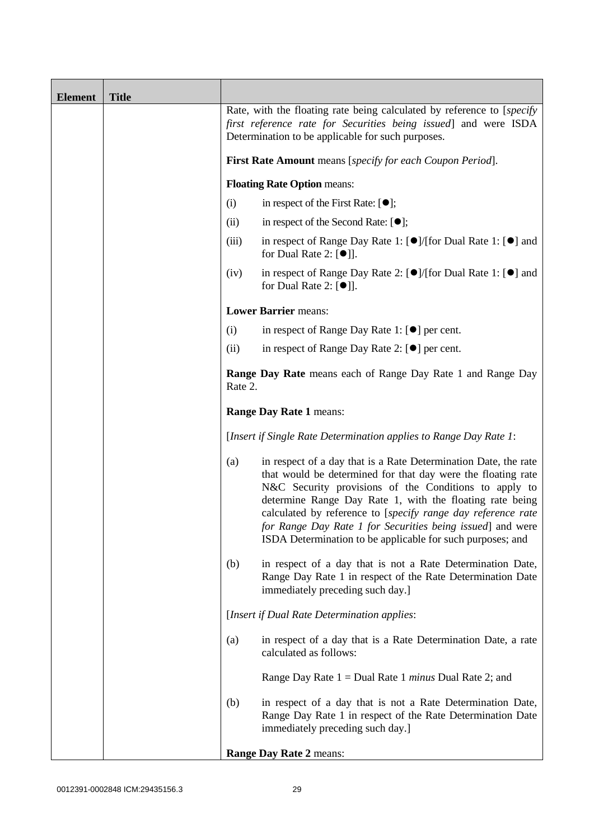| <b>Element</b> | <b>Title</b> |                                                                                                                                                                                                 |                                                                                                                                                                                                                                                                                                                                                                                                                                                  |  |
|----------------|--------------|-------------------------------------------------------------------------------------------------------------------------------------------------------------------------------------------------|--------------------------------------------------------------------------------------------------------------------------------------------------------------------------------------------------------------------------------------------------------------------------------------------------------------------------------------------------------------------------------------------------------------------------------------------------|--|
|                |              | Rate, with the floating rate being calculated by reference to [specify]<br>first reference rate for Securities being issued] and were ISDA<br>Determination to be applicable for such purposes. |                                                                                                                                                                                                                                                                                                                                                                                                                                                  |  |
|                |              |                                                                                                                                                                                                 | First Rate Amount means [specify for each Coupon Period].                                                                                                                                                                                                                                                                                                                                                                                        |  |
|                |              |                                                                                                                                                                                                 | <b>Floating Rate Option means:</b>                                                                                                                                                                                                                                                                                                                                                                                                               |  |
|                |              | (i)                                                                                                                                                                                             | in respect of the First Rate: $[•]$ ;                                                                                                                                                                                                                                                                                                                                                                                                            |  |
|                |              | (ii)                                                                                                                                                                                            | in respect of the Second Rate: $[①]$ ;                                                                                                                                                                                                                                                                                                                                                                                                           |  |
|                |              | (iii)                                                                                                                                                                                           | in respect of Range Day Rate 1: $\Theta$ /(for Dual Rate 1: $\Theta$ ) and<br>for Dual Rate 2: $[\bullet]$ ].                                                                                                                                                                                                                                                                                                                                    |  |
|                |              | (iv)                                                                                                                                                                                            | in respect of Range Day Rate 2: [●]/[for Dual Rate 1: [●] and<br>for Dual Rate 2: $[\bullet]$ ].                                                                                                                                                                                                                                                                                                                                                 |  |
|                |              |                                                                                                                                                                                                 | <b>Lower Barrier means:</b>                                                                                                                                                                                                                                                                                                                                                                                                                      |  |
|                |              | (i)                                                                                                                                                                                             | in respect of Range Day Rate 1: $[\bullet]$ per cent.                                                                                                                                                                                                                                                                                                                                                                                            |  |
|                |              | (ii)                                                                                                                                                                                            | in respect of Range Day Rate 2: $[\bullet]$ per cent.                                                                                                                                                                                                                                                                                                                                                                                            |  |
|                |              | <b>Range Day Rate</b> means each of Range Day Rate 1 and Range Day<br>Rate 2.                                                                                                                   |                                                                                                                                                                                                                                                                                                                                                                                                                                                  |  |
|                |              | <b>Range Day Rate 1 means:</b>                                                                                                                                                                  |                                                                                                                                                                                                                                                                                                                                                                                                                                                  |  |
|                |              | [Insert if Single Rate Determination applies to Range Day Rate 1:                                                                                                                               |                                                                                                                                                                                                                                                                                                                                                                                                                                                  |  |
|                |              | (a)                                                                                                                                                                                             | in respect of a day that is a Rate Determination Date, the rate<br>that would be determined for that day were the floating rate<br>N&C Security provisions of the Conditions to apply to<br>determine Range Day Rate 1, with the floating rate being<br>calculated by reference to [specify range day reference rate<br>for Range Day Rate 1 for Securities being issued] and were<br>ISDA Determination to be applicable for such purposes; and |  |
|                |              | (b)                                                                                                                                                                                             | in respect of a day that is not a Rate Determination Date,<br>Range Day Rate 1 in respect of the Rate Determination Date<br>immediately preceding such day.]                                                                                                                                                                                                                                                                                     |  |
|                |              |                                                                                                                                                                                                 | [Insert if Dual Rate Determination applies:                                                                                                                                                                                                                                                                                                                                                                                                      |  |
|                |              | (a)                                                                                                                                                                                             | in respect of a day that is a Rate Determination Date, a rate<br>calculated as follows:                                                                                                                                                                                                                                                                                                                                                          |  |
|                |              |                                                                                                                                                                                                 | Range Day Rate $1 =$ Dual Rate 1 <i>minus</i> Dual Rate 2; and                                                                                                                                                                                                                                                                                                                                                                                   |  |
|                |              | (b)                                                                                                                                                                                             | in respect of a day that is not a Rate Determination Date,<br>Range Day Rate 1 in respect of the Rate Determination Date<br>immediately preceding such day.]                                                                                                                                                                                                                                                                                     |  |
|                |              |                                                                                                                                                                                                 | Range Day Rate 2 means:                                                                                                                                                                                                                                                                                                                                                                                                                          |  |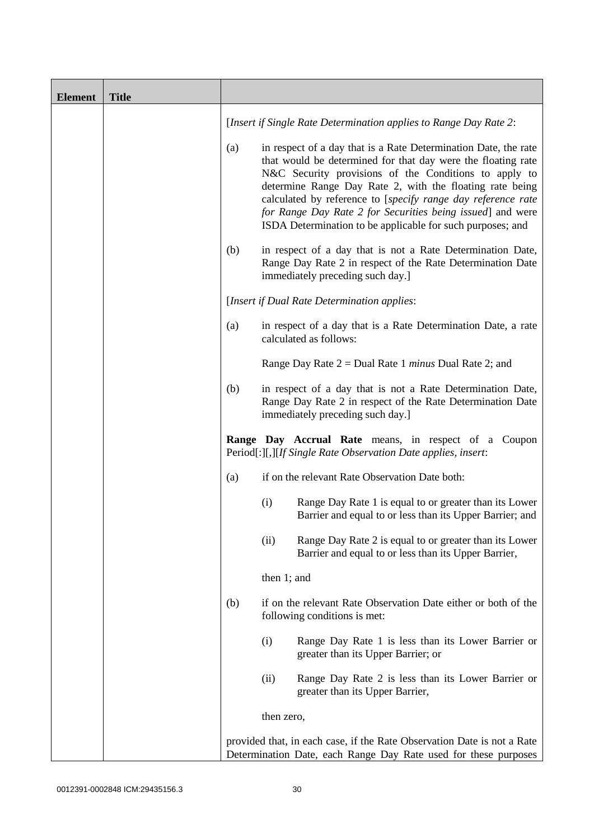| <b>Element</b> | <b>Title</b> |     |                                                                                                                                                                                                                                                                                                                                                                                                                                                  |
|----------------|--------------|-----|--------------------------------------------------------------------------------------------------------------------------------------------------------------------------------------------------------------------------------------------------------------------------------------------------------------------------------------------------------------------------------------------------------------------------------------------------|
|                |              |     | [Insert if Single Rate Determination applies to Range Day Rate 2:                                                                                                                                                                                                                                                                                                                                                                                |
|                |              | (a) | in respect of a day that is a Rate Determination Date, the rate<br>that would be determined for that day were the floating rate<br>N&C Security provisions of the Conditions to apply to<br>determine Range Day Rate 2, with the floating rate being<br>calculated by reference to [specify range day reference rate<br>for Range Day Rate 2 for Securities being issued] and were<br>ISDA Determination to be applicable for such purposes; and |
|                |              | (b) | in respect of a day that is not a Rate Determination Date,<br>Range Day Rate 2 in respect of the Rate Determination Date<br>immediately preceding such day.]                                                                                                                                                                                                                                                                                     |
|                |              |     | [Insert if Dual Rate Determination applies:                                                                                                                                                                                                                                                                                                                                                                                                      |
|                |              | (a) | in respect of a day that is a Rate Determination Date, a rate<br>calculated as follows:                                                                                                                                                                                                                                                                                                                                                          |
|                |              |     | Range Day Rate $2 =$ Dual Rate 1 <i>minus</i> Dual Rate 2; and                                                                                                                                                                                                                                                                                                                                                                                   |
|                |              | (b) | in respect of a day that is not a Rate Determination Date,<br>Range Day Rate 2 in respect of the Rate Determination Date<br>immediately preceding such day.]                                                                                                                                                                                                                                                                                     |
|                |              |     | Range Day Accrual Rate means, in respect of a Coupon<br>Period[:][,][If Single Rate Observation Date applies, insert:                                                                                                                                                                                                                                                                                                                            |
|                |              | (a) | if on the relevant Rate Observation Date both:                                                                                                                                                                                                                                                                                                                                                                                                   |
|                |              |     | (i)<br>Range Day Rate 1 is equal to or greater than its Lower<br>Barrier and equal to or less than its Upper Barrier; and                                                                                                                                                                                                                                                                                                                        |
|                |              |     | (ii)<br>Range Day Rate 2 is equal to or greater than its Lower<br>Barrier and equal to or less than its Upper Barrier,                                                                                                                                                                                                                                                                                                                           |
|                |              |     | then 1; and                                                                                                                                                                                                                                                                                                                                                                                                                                      |
|                |              | (b) | if on the relevant Rate Observation Date either or both of the<br>following conditions is met:                                                                                                                                                                                                                                                                                                                                                   |
|                |              |     | (i)<br>Range Day Rate 1 is less than its Lower Barrier or<br>greater than its Upper Barrier; or                                                                                                                                                                                                                                                                                                                                                  |
|                |              |     | Range Day Rate 2 is less than its Lower Barrier or<br>(ii)<br>greater than its Upper Barrier,                                                                                                                                                                                                                                                                                                                                                    |
|                |              |     | then zero,                                                                                                                                                                                                                                                                                                                                                                                                                                       |
|                |              |     | provided that, in each case, if the Rate Observation Date is not a Rate<br>Determination Date, each Range Day Rate used for these purposes                                                                                                                                                                                                                                                                                                       |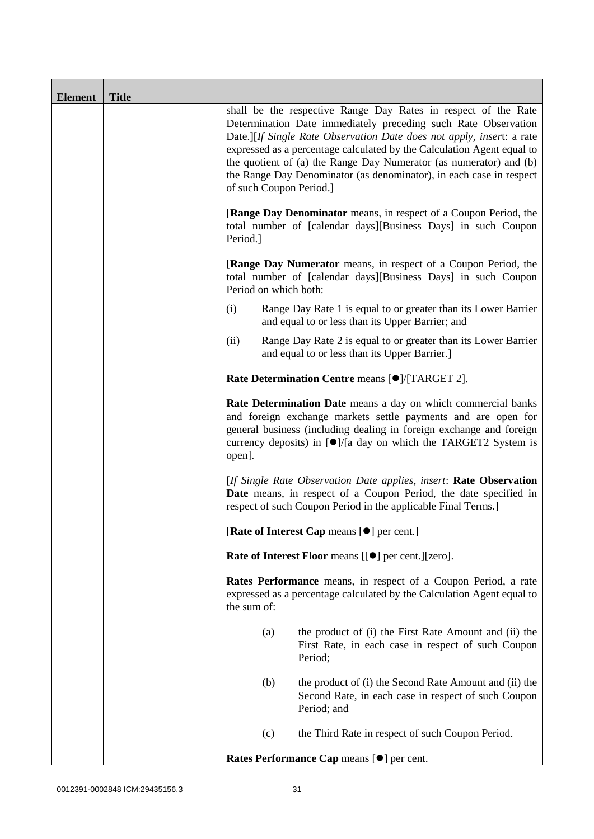| <b>Element</b> | <b>Title</b> |                                                                                                                                                                                                                                                                                                           |                                                                                                                                                                                                                                                                                                                                                                                                                                                             |  |  |
|----------------|--------------|-----------------------------------------------------------------------------------------------------------------------------------------------------------------------------------------------------------------------------------------------------------------------------------------------------------|-------------------------------------------------------------------------------------------------------------------------------------------------------------------------------------------------------------------------------------------------------------------------------------------------------------------------------------------------------------------------------------------------------------------------------------------------------------|--|--|
|                |              |                                                                                                                                                                                                                                                                                                           | shall be the respective Range Day Rates in respect of the Rate<br>Determination Date immediately preceding such Rate Observation<br>Date.][If Single Rate Observation Date does not apply, insert: a rate<br>expressed as a percentage calculated by the Calculation Agent equal to<br>the quotient of (a) the Range Day Numerator (as numerator) and (b)<br>the Range Day Denominator (as denominator), in each case in respect<br>of such Coupon Period.] |  |  |
|                |              | [Range Day Denominator means, in respect of a Coupon Period, the<br>total number of [calendar days][Business Days] in such Coupon<br>Period.]<br>[Range Day Numerator means, in respect of a Coupon Period, the<br>total number of [calendar days][Business Days] in such Coupon<br>Period on which both: |                                                                                                                                                                                                                                                                                                                                                                                                                                                             |  |  |
|                |              |                                                                                                                                                                                                                                                                                                           |                                                                                                                                                                                                                                                                                                                                                                                                                                                             |  |  |
|                |              | (i)                                                                                                                                                                                                                                                                                                       | Range Day Rate 1 is equal to or greater than its Lower Barrier<br>and equal to or less than its Upper Barrier; and                                                                                                                                                                                                                                                                                                                                          |  |  |
|                |              | (ii)                                                                                                                                                                                                                                                                                                      | Range Day Rate 2 is equal to or greater than its Lower Barrier<br>and equal to or less than its Upper Barrier.]                                                                                                                                                                                                                                                                                                                                             |  |  |
|                |              | Rate Determination Centre means [ $\bullet$ ]/[TARGET 2].                                                                                                                                                                                                                                                 |                                                                                                                                                                                                                                                                                                                                                                                                                                                             |  |  |
|                |              | Rate Determination Date means a day on which commercial banks<br>and foreign exchange markets settle payments and are open for<br>general business (including dealing in foreign exchange and foreign<br>currency deposits) in $\left[ \bullet \right]$ /[a day on which the TARGET2 System is<br>open].  |                                                                                                                                                                                                                                                                                                                                                                                                                                                             |  |  |
|                |              | [If Single Rate Observation Date applies, insert: Rate Observation<br>Date means, in respect of a Coupon Period, the date specified in<br>respect of such Coupon Period in the applicable Final Terms.]                                                                                                   |                                                                                                                                                                                                                                                                                                                                                                                                                                                             |  |  |
|                |              | [Rate of Interest Cap means $[•]$ per cent.]                                                                                                                                                                                                                                                              |                                                                                                                                                                                                                                                                                                                                                                                                                                                             |  |  |
|                |              |                                                                                                                                                                                                                                                                                                           | Rate of Interest Floor means [[ $\bullet$ ] per cent.][zero].                                                                                                                                                                                                                                                                                                                                                                                               |  |  |
|                |              | Rates Performance means, in respect of a Coupon Period, a rate<br>expressed as a percentage calculated by the Calculation Agent equal to<br>the sum of:                                                                                                                                                   |                                                                                                                                                                                                                                                                                                                                                                                                                                                             |  |  |
|                |              | (a)                                                                                                                                                                                                                                                                                                       | the product of (i) the First Rate Amount and (ii) the<br>First Rate, in each case in respect of such Coupon<br>Period;                                                                                                                                                                                                                                                                                                                                      |  |  |
|                |              | (b)                                                                                                                                                                                                                                                                                                       | the product of (i) the Second Rate Amount and (ii) the<br>Second Rate, in each case in respect of such Coupon<br>Period; and                                                                                                                                                                                                                                                                                                                                |  |  |
|                |              | (c)                                                                                                                                                                                                                                                                                                       | the Third Rate in respect of such Coupon Period.                                                                                                                                                                                                                                                                                                                                                                                                            |  |  |
|                |              | Rates Performance Cap means [ $\bullet$ ] per cent.                                                                                                                                                                                                                                                       |                                                                                                                                                                                                                                                                                                                                                                                                                                                             |  |  |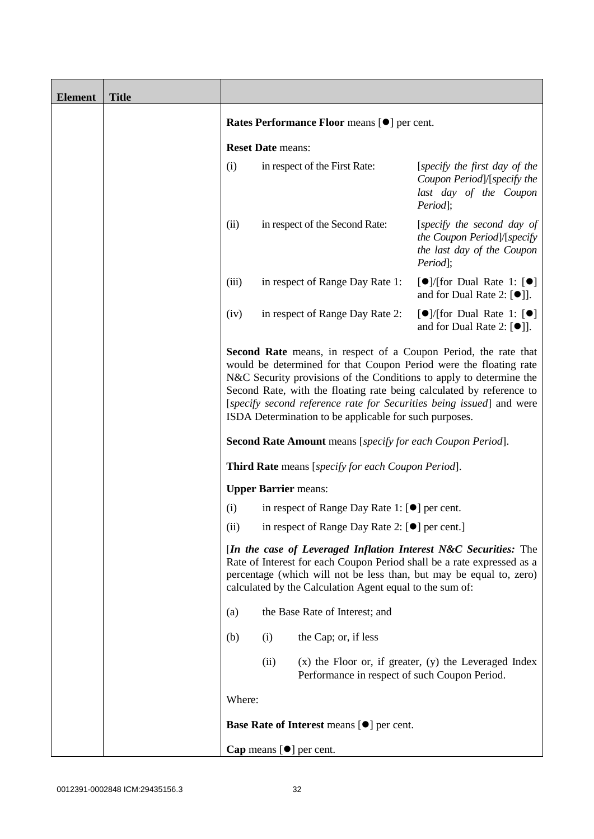| <b>Element</b> | <b>Title</b> |                                                                                                                                                                                                                                                                                                                                                                                                                                                                                                   |                             |                                                       |                                                                                                           |
|----------------|--------------|---------------------------------------------------------------------------------------------------------------------------------------------------------------------------------------------------------------------------------------------------------------------------------------------------------------------------------------------------------------------------------------------------------------------------------------------------------------------------------------------------|-----------------------------|-------------------------------------------------------|-----------------------------------------------------------------------------------------------------------|
|                |              | Rates Performance Floor means [ $\bullet$ ] per cent.                                                                                                                                                                                                                                                                                                                                                                                                                                             |                             |                                                       |                                                                                                           |
|                |              |                                                                                                                                                                                                                                                                                                                                                                                                                                                                                                   | <b>Reset Date means:</b>    |                                                       |                                                                                                           |
|                |              | (i)                                                                                                                                                                                                                                                                                                                                                                                                                                                                                               |                             | in respect of the First Rate:                         | [specify the first day of the<br>Coupon Period]/[specify the<br>last day of the Coupon<br>Period];        |
|                |              | (ii)                                                                                                                                                                                                                                                                                                                                                                                                                                                                                              |                             | in respect of the Second Rate:                        | [specify the second day of<br>the Coupon Period]/[specify<br>the last day of the Coupon<br>Period];       |
|                |              | (iii)                                                                                                                                                                                                                                                                                                                                                                                                                                                                                             |                             | in respect of Range Day Rate 1:                       | $\Theta$ /[for Dual Rate 1: $\Theta$ ]<br>and for Dual Rate 2: $[\bullet]$ ].                             |
|                |              | (iv)                                                                                                                                                                                                                                                                                                                                                                                                                                                                                              |                             | in respect of Range Day Rate 2:                       | $\lceil \bullet \rceil$ /[for Dual Rate 1: $\lceil \bullet \rceil$<br>and for Dual Rate 2: $[\bullet]$ ]. |
|                |              | <b>Second Rate</b> means, in respect of a Coupon Period, the rate that<br>would be determined for that Coupon Period were the floating rate<br>N&C Security provisions of the Conditions to apply to determine the<br>Second Rate, with the floating rate being calculated by reference to<br>[specify second reference rate for Securities being issued] and were<br>ISDA Determination to be applicable for such purposes.<br><b>Second Rate Amount</b> means [specify for each Coupon Period]. |                             |                                                       |                                                                                                           |
|                |              |                                                                                                                                                                                                                                                                                                                                                                                                                                                                                                   |                             | Third Rate means [specify for each Coupon Period].    |                                                                                                           |
|                |              | (i)                                                                                                                                                                                                                                                                                                                                                                                                                                                                                               | <b>Upper Barrier</b> means: | in respect of Range Day Rate 1: $[\bullet]$ per cent. |                                                                                                           |
|                |              | (i)                                                                                                                                                                                                                                                                                                                                                                                                                                                                                               |                             |                                                       |                                                                                                           |
|                |              | in respect of Range Day Rate 2: [●] per cent.]<br>[In the case of Leveraged Inflation Interest N&C Securities: The<br>Rate of Interest for each Coupon Period shall be a rate expressed as a<br>percentage (which will not be less than, but may be equal to, zero)<br>calculated by the Calculation Agent equal to the sum of:                                                                                                                                                                   |                             |                                                       |                                                                                                           |
|                |              | (a)                                                                                                                                                                                                                                                                                                                                                                                                                                                                                               |                             | the Base Rate of Interest; and                        |                                                                                                           |
|                |              | (b)                                                                                                                                                                                                                                                                                                                                                                                                                                                                                               | (i)                         | the Cap; or, if less                                  |                                                                                                           |
|                |              |                                                                                                                                                                                                                                                                                                                                                                                                                                                                                                   | (ii)                        | Performance in respect of such Coupon Period.         | $(x)$ the Floor or, if greater, $(y)$ the Leveraged Index                                                 |
|                |              | Where:                                                                                                                                                                                                                                                                                                                                                                                                                                                                                            |                             |                                                       |                                                                                                           |
|                |              |                                                                                                                                                                                                                                                                                                                                                                                                                                                                                                   |                             | Base Rate of Interest means [ $\bullet$ ] per cent.   |                                                                                                           |
|                |              |                                                                                                                                                                                                                                                                                                                                                                                                                                                                                                   |                             | Cap means $[\bullet]$ per cent.                       |                                                                                                           |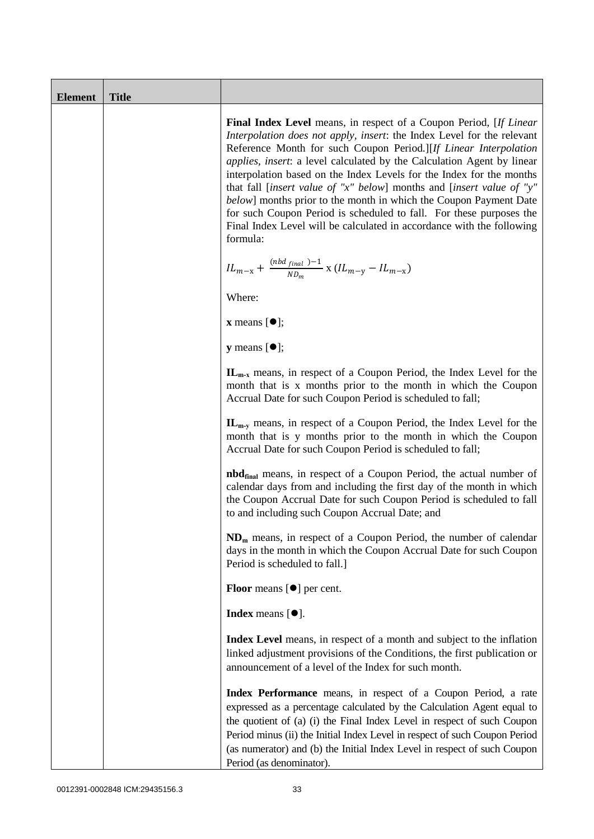| <b>Element</b> | <b>Title</b> |                                                                                                                                                                                                                                                                                                                                                                                                                                                                                                                                                                                                                                                                                             |
|----------------|--------------|---------------------------------------------------------------------------------------------------------------------------------------------------------------------------------------------------------------------------------------------------------------------------------------------------------------------------------------------------------------------------------------------------------------------------------------------------------------------------------------------------------------------------------------------------------------------------------------------------------------------------------------------------------------------------------------------|
|                |              | <b>Final Index Level</b> means, in respect of a Coupon Period, [ <i>If Linear</i><br>Interpolation does not apply, insert: the Index Level for the relevant<br>Reference Month for such Coupon Period.][If Linear Interpolation<br>applies, insert: a level calculated by the Calculation Agent by linear<br>interpolation based on the Index Levels for the Index for the months<br>that fall [insert value of "x" below] months and [insert value of "y"<br>below] months prior to the month in which the Coupon Payment Date<br>for such Coupon Period is scheduled to fall. For these purposes the<br>Final Index Level will be calculated in accordance with the following<br>formula: |
|                |              | ${IL_{m-x}}+\frac{(nbd_{final~})-1}{ND_m}\ge ({IL_{m-y}}-IL_{m-x})$                                                                                                                                                                                                                                                                                                                                                                                                                                                                                                                                                                                                                         |
|                |              | Where:                                                                                                                                                                                                                                                                                                                                                                                                                                                                                                                                                                                                                                                                                      |
|                |              | $\mathbf{x}$ means $[\bullet]$ ;                                                                                                                                                                                                                                                                                                                                                                                                                                                                                                                                                                                                                                                            |
|                |              | $y$ means $[•]$ ;                                                                                                                                                                                                                                                                                                                                                                                                                                                                                                                                                                                                                                                                           |
|                |              | $\mathbf{IL}_{m-x}$ means, in respect of a Coupon Period, the Index Level for the<br>month that is x months prior to the month in which the Coupon<br>Accrual Date for such Coupon Period is scheduled to fall;                                                                                                                                                                                                                                                                                                                                                                                                                                                                             |
|                |              | $\mathbf{IL}_{m-v}$ means, in respect of a Coupon Period, the Index Level for the<br>month that is y months prior to the month in which the Coupon<br>Accrual Date for such Coupon Period is scheduled to fall;                                                                                                                                                                                                                                                                                                                                                                                                                                                                             |
|                |              | <b>nbd</b> <sub>final</sub> means, in respect of a Coupon Period, the actual number of<br>calendar days from and including the first day of the month in which<br>the Coupon Accrual Date for such Coupon Period is scheduled to fall<br>to and including such Coupon Accrual Date; and                                                                                                                                                                                                                                                                                                                                                                                                     |
|                |              | $NDm$ means, in respect of a Coupon Period, the number of calendar<br>days in the month in which the Coupon Accrual Date for such Coupon<br>Period is scheduled to fall.]                                                                                                                                                                                                                                                                                                                                                                                                                                                                                                                   |
|                |              | <b>Floor</b> means $[\bullet]$ per cent.                                                                                                                                                                                                                                                                                                                                                                                                                                                                                                                                                                                                                                                    |
|                |              | Index means $[•]$ .                                                                                                                                                                                                                                                                                                                                                                                                                                                                                                                                                                                                                                                                         |
|                |              | Index Level means, in respect of a month and subject to the inflation<br>linked adjustment provisions of the Conditions, the first publication or<br>announcement of a level of the Index for such month.                                                                                                                                                                                                                                                                                                                                                                                                                                                                                   |
|                |              | Index Performance means, in respect of a Coupon Period, a rate<br>expressed as a percentage calculated by the Calculation Agent equal to<br>the quotient of (a) (i) the Final Index Level in respect of such Coupon<br>Period minus (ii) the Initial Index Level in respect of such Coupon Period<br>(as numerator) and (b) the Initial Index Level in respect of such Coupon<br>Period (as denominator).                                                                                                                                                                                                                                                                                   |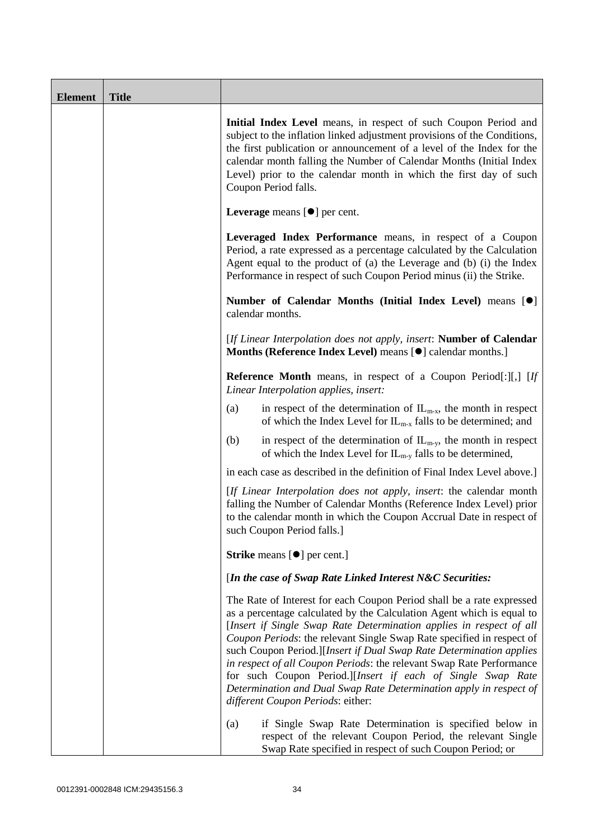| <b>Element</b> | <b>Title</b> |                                                                                                                                                                                                                                                                                                                                                                                                                                                                                                                                                                                                                         |
|----------------|--------------|-------------------------------------------------------------------------------------------------------------------------------------------------------------------------------------------------------------------------------------------------------------------------------------------------------------------------------------------------------------------------------------------------------------------------------------------------------------------------------------------------------------------------------------------------------------------------------------------------------------------------|
|                |              | Initial Index Level means, in respect of such Coupon Period and<br>subject to the inflation linked adjustment provisions of the Conditions,<br>the first publication or announcement of a level of the Index for the<br>calendar month falling the Number of Calendar Months (Initial Index<br>Level) prior to the calendar month in which the first day of such<br>Coupon Period falls.                                                                                                                                                                                                                                |
|                |              | Leverage means $[\bullet]$ per cent.                                                                                                                                                                                                                                                                                                                                                                                                                                                                                                                                                                                    |
|                |              | Leveraged Index Performance means, in respect of a Coupon<br>Period, a rate expressed as a percentage calculated by the Calculation<br>Agent equal to the product of (a) the Leverage and (b) (i) the Index<br>Performance in respect of such Coupon Period minus (ii) the Strike.                                                                                                                                                                                                                                                                                                                                      |
|                |              | Number of Calendar Months (Initial Index Level) means [ <sup>0</sup> ]<br>calendar months.                                                                                                                                                                                                                                                                                                                                                                                                                                                                                                                              |
|                |              | [If Linear Interpolation does not apply, insert: Number of Calendar<br>Months (Reference Index Level) means [ $\bullet$ ] calendar months.]                                                                                                                                                                                                                                                                                                                                                                                                                                                                             |
|                |              | <b>Reference Month</b> means, in respect of a Coupon Period[:][,] [If<br>Linear Interpolation applies, insert:                                                                                                                                                                                                                                                                                                                                                                                                                                                                                                          |
|                |              | in respect of the determination of $IL_{m-x}$ , the month in respect<br>(a)<br>of which the Index Level for $IL_{m-x}$ falls to be determined; and                                                                                                                                                                                                                                                                                                                                                                                                                                                                      |
|                |              | (b)<br>in respect of the determination of $IL_{m-y}$ , the month in respect<br>of which the Index Level for $IL_{m-y}$ falls to be determined,                                                                                                                                                                                                                                                                                                                                                                                                                                                                          |
|                |              | in each case as described in the definition of Final Index Level above.]                                                                                                                                                                                                                                                                                                                                                                                                                                                                                                                                                |
|                |              | [If Linear Interpolation does not apply, insert: the calendar month<br>falling the Number of Calendar Months (Reference Index Level) prior<br>to the calendar month in which the Coupon Accrual Date in respect of<br>such Coupon Period falls.]                                                                                                                                                                                                                                                                                                                                                                        |
|                |              | <b>Strike</b> means $[\bullet]$ per cent.]                                                                                                                                                                                                                                                                                                                                                                                                                                                                                                                                                                              |
|                |              | [In the case of Swap Rate Linked Interest N&C Securities:                                                                                                                                                                                                                                                                                                                                                                                                                                                                                                                                                               |
|                |              | The Rate of Interest for each Coupon Period shall be a rate expressed<br>as a percentage calculated by the Calculation Agent which is equal to<br>[Insert if Single Swap Rate Determination applies in respect of all<br>Coupon Periods: the relevant Single Swap Rate specified in respect of<br>such Coupon Period.][Insert if Dual Swap Rate Determination applies<br>in respect of all Coupon Periods: the relevant Swap Rate Performance<br>for such Coupon Period.][Insert if each of Single Swap Rate<br>Determination and Dual Swap Rate Determination apply in respect of<br>different Coupon Periods: either: |
|                |              | if Single Swap Rate Determination is specified below in<br>(a)<br>respect of the relevant Coupon Period, the relevant Single<br>Swap Rate specified in respect of such Coupon Period; or                                                                                                                                                                                                                                                                                                                                                                                                                                |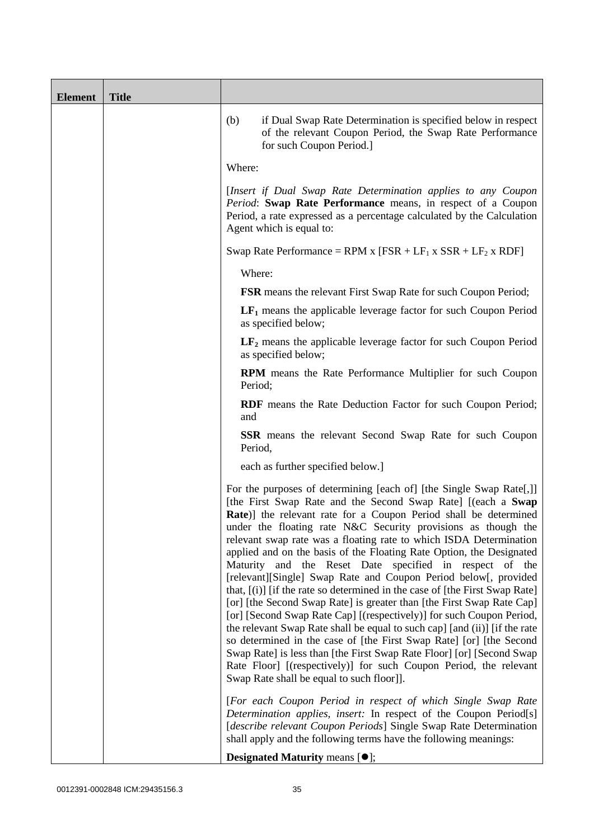| <b>Element</b> | <b>Title</b> |                                                                                                                                                                                                                                                                                                                                                                                                                                                                                                                                                                                                                                                                                                                                                                                                                                                                                                                                                                                                                                                                                                                                      |
|----------------|--------------|--------------------------------------------------------------------------------------------------------------------------------------------------------------------------------------------------------------------------------------------------------------------------------------------------------------------------------------------------------------------------------------------------------------------------------------------------------------------------------------------------------------------------------------------------------------------------------------------------------------------------------------------------------------------------------------------------------------------------------------------------------------------------------------------------------------------------------------------------------------------------------------------------------------------------------------------------------------------------------------------------------------------------------------------------------------------------------------------------------------------------------------|
|                |              | (b)<br>if Dual Swap Rate Determination is specified below in respect<br>of the relevant Coupon Period, the Swap Rate Performance<br>for such Coupon Period.]                                                                                                                                                                                                                                                                                                                                                                                                                                                                                                                                                                                                                                                                                                                                                                                                                                                                                                                                                                         |
|                |              | Where:                                                                                                                                                                                                                                                                                                                                                                                                                                                                                                                                                                                                                                                                                                                                                                                                                                                                                                                                                                                                                                                                                                                               |
|                |              | [Insert if Dual Swap Rate Determination applies to any Coupon<br>Period: Swap Rate Performance means, in respect of a Coupon<br>Period, a rate expressed as a percentage calculated by the Calculation<br>Agent which is equal to:                                                                                                                                                                                                                                                                                                                                                                                                                                                                                                                                                                                                                                                                                                                                                                                                                                                                                                   |
|                |              | Swap Rate Performance = RPM x $[FSR + LF_1 x SSR + LF_2 x RDF]$                                                                                                                                                                                                                                                                                                                                                                                                                                                                                                                                                                                                                                                                                                                                                                                                                                                                                                                                                                                                                                                                      |
|                |              | Where:                                                                                                                                                                                                                                                                                                                                                                                                                                                                                                                                                                                                                                                                                                                                                                                                                                                                                                                                                                                                                                                                                                                               |
|                |              | <b>FSR</b> means the relevant First Swap Rate for such Coupon Period;                                                                                                                                                                                                                                                                                                                                                                                                                                                                                                                                                                                                                                                                                                                                                                                                                                                                                                                                                                                                                                                                |
|                |              | $LF1$ means the applicable leverage factor for such Coupon Period<br>as specified below;                                                                                                                                                                                                                                                                                                                                                                                                                                                                                                                                                                                                                                                                                                                                                                                                                                                                                                                                                                                                                                             |
|                |              | $LF2$ means the applicable leverage factor for such Coupon Period<br>as specified below;                                                                                                                                                                                                                                                                                                                                                                                                                                                                                                                                                                                                                                                                                                                                                                                                                                                                                                                                                                                                                                             |
|                |              | <b>RPM</b> means the Rate Performance Multiplier for such Coupon<br>Period;                                                                                                                                                                                                                                                                                                                                                                                                                                                                                                                                                                                                                                                                                                                                                                                                                                                                                                                                                                                                                                                          |
|                |              | <b>RDF</b> means the Rate Deduction Factor for such Coupon Period;<br>and                                                                                                                                                                                                                                                                                                                                                                                                                                                                                                                                                                                                                                                                                                                                                                                                                                                                                                                                                                                                                                                            |
|                |              | <b>SSR</b> means the relevant Second Swap Rate for such Coupon<br>Period,                                                                                                                                                                                                                                                                                                                                                                                                                                                                                                                                                                                                                                                                                                                                                                                                                                                                                                                                                                                                                                                            |
|                |              | each as further specified below.]                                                                                                                                                                                                                                                                                                                                                                                                                                                                                                                                                                                                                                                                                                                                                                                                                                                                                                                                                                                                                                                                                                    |
|                |              | For the purposes of determining [each of] [the Single Swap Rate[,]]<br>[the First Swap Rate and the Second Swap Rate] [(each a Swap<br>Rate)] the relevant rate for a Coupon Period shall be determined<br>under the floating rate N&C Security provisions as though the<br>relevant swap rate was a floating rate to which ISDA Determination<br>applied and on the basis of the Floating Rate Option, the Designated<br>Maturity and the Reset Date specified in respect of the<br>[relevant][Single] Swap Rate and Coupon Period below[, provided<br>that, [(i)] [if the rate so determined in the case of [the First Swap Rate]<br>[or] [the Second Swap Rate] is greater than [the First Swap Rate Cap]<br>[or] [Second Swap Rate Cap] [(respectively)] for such Coupon Period,<br>the relevant Swap Rate shall be equal to such cap] [and (ii)] [if the rate<br>so determined in the case of [the First Swap Rate] [or] [the Second<br>Swap Rate] is less than [the First Swap Rate Floor] [or] [Second Swap<br>Rate Floor] [(respectively)] for such Coupon Period, the relevant<br>Swap Rate shall be equal to such floor]]. |
|                |              | [For each Coupon Period in respect of which Single Swap Rate<br>Determination applies, insert: In respect of the Coupon Period[s]<br>[describe relevant Coupon Periods] Single Swap Rate Determination<br>shall apply and the following terms have the following meanings:                                                                                                                                                                                                                                                                                                                                                                                                                                                                                                                                                                                                                                                                                                                                                                                                                                                           |
|                |              | <b>Designated Maturity means <math>[•]</math>;</b>                                                                                                                                                                                                                                                                                                                                                                                                                                                                                                                                                                                                                                                                                                                                                                                                                                                                                                                                                                                                                                                                                   |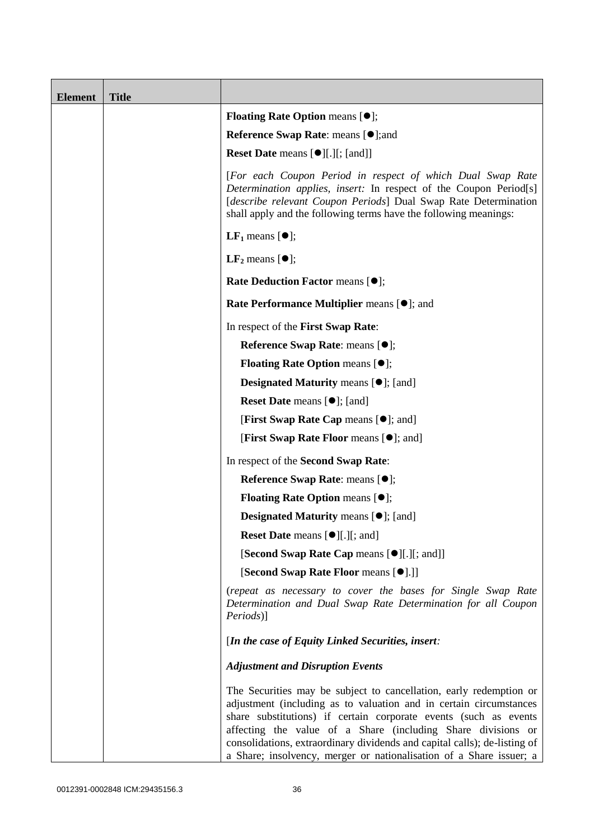| <b>Element</b> | <b>Title</b> |                                                                                                                                                                                                                                                                                                                                                                                                                                  |
|----------------|--------------|----------------------------------------------------------------------------------------------------------------------------------------------------------------------------------------------------------------------------------------------------------------------------------------------------------------------------------------------------------------------------------------------------------------------------------|
|                |              | <b>Floating Rate Option means <math>[•]</math>;</b>                                                                                                                                                                                                                                                                                                                                                                              |
|                |              | <b>Reference Swap Rate: means [●];and</b>                                                                                                                                                                                                                                                                                                                                                                                        |
|                |              | Reset Date means [ $\bullet$ ][.][; [and]]                                                                                                                                                                                                                                                                                                                                                                                       |
|                |              | [For each Coupon Period in respect of which Dual Swap Rate<br>Determination applies, insert: In respect of the Coupon Period[s]<br>[describe relevant Coupon Periods] Dual Swap Rate Determination<br>shall apply and the following terms have the following meanings:                                                                                                                                                           |
|                |              | <b>LF</b> <sub>1</sub> means $[①]$ ;                                                                                                                                                                                                                                                                                                                                                                                             |
|                |              | $LF2$ means $[①]$ ;                                                                                                                                                                                                                                                                                                                                                                                                              |
|                |              | Rate Deduction Factor means [ $\bullet$ ];                                                                                                                                                                                                                                                                                                                                                                                       |
|                |              | Rate Performance Multiplier means [ $\bullet$ ]; and                                                                                                                                                                                                                                                                                                                                                                             |
|                |              | In respect of the First Swap Rate:                                                                                                                                                                                                                                                                                                                                                                                               |
|                |              | Reference Swap Rate: means [ $\bullet$ ];                                                                                                                                                                                                                                                                                                                                                                                        |
|                |              | <b>Floating Rate Option means <math>[①]</math>;</b>                                                                                                                                                                                                                                                                                                                                                                              |
|                |              | <b>Designated Maturity means [O];</b> [and]                                                                                                                                                                                                                                                                                                                                                                                      |
|                |              | <b>Reset Date</b> means $[\bullet]$ ; [and]                                                                                                                                                                                                                                                                                                                                                                                      |
|                |              | <b>[First Swap Rate Cap means [<math>\bullet</math>]; and [</b>                                                                                                                                                                                                                                                                                                                                                                  |
|                |              | [First Swap Rate Floor means [ $\bullet$ ]; and]                                                                                                                                                                                                                                                                                                                                                                                 |
|                |              | In respect of the Second Swap Rate:                                                                                                                                                                                                                                                                                                                                                                                              |
|                |              | Reference Swap Rate: means [ $\bullet$ ];                                                                                                                                                                                                                                                                                                                                                                                        |
|                |              | Floating Rate Option means [ $\bullet$ ];                                                                                                                                                                                                                                                                                                                                                                                        |
|                |              | <b>Designated Maturity means <math>[\bullet]</math>; [and]</b>                                                                                                                                                                                                                                                                                                                                                                   |
|                |              | <b>Reset Date</b> means [●][.][; and]                                                                                                                                                                                                                                                                                                                                                                                            |
|                |              | [Second Swap Rate Cap means [ $\bullet$ ][.][; and]]                                                                                                                                                                                                                                                                                                                                                                             |
|                |              | [Second Swap Rate Floor means [ $\bullet$ ].]]                                                                                                                                                                                                                                                                                                                                                                                   |
|                |              | (repeat as necessary to cover the bases for Single Swap Rate<br>Determination and Dual Swap Rate Determination for all Coupon<br>Periods)]                                                                                                                                                                                                                                                                                       |
|                |              | [In the case of Equity Linked Securities, insert:                                                                                                                                                                                                                                                                                                                                                                                |
|                |              | <b>Adjustment and Disruption Events</b>                                                                                                                                                                                                                                                                                                                                                                                          |
|                |              | The Securities may be subject to cancellation, early redemption or<br>adjustment (including as to valuation and in certain circumstances<br>share substitutions) if certain corporate events (such as events<br>affecting the value of a Share (including Share divisions or<br>consolidations, extraordinary dividends and capital calls); de-listing of<br>a Share; insolvency, merger or nationalisation of a Share issuer; a |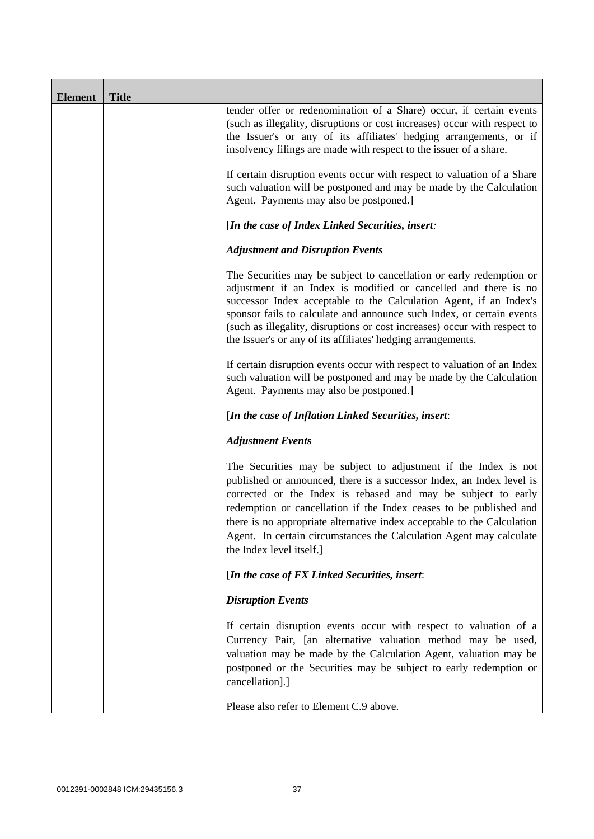| <b>Element</b> | <b>Title</b> |                                                                                                                                                                                                                                                                                                                                                                                                                                                               |
|----------------|--------------|---------------------------------------------------------------------------------------------------------------------------------------------------------------------------------------------------------------------------------------------------------------------------------------------------------------------------------------------------------------------------------------------------------------------------------------------------------------|
|                |              | tender offer or redenomination of a Share) occur, if certain events<br>(such as illegality, disruptions or cost increases) occur with respect to<br>the Issuer's or any of its affiliates' hedging arrangements, or if<br>insolvency filings are made with respect to the issuer of a share.                                                                                                                                                                  |
|                |              | If certain disruption events occur with respect to valuation of a Share<br>such valuation will be postponed and may be made by the Calculation<br>Agent. Payments may also be postponed.]                                                                                                                                                                                                                                                                     |
|                |              | [In the case of Index Linked Securities, insert:                                                                                                                                                                                                                                                                                                                                                                                                              |
|                |              | <b>Adjustment and Disruption Events</b>                                                                                                                                                                                                                                                                                                                                                                                                                       |
|                |              | The Securities may be subject to cancellation or early redemption or<br>adjustment if an Index is modified or cancelled and there is no<br>successor Index acceptable to the Calculation Agent, if an Index's<br>sponsor fails to calculate and announce such Index, or certain events<br>(such as illegality, disruptions or cost increases) occur with respect to<br>the Issuer's or any of its affiliates' hedging arrangements.                           |
|                |              | If certain disruption events occur with respect to valuation of an Index<br>such valuation will be postponed and may be made by the Calculation<br>Agent. Payments may also be postponed.]                                                                                                                                                                                                                                                                    |
|                |              | [In the case of Inflation Linked Securities, insert:                                                                                                                                                                                                                                                                                                                                                                                                          |
|                |              | <b>Adjustment Events</b>                                                                                                                                                                                                                                                                                                                                                                                                                                      |
|                |              | The Securities may be subject to adjustment if the Index is not<br>published or announced, there is a successor Index, an Index level is<br>corrected or the Index is rebased and may be subject to early<br>redemption or cancellation if the Index ceases to be published and<br>there is no appropriate alternative index acceptable to the Calculation<br>Agent. In certain circumstances the Calculation Agent may calculate<br>the Index level itself.] |
|                |              | [In the case of FX Linked Securities, insert:                                                                                                                                                                                                                                                                                                                                                                                                                 |
|                |              | <b>Disruption Events</b>                                                                                                                                                                                                                                                                                                                                                                                                                                      |
|                |              | If certain disruption events occur with respect to valuation of a<br>Currency Pair, [an alternative valuation method may be used,<br>valuation may be made by the Calculation Agent, valuation may be<br>postponed or the Securities may be subject to early redemption or<br>cancellation].]                                                                                                                                                                 |
|                |              | Please also refer to Element C.9 above.                                                                                                                                                                                                                                                                                                                                                                                                                       |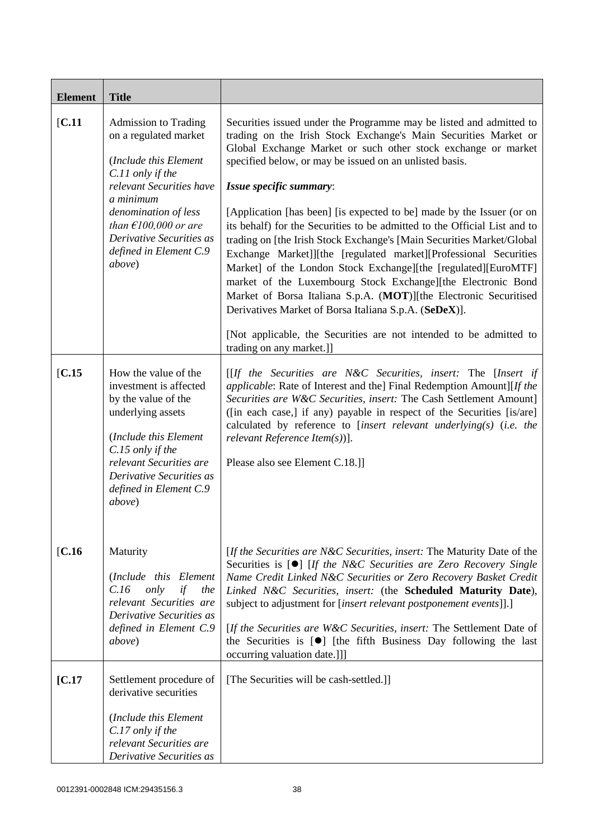| <b>Element</b> | <b>Title</b>                                                                                                                                                                                                                                                                 |                                                                                                                                                                                                                                                                                                                                                                                                                                                                                                                                                                                                                                                                                                                                                                                                                                                                                                                                                                    |
|----------------|------------------------------------------------------------------------------------------------------------------------------------------------------------------------------------------------------------------------------------------------------------------------------|--------------------------------------------------------------------------------------------------------------------------------------------------------------------------------------------------------------------------------------------------------------------------------------------------------------------------------------------------------------------------------------------------------------------------------------------------------------------------------------------------------------------------------------------------------------------------------------------------------------------------------------------------------------------------------------------------------------------------------------------------------------------------------------------------------------------------------------------------------------------------------------------------------------------------------------------------------------------|
| [C.11]         | <b>Admission to Trading</b><br>on a regulated market<br>(Include this Element<br>C.11 only if the<br>relevant Securities have<br>a minimum<br>denomination of less<br>than $\epsilon$ 100,000 or are<br>Derivative Securities as<br>defined in Element C.9<br><i>above</i> ) | Securities issued under the Programme may be listed and admitted to<br>trading on the Irish Stock Exchange's Main Securities Market or<br>Global Exchange Market or such other stock exchange or market<br>specified below, or may be issued on an unlisted basis.<br>Issue specific summary:<br>[Application [has been] [is expected to be] made by the Issuer (or on<br>its behalf) for the Securities to be admitted to the Official List and to<br>trading on [the Irish Stock Exchange's [Main Securities Market/Global<br>Exchange Market]][the [regulated market][Professional Securities<br>Market] of the London Stock Exchange][the [regulated][EuroMTF]<br>market of the Luxembourg Stock Exchange][the Electronic Bond<br>Market of Borsa Italiana S.p.A. (MOT)][the Electronic Securitised<br>Derivatives Market of Borsa Italiana S.p.A. (SeDeX)].<br>[Not applicable, the Securities are not intended to be admitted to<br>trading on any market.]] |
| [C.15]         | How the value of the<br>investment is affected<br>by the value of the<br>underlying assets<br>(Include this Element<br>C.15 only if the<br>relevant Securities are<br>Derivative Securities as<br>defined in Element C.9<br>above)                                           | $[If the Securities are N&C Securities, insert: The [Insert if]$<br><i>applicable:</i> Rate of Interest and the] Final Redemption Amount][If the<br>Securities are W&C Securities, insert: The Cash Settlement Amount]<br>([in each case,] if any) payable in respect of the Securities [is/are]<br>calculated by reference to [insert relevant underlying(s) (i.e. the<br>relevant Reference Item $(s)$ ].<br>Please also see Element C.18.]                                                                                                                                                                                                                                                                                                                                                                                                                                                                                                                      |
| [C.16]         | Maturity<br>(Include this Element<br>only<br>if<br>C.16<br>the<br>relevant Securities are<br>Derivative Securities as<br>defined in Element C.9<br><i>above</i> )                                                                                                            | [If the Securities are N&C Securities, insert: The Maturity Date of the<br>Securities is $[0]$ [If the N&C Securities are Zero Recovery Single<br>Name Credit Linked N&C Securities or Zero Recovery Basket Credit<br>Linked N&C Securities, insert: (the Scheduled Maturity Date),<br>subject to adjustment for [insert relevant postponement events]].]<br>[If the Securities are W&C Securities, insert: The Settlement Date of<br>the Securities is $[\bullet]$ [the fifth Business Day following the last<br>occurring valuation date.]]]                                                                                                                                                                                                                                                                                                                                                                                                                     |
| [C.17]         | Settlement procedure of<br>derivative securities<br>(Include this Element<br>C.17 only if the<br>relevant Securities are<br>Derivative Securities as                                                                                                                         | [The Securities will be cash-settled.]]                                                                                                                                                                                                                                                                                                                                                                                                                                                                                                                                                                                                                                                                                                                                                                                                                                                                                                                            |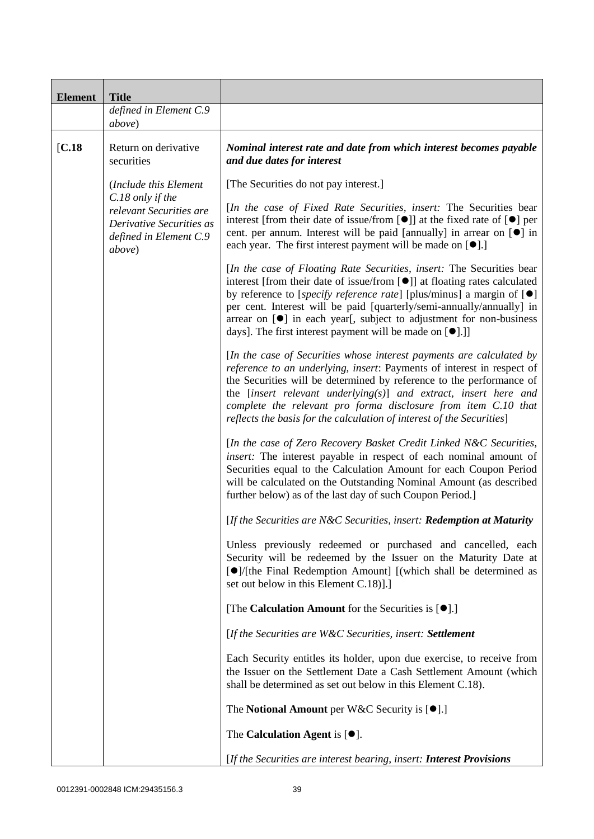| <b>Element</b> | <b>Title</b>                                                                                                |                                                                                                                                                                                                                                                                                                                                                                                                                                                                                       |
|----------------|-------------------------------------------------------------------------------------------------------------|---------------------------------------------------------------------------------------------------------------------------------------------------------------------------------------------------------------------------------------------------------------------------------------------------------------------------------------------------------------------------------------------------------------------------------------------------------------------------------------|
|                | defined in Element C.9<br>above)                                                                            |                                                                                                                                                                                                                                                                                                                                                                                                                                                                                       |
| [C.18]         | Return on derivative<br>securities                                                                          | Nominal interest rate and date from which interest becomes payable<br>and due dates for interest                                                                                                                                                                                                                                                                                                                                                                                      |
|                | (Include this Element                                                                                       | [The Securities do not pay interest.]                                                                                                                                                                                                                                                                                                                                                                                                                                                 |
|                | C.18 only if the<br>relevant Securities are<br>Derivative Securities as<br>defined in Element C.9<br>above) | [In the case of Fixed Rate Securities, insert: The Securities bear<br>interest [from their date of issue/from $[\bullet]$ ] at the fixed rate of $[\bullet]$ per<br>cent. per annum. Interest will be paid [annually] in arrear on [ <sup>o</sup> ] in<br>each year. The first interest payment will be made on $[\bullet]$ .]                                                                                                                                                        |
|                |                                                                                                             | [In the case of Floating Rate Securities, insert: The Securities bear<br>interest [from their date of issue/from [ <sup>●</sup> ]] at floating rates calculated<br>by reference to [ <i>specify reference rate</i> ] [plus/minus] a margin of $[\bullet]$<br>per cent. Interest will be paid [quarterly/semi-annually/annually] in<br>arrear on $[\bullet]$ in each year[, subject to adjustment for non-business<br>days]. The first interest payment will be made on $[\bullet]$ .] |
|                |                                                                                                             | [In the case of Securities whose interest payments are calculated by<br>reference to an underlying, insert: Payments of interest in respect of<br>the Securities will be determined by reference to the performance of<br>the [insert relevant underlying(s)] and extract, insert here and<br>complete the relevant pro forma disclosure from item C.10 that<br>reflects the basis for the calculation of interest of the Securities]                                                 |
|                |                                                                                                             | [In the case of Zero Recovery Basket Credit Linked N&C Securities,<br>insert: The interest payable in respect of each nominal amount of<br>Securities equal to the Calculation Amount for each Coupon Period<br>will be calculated on the Outstanding Nominal Amount (as described<br>further below) as of the last day of such Coupon Period.                                                                                                                                        |
|                |                                                                                                             | [If the Securities are N&C Securities, insert: Redemption at Maturity                                                                                                                                                                                                                                                                                                                                                                                                                 |
|                |                                                                                                             | Unless previously redeemed or purchased and cancelled, each<br>Security will be redeemed by the Issuer on the Maturity Date at<br>$\Theta$ /(the Final Redemption Amount) [(which shall be determined as<br>set out below in this Element C.18)].]                                                                                                                                                                                                                                    |
|                |                                                                                                             | [The Calculation Amount for the Securities is $[\bullet]$ .]                                                                                                                                                                                                                                                                                                                                                                                                                          |
|                |                                                                                                             | [If the Securities are W&C Securities, insert: Settlement                                                                                                                                                                                                                                                                                                                                                                                                                             |
|                |                                                                                                             | Each Security entitles its holder, upon due exercise, to receive from<br>the Issuer on the Settlement Date a Cash Settlement Amount (which<br>shall be determined as set out below in this Element C.18).                                                                                                                                                                                                                                                                             |
|                |                                                                                                             | The Notional Amount per W&C Security is $[•]$ .]                                                                                                                                                                                                                                                                                                                                                                                                                                      |
|                |                                                                                                             | The Calculation Agent is $[•]$ .                                                                                                                                                                                                                                                                                                                                                                                                                                                      |
|                |                                                                                                             | [If the Securities are interest bearing, insert: Interest Provisions                                                                                                                                                                                                                                                                                                                                                                                                                  |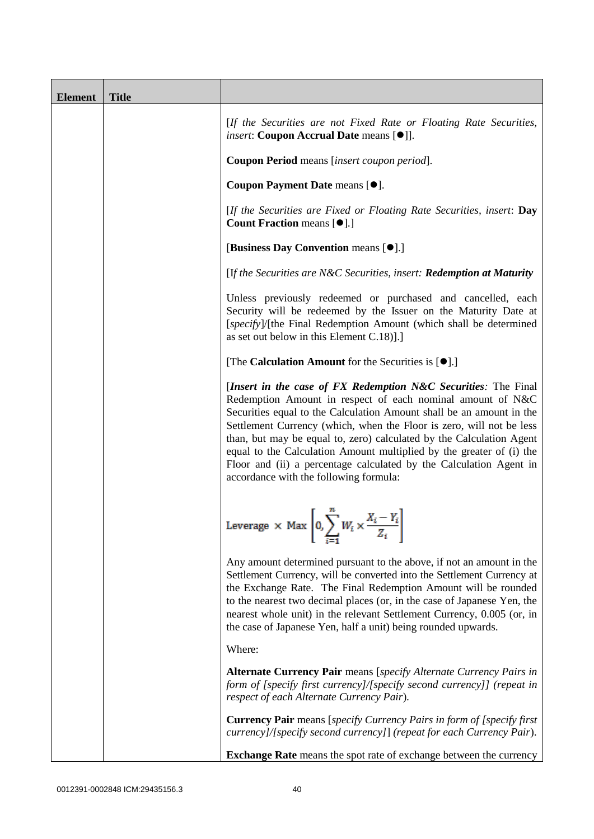| <b>Element</b> | <b>Title</b> |                                                                                                                                                                                                                                                                                                                                                                                                                                                                                                                                              |
|----------------|--------------|----------------------------------------------------------------------------------------------------------------------------------------------------------------------------------------------------------------------------------------------------------------------------------------------------------------------------------------------------------------------------------------------------------------------------------------------------------------------------------------------------------------------------------------------|
|                |              | [If the Securities are not Fixed Rate or Floating Rate Securities,<br><i>insert</i> : Coupon Accrual Date means [ $\bullet$ ]].                                                                                                                                                                                                                                                                                                                                                                                                              |
|                |              | Coupon Period means [insert coupon period].                                                                                                                                                                                                                                                                                                                                                                                                                                                                                                  |
|                |              | Coupon Payment Date means [ $\bullet$ ].                                                                                                                                                                                                                                                                                                                                                                                                                                                                                                     |
|                |              | [If the Securities are Fixed or Floating Rate Securities, insert: Day<br><b>Count Fraction means [<math>\bullet</math>].]</b>                                                                                                                                                                                                                                                                                                                                                                                                                |
|                |              | [Business Day Convention means [ $\bullet$ ].]                                                                                                                                                                                                                                                                                                                                                                                                                                                                                               |
|                |              | [If the Securities are N&C Securities, insert: Redemption at Maturity                                                                                                                                                                                                                                                                                                                                                                                                                                                                        |
|                |              | Unless previously redeemed or purchased and cancelled, each<br>Security will be redeemed by the Issuer on the Maturity Date at<br>[specify]/[the Final Redemption Amount (which shall be determined<br>as set out below in this Element C.18)].]                                                                                                                                                                                                                                                                                             |
|                |              | [The Calculation Amount for the Securities is $[•]$ .]                                                                                                                                                                                                                                                                                                                                                                                                                                                                                       |
|                |              | [Insert in the case of FX Redemption N&C Securities: The Final<br>Redemption Amount in respect of each nominal amount of N&C<br>Securities equal to the Calculation Amount shall be an amount in the<br>Settlement Currency (which, when the Floor is zero, will not be less<br>than, but may be equal to, zero) calculated by the Calculation Agent<br>equal to the Calculation Amount multiplied by the greater of (i) the<br>Floor and (ii) a percentage calculated by the Calculation Agent in<br>accordance with the following formula: |
|                |              | Leverage $\times$ Max $\left[0, \sum_{i=1}^{n} W_i \times \frac{X_i - Y_i}{Z_i}\right]$                                                                                                                                                                                                                                                                                                                                                                                                                                                      |
|                |              | Any amount determined pursuant to the above, if not an amount in the<br>Settlement Currency, will be converted into the Settlement Currency at<br>the Exchange Rate. The Final Redemption Amount will be rounded<br>to the nearest two decimal places (or, in the case of Japanese Yen, the<br>nearest whole unit) in the relevant Settlement Currency, 0.005 (or, in<br>the case of Japanese Yen, half a unit) being rounded upwards.                                                                                                       |
|                |              | Where:                                                                                                                                                                                                                                                                                                                                                                                                                                                                                                                                       |
|                |              | <b>Alternate Currency Pair</b> means [specify Alternate Currency Pairs in<br>form of [specify first currency]/[specify second currency]] (repeat in<br>respect of each Alternate Currency Pair).                                                                                                                                                                                                                                                                                                                                             |
|                |              | <b>Currency Pair</b> means [specify Currency Pairs in form of [specify first]<br>currency]/[specify second currency]] (repeat for each Currency Pair).                                                                                                                                                                                                                                                                                                                                                                                       |
|                |              | <b>Exchange Rate</b> means the spot rate of exchange between the currency                                                                                                                                                                                                                                                                                                                                                                                                                                                                    |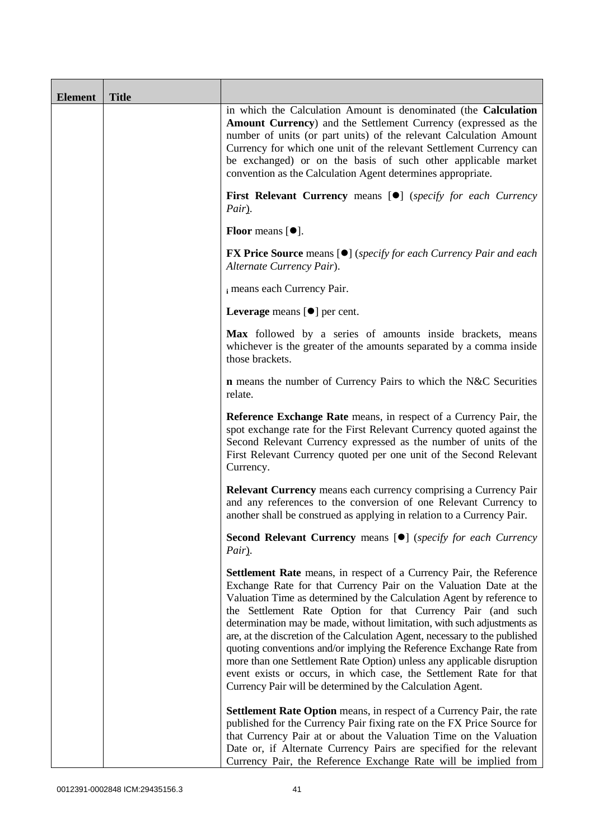| <b>Element</b> | <b>Title</b> |                                                                                                                                                                                                                                                                                                                                                                                                                                                                                                                                                                                                                                                                                                                                   |
|----------------|--------------|-----------------------------------------------------------------------------------------------------------------------------------------------------------------------------------------------------------------------------------------------------------------------------------------------------------------------------------------------------------------------------------------------------------------------------------------------------------------------------------------------------------------------------------------------------------------------------------------------------------------------------------------------------------------------------------------------------------------------------------|
|                |              | in which the Calculation Amount is denominated (the Calculation<br><b>Amount Currency</b> ) and the Settlement Currency (expressed as the<br>number of units (or part units) of the relevant Calculation Amount<br>Currency for which one unit of the relevant Settlement Currency can<br>be exchanged) or on the basis of such other applicable market<br>convention as the Calculation Agent determines appropriate.                                                                                                                                                                                                                                                                                                            |
|                |              | <b>First Relevant Currency means [O]</b> (specify for each Currency<br>Pair).                                                                                                                                                                                                                                                                                                                                                                                                                                                                                                                                                                                                                                                     |
|                |              | <b>Floor</b> means $[•]$ .                                                                                                                                                                                                                                                                                                                                                                                                                                                                                                                                                                                                                                                                                                        |
|                |              | <b>FX Price Source</b> means $[\bullet]$ ( <i>specify for each Currency Pair and each</i><br>Alternate Currency Pair).                                                                                                                                                                                                                                                                                                                                                                                                                                                                                                                                                                                                            |
|                |              | i means each Currency Pair.                                                                                                                                                                                                                                                                                                                                                                                                                                                                                                                                                                                                                                                                                                       |
|                |              | <b>Leverage</b> means $[\bullet]$ per cent.                                                                                                                                                                                                                                                                                                                                                                                                                                                                                                                                                                                                                                                                                       |
|                |              | Max followed by a series of amounts inside brackets, means<br>whichever is the greater of the amounts separated by a comma inside<br>those brackets.                                                                                                                                                                                                                                                                                                                                                                                                                                                                                                                                                                              |
|                |              | <b>n</b> means the number of Currency Pairs to which the N&C Securities<br>relate.                                                                                                                                                                                                                                                                                                                                                                                                                                                                                                                                                                                                                                                |
|                |              | Reference Exchange Rate means, in respect of a Currency Pair, the<br>spot exchange rate for the First Relevant Currency quoted against the<br>Second Relevant Currency expressed as the number of units of the<br>First Relevant Currency quoted per one unit of the Second Relevant<br>Currency.                                                                                                                                                                                                                                                                                                                                                                                                                                 |
|                |              | <b>Relevant Currency</b> means each currency comprising a Currency Pair<br>and any references to the conversion of one Relevant Currency to<br>another shall be construed as applying in relation to a Currency Pair.                                                                                                                                                                                                                                                                                                                                                                                                                                                                                                             |
|                |              | <b>Second Relevant Currency means [O]</b> (specify for each Currency<br>Pair).                                                                                                                                                                                                                                                                                                                                                                                                                                                                                                                                                                                                                                                    |
|                |              | Settlement Rate means, in respect of a Currency Pair, the Reference<br>Exchange Rate for that Currency Pair on the Valuation Date at the<br>Valuation Time as determined by the Calculation Agent by reference to<br>the Settlement Rate Option for that Currency Pair (and such<br>determination may be made, without limitation, with such adjustments as<br>are, at the discretion of the Calculation Agent, necessary to the published<br>quoting conventions and/or implying the Reference Exchange Rate from<br>more than one Settlement Rate Option) unless any applicable disruption<br>event exists or occurs, in which case, the Settlement Rate for that<br>Currency Pair will be determined by the Calculation Agent. |
|                |              | <b>Settlement Rate Option</b> means, in respect of a Currency Pair, the rate<br>published for the Currency Pair fixing rate on the FX Price Source for<br>that Currency Pair at or about the Valuation Time on the Valuation<br>Date or, if Alternate Currency Pairs are specified for the relevant<br>Currency Pair, the Reference Exchange Rate will be implied from                                                                                                                                                                                                                                                                                                                                                            |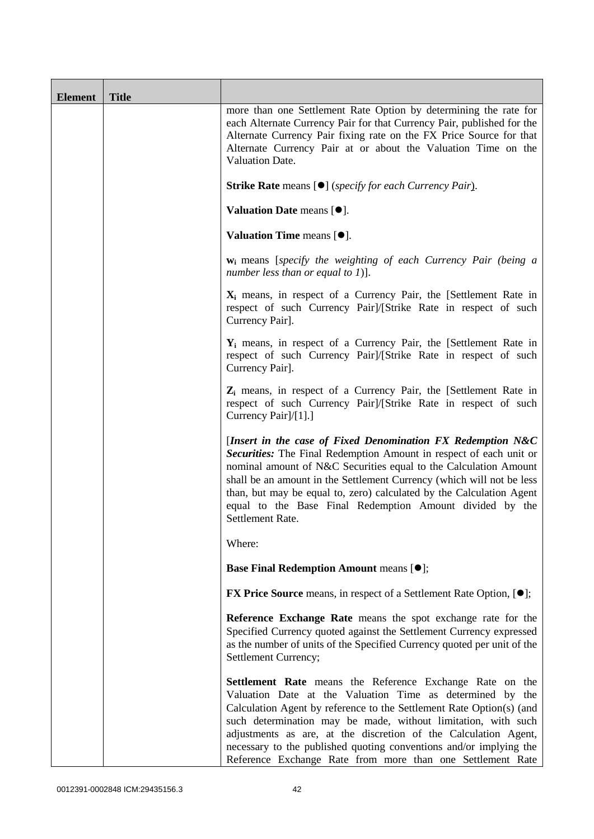| <b>Element</b> | <b>Title</b> |                                                                                                                                                                                                                                                                                                                                                                                                                                                                       |
|----------------|--------------|-----------------------------------------------------------------------------------------------------------------------------------------------------------------------------------------------------------------------------------------------------------------------------------------------------------------------------------------------------------------------------------------------------------------------------------------------------------------------|
|                |              | more than one Settlement Rate Option by determining the rate for<br>each Alternate Currency Pair for that Currency Pair, published for the<br>Alternate Currency Pair fixing rate on the FX Price Source for that<br>Alternate Currency Pair at or about the Valuation Time on the<br>Valuation Date.                                                                                                                                                                 |
|                |              | <b>Strike Rate</b> means [ $\bullet$ ] ( <i>specify for each Currency Pair</i> ).                                                                                                                                                                                                                                                                                                                                                                                     |
|                |              | Valuation Date means [ $\bullet$ ].                                                                                                                                                                                                                                                                                                                                                                                                                                   |
|                |              | Valuation Time means $[\bullet].$                                                                                                                                                                                                                                                                                                                                                                                                                                     |
|                |              | <b>w</b> <sub>i</sub> means [specify the weighting of each Currency Pair (being a<br>number less than or equal to 1)].                                                                                                                                                                                                                                                                                                                                                |
|                |              | $X_i$ means, in respect of a Currency Pair, the [Settlement Rate in<br>respect of such Currency Pair]/[Strike Rate in respect of such<br>Currency Pair].                                                                                                                                                                                                                                                                                                              |
|                |              | $Y_i$ means, in respect of a Currency Pair, the [Settlement Rate in<br>respect of such Currency Pair]/[Strike Rate in respect of such<br>Currency Pair].                                                                                                                                                                                                                                                                                                              |
|                |              | Z <sub>i</sub> means, in respect of a Currency Pair, the [Settlement Rate in<br>respect of such Currency Pair]/[Strike Rate in respect of such<br>Currency Pair]/[1].]                                                                                                                                                                                                                                                                                                |
|                |              | [Insert in the case of Fixed Denomination FX Redemption N&C<br>Securities: The Final Redemption Amount in respect of each unit or<br>nominal amount of N&C Securities equal to the Calculation Amount<br>shall be an amount in the Settlement Currency (which will not be less<br>than, but may be equal to, zero) calculated by the Calculation Agent<br>equal to the Base Final Redemption Amount divided by the<br>Settlement Rate.                                |
|                |              | Where:                                                                                                                                                                                                                                                                                                                                                                                                                                                                |
|                |              | <b>Base Final Redemption Amount means [<math>\bullet</math>];</b>                                                                                                                                                                                                                                                                                                                                                                                                     |
|                |              | <b>FX Price Source</b> means, in respect of a Settlement Rate Option, [ $\bullet$ ];                                                                                                                                                                                                                                                                                                                                                                                  |
|                |              | Reference Exchange Rate means the spot exchange rate for the<br>Specified Currency quoted against the Settlement Currency expressed<br>as the number of units of the Specified Currency quoted per unit of the<br>Settlement Currency;                                                                                                                                                                                                                                |
|                |              | Settlement Rate means the Reference Exchange Rate on the<br>Valuation Date at the Valuation Time as determined by the<br>Calculation Agent by reference to the Settlement Rate Option(s) (and<br>such determination may be made, without limitation, with such<br>adjustments as are, at the discretion of the Calculation Agent,<br>necessary to the published quoting conventions and/or implying the<br>Reference Exchange Rate from more than one Settlement Rate |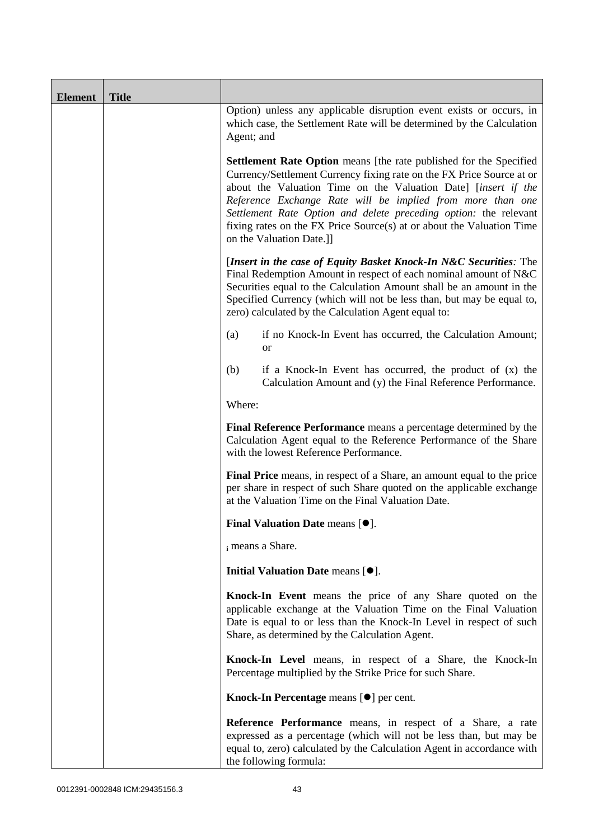| <b>Element</b> | <b>Title</b> |                                                                                                                                                                                                                                                                                                                                                                                                                                                             |
|----------------|--------------|-------------------------------------------------------------------------------------------------------------------------------------------------------------------------------------------------------------------------------------------------------------------------------------------------------------------------------------------------------------------------------------------------------------------------------------------------------------|
|                |              | Option) unless any applicable disruption event exists or occurs, in<br>which case, the Settlement Rate will be determined by the Calculation<br>Agent; and                                                                                                                                                                                                                                                                                                  |
|                |              | <b>Settlement Rate Option</b> means [the rate published for the Specified<br>Currency/Settlement Currency fixing rate on the FX Price Source at or<br>about the Valuation Time on the Valuation Date] [insert if the<br>Reference Exchange Rate will be implied from more than one<br>Settlement Rate Option and delete preceding option: the relevant<br>fixing rates on the FX Price Source(s) at or about the Valuation Time<br>on the Valuation Date.]] |
|                |              | [Insert in the case of Equity Basket Knock-In N&C Securities: The<br>Final Redemption Amount in respect of each nominal amount of N&C<br>Securities equal to the Calculation Amount shall be an amount in the<br>Specified Currency (which will not be less than, but may be equal to,<br>zero) calculated by the Calculation Agent equal to:                                                                                                               |
|                |              | if no Knock-In Event has occurred, the Calculation Amount;<br>(a)<br><sub>or</sub>                                                                                                                                                                                                                                                                                                                                                                          |
|                |              | (b)<br>if a Knock-In Event has occurred, the product of $(x)$ the<br>Calculation Amount and (y) the Final Reference Performance.                                                                                                                                                                                                                                                                                                                            |
|                |              | Where:                                                                                                                                                                                                                                                                                                                                                                                                                                                      |
|                |              | Final Reference Performance means a percentage determined by the<br>Calculation Agent equal to the Reference Performance of the Share<br>with the lowest Reference Performance.                                                                                                                                                                                                                                                                             |
|                |              | Final Price means, in respect of a Share, an amount equal to the price<br>per share in respect of such Share quoted on the applicable exchange<br>at the Valuation Time on the Final Valuation Date.                                                                                                                                                                                                                                                        |
|                |              | Final Valuation Date means [ $\bullet$ ].                                                                                                                                                                                                                                                                                                                                                                                                                   |
|                |              | i means a Share.                                                                                                                                                                                                                                                                                                                                                                                                                                            |
|                |              | Initial Valuation Date means [ $\bullet$ ].                                                                                                                                                                                                                                                                                                                                                                                                                 |
|                |              | Knock-In Event means the price of any Share quoted on the<br>applicable exchange at the Valuation Time on the Final Valuation<br>Date is equal to or less than the Knock-In Level in respect of such<br>Share, as determined by the Calculation Agent.                                                                                                                                                                                                      |
|                |              | Knock-In Level means, in respect of a Share, the Knock-In<br>Percentage multiplied by the Strike Price for such Share.                                                                                                                                                                                                                                                                                                                                      |
|                |              | Knock-In Percentage means [ $\bullet$ ] per cent.                                                                                                                                                                                                                                                                                                                                                                                                           |
|                |              | Reference Performance means, in respect of a Share, a rate<br>expressed as a percentage (which will not be less than, but may be<br>equal to, zero) calculated by the Calculation Agent in accordance with<br>the following formula:                                                                                                                                                                                                                        |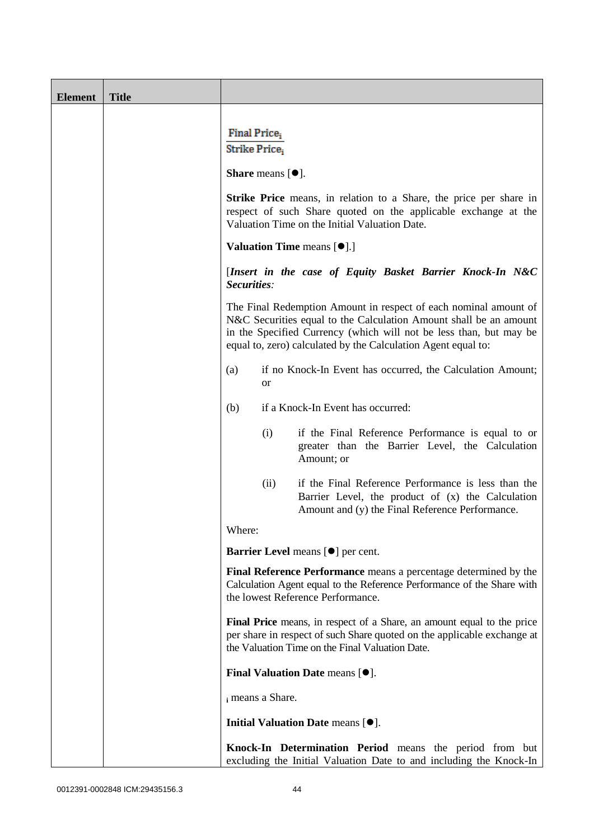| <b>Element</b> | <b>Title</b> |                                                                                                                                                                                                                                                                              |
|----------------|--------------|------------------------------------------------------------------------------------------------------------------------------------------------------------------------------------------------------------------------------------------------------------------------------|
|                |              | Final Price <sub>i</sub>                                                                                                                                                                                                                                                     |
|                |              | Strike Price,                                                                                                                                                                                                                                                                |
|                |              | <b>Share</b> means $[①]$ .                                                                                                                                                                                                                                                   |
|                |              | <b>Strike Price</b> means, in relation to a Share, the price per share in<br>respect of such Share quoted on the applicable exchange at the<br>Valuation Time on the Initial Valuation Date.                                                                                 |
|                |              | <b>Valuation Time means <math>[\bullet]</math>.</b> ]                                                                                                                                                                                                                        |
|                |              | [Insert in the case of Equity Basket Barrier Knock-In N&C<br>Securities:                                                                                                                                                                                                     |
|                |              | The Final Redemption Amount in respect of each nominal amount of<br>N&C Securities equal to the Calculation Amount shall be an amount<br>in the Specified Currency (which will not be less than, but may be<br>equal to, zero) calculated by the Calculation Agent equal to: |
|                |              | if no Knock-In Event has occurred, the Calculation Amount;<br>(a)<br>or                                                                                                                                                                                                      |
|                |              | if a Knock-In Event has occurred:<br>(b)                                                                                                                                                                                                                                     |
|                |              | (i)<br>if the Final Reference Performance is equal to or<br>greater than the Barrier Level, the Calculation<br>Amount; or                                                                                                                                                    |
|                |              | if the Final Reference Performance is less than the<br>(ii)<br>Barrier Level, the product of (x) the Calculation<br>Amount and (y) the Final Reference Performance.                                                                                                          |
|                |              | Where:                                                                                                                                                                                                                                                                       |
|                |              | Barrier Level means [ $\bullet$ ] per cent.                                                                                                                                                                                                                                  |
|                |              | Final Reference Performance means a percentage determined by the<br>Calculation Agent equal to the Reference Performance of the Share with<br>the lowest Reference Performance.                                                                                              |
|                |              | Final Price means, in respect of a Share, an amount equal to the price<br>per share in respect of such Share quoted on the applicable exchange at<br>the Valuation Time on the Final Valuation Date.                                                                         |
|                |              | Final Valuation Date means [ $\bullet$ ].                                                                                                                                                                                                                                    |
|                |              | i means a Share.                                                                                                                                                                                                                                                             |
|                |              | Initial Valuation Date means [ $\bullet$ ].                                                                                                                                                                                                                                  |
|                |              | Knock-In Determination Period means the period from but<br>excluding the Initial Valuation Date to and including the Knock-In                                                                                                                                                |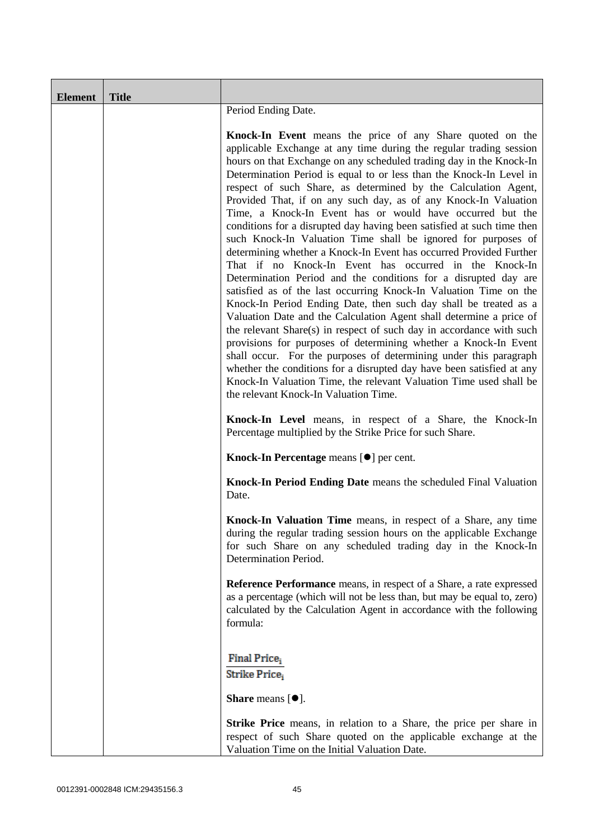| <b>Element</b> | <b>Title</b> |                                                                                                                                                                                                                                                                                                                                                                                                                                                                                                                                                                                                                                                                                                                                                                                                                                                                                                                                                                                                                                                                                                                                                                                                                                                                                                                                                                                                                                                       |
|----------------|--------------|-------------------------------------------------------------------------------------------------------------------------------------------------------------------------------------------------------------------------------------------------------------------------------------------------------------------------------------------------------------------------------------------------------------------------------------------------------------------------------------------------------------------------------------------------------------------------------------------------------------------------------------------------------------------------------------------------------------------------------------------------------------------------------------------------------------------------------------------------------------------------------------------------------------------------------------------------------------------------------------------------------------------------------------------------------------------------------------------------------------------------------------------------------------------------------------------------------------------------------------------------------------------------------------------------------------------------------------------------------------------------------------------------------------------------------------------------------|
|                |              | Period Ending Date.                                                                                                                                                                                                                                                                                                                                                                                                                                                                                                                                                                                                                                                                                                                                                                                                                                                                                                                                                                                                                                                                                                                                                                                                                                                                                                                                                                                                                                   |
|                |              | Knock-In Event means the price of any Share quoted on the<br>applicable Exchange at any time during the regular trading session<br>hours on that Exchange on any scheduled trading day in the Knock-In<br>Determination Period is equal to or less than the Knock-In Level in<br>respect of such Share, as determined by the Calculation Agent,<br>Provided That, if on any such day, as of any Knock-In Valuation<br>Time, a Knock-In Event has or would have occurred but the<br>conditions for a disrupted day having been satisfied at such time then<br>such Knock-In Valuation Time shall be ignored for purposes of<br>determining whether a Knock-In Event has occurred Provided Further<br>That if no Knock-In Event has occurred in the Knock-In<br>Determination Period and the conditions for a disrupted day are<br>satisfied as of the last occurring Knock-In Valuation Time on the<br>Knock-In Period Ending Date, then such day shall be treated as a<br>Valuation Date and the Calculation Agent shall determine a price of<br>the relevant Share(s) in respect of such day in accordance with such<br>provisions for purposes of determining whether a Knock-In Event<br>shall occur. For the purposes of determining under this paragraph<br>whether the conditions for a disrupted day have been satisfied at any<br>Knock-In Valuation Time, the relevant Valuation Time used shall be<br>the relevant Knock-In Valuation Time. |
|                |              | Knock-In Level means, in respect of a Share, the Knock-In<br>Percentage multiplied by the Strike Price for such Share.                                                                                                                                                                                                                                                                                                                                                                                                                                                                                                                                                                                                                                                                                                                                                                                                                                                                                                                                                                                                                                                                                                                                                                                                                                                                                                                                |
|                |              | Knock-In Percentage means [ $\bullet$ ] per cent.                                                                                                                                                                                                                                                                                                                                                                                                                                                                                                                                                                                                                                                                                                                                                                                                                                                                                                                                                                                                                                                                                                                                                                                                                                                                                                                                                                                                     |
|                |              | Knock-In Period Ending Date means the scheduled Final Valuation<br>Date.                                                                                                                                                                                                                                                                                                                                                                                                                                                                                                                                                                                                                                                                                                                                                                                                                                                                                                                                                                                                                                                                                                                                                                                                                                                                                                                                                                              |
|                |              | Knock-In Valuation Time means, in respect of a Share, any time<br>during the regular trading session hours on the applicable Exchange<br>for such Share on any scheduled trading day in the Knock-In<br>Determination Period.                                                                                                                                                                                                                                                                                                                                                                                                                                                                                                                                                                                                                                                                                                                                                                                                                                                                                                                                                                                                                                                                                                                                                                                                                         |
|                |              | <b>Reference Performance</b> means, in respect of a Share, a rate expressed<br>as a percentage (which will not be less than, but may be equal to, zero)<br>calculated by the Calculation Agent in accordance with the following<br>formula:                                                                                                                                                                                                                                                                                                                                                                                                                                                                                                                                                                                                                                                                                                                                                                                                                                                                                                                                                                                                                                                                                                                                                                                                           |
|                |              | Final Price <sub>i</sub><br>Strike Price;<br><b>Share</b> means $[•]$ .                                                                                                                                                                                                                                                                                                                                                                                                                                                                                                                                                                                                                                                                                                                                                                                                                                                                                                                                                                                                                                                                                                                                                                                                                                                                                                                                                                               |
|                |              | <b>Strike Price</b> means, in relation to a Share, the price per share in<br>respect of such Share quoted on the applicable exchange at the<br>Valuation Time on the Initial Valuation Date.                                                                                                                                                                                                                                                                                                                                                                                                                                                                                                                                                                                                                                                                                                                                                                                                                                                                                                                                                                                                                                                                                                                                                                                                                                                          |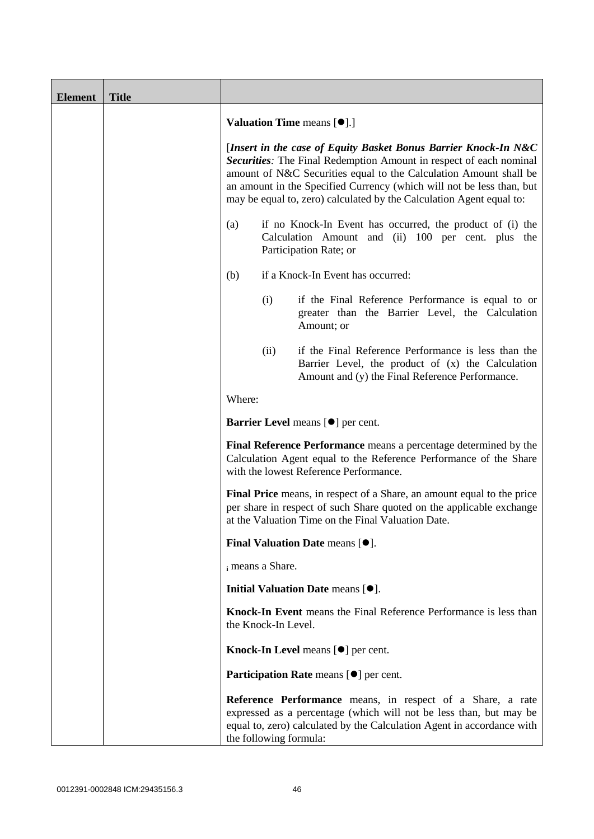| <b>Element</b> | <b>Title</b> |                                                                                                                                                                                                                                                                                                                                                             |
|----------------|--------------|-------------------------------------------------------------------------------------------------------------------------------------------------------------------------------------------------------------------------------------------------------------------------------------------------------------------------------------------------------------|
|                |              | <b>Valuation Time means [<math>\bullet</math>].]</b>                                                                                                                                                                                                                                                                                                        |
|                |              | [Insert in the case of Equity Basket Bonus Barrier Knock-In N&C<br>Securities: The Final Redemption Amount in respect of each nominal<br>amount of N&C Securities equal to the Calculation Amount shall be<br>an amount in the Specified Currency (which will not be less than, but<br>may be equal to, zero) calculated by the Calculation Agent equal to: |
|                |              | if no Knock-In Event has occurred, the product of (i) the<br>(a)<br>Calculation Amount and (ii) 100 per cent. plus the<br>Participation Rate; or                                                                                                                                                                                                            |
|                |              | if a Knock-In Event has occurred:<br>(b)                                                                                                                                                                                                                                                                                                                    |
|                |              | (i)<br>if the Final Reference Performance is equal to or<br>greater than the Barrier Level, the Calculation<br>Amount; or                                                                                                                                                                                                                                   |
|                |              | if the Final Reference Performance is less than the<br>(ii)<br>Barrier Level, the product of (x) the Calculation<br>Amount and (y) the Final Reference Performance.                                                                                                                                                                                         |
|                |              | Where:                                                                                                                                                                                                                                                                                                                                                      |
|                |              | Barrier Level means [ $\bullet$ ] per cent.                                                                                                                                                                                                                                                                                                                 |
|                |              | Final Reference Performance means a percentage determined by the<br>Calculation Agent equal to the Reference Performance of the Share<br>with the lowest Reference Performance.                                                                                                                                                                             |
|                |              | Final Price means, in respect of a Share, an amount equal to the price<br>per share in respect of such Share quoted on the applicable exchange<br>at the Valuation Time on the Final Valuation Date.                                                                                                                                                        |
|                |              | Final Valuation Date means $[•]$ .                                                                                                                                                                                                                                                                                                                          |
|                |              | i means a Share.                                                                                                                                                                                                                                                                                                                                            |
|                |              | Initial Valuation Date means [ $\bullet$ ].                                                                                                                                                                                                                                                                                                                 |
|                |              | Knock-In Event means the Final Reference Performance is less than<br>the Knock-In Level.                                                                                                                                                                                                                                                                    |
|                |              | Knock-In Level means [ $\bullet$ ] per cent.                                                                                                                                                                                                                                                                                                                |
|                |              | Participation Rate means [ $\bullet$ ] per cent.                                                                                                                                                                                                                                                                                                            |
|                |              | Reference Performance means, in respect of a Share, a rate<br>expressed as a percentage (which will not be less than, but may be<br>equal to, zero) calculated by the Calculation Agent in accordance with<br>the following formula:                                                                                                                        |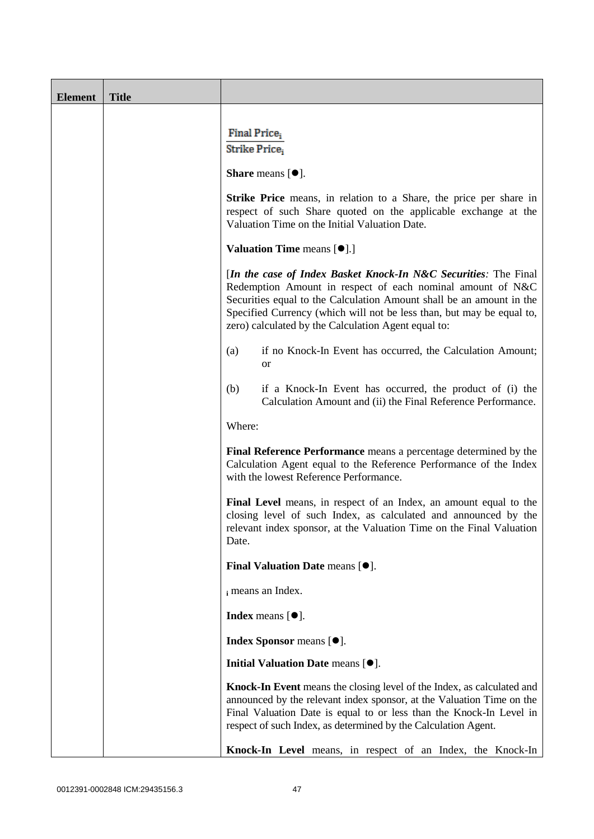| <b>Element</b> | <b>Title</b> |                                                                                                                                                                                                                                                                                                                                       |
|----------------|--------------|---------------------------------------------------------------------------------------------------------------------------------------------------------------------------------------------------------------------------------------------------------------------------------------------------------------------------------------|
|                |              | Final Price <sub>i</sub><br>Strike Price,                                                                                                                                                                                                                                                                                             |
|                |              |                                                                                                                                                                                                                                                                                                                                       |
|                |              | <b>Share</b> means $[•]$ .                                                                                                                                                                                                                                                                                                            |
|                |              | <b>Strike Price</b> means, in relation to a Share, the price per share in<br>respect of such Share quoted on the applicable exchange at the<br>Valuation Time on the Initial Valuation Date.                                                                                                                                          |
|                |              | <b>Valuation Time means [<math>\bullet</math>].]</b>                                                                                                                                                                                                                                                                                  |
|                |              | [In the case of Index Basket Knock-In N&C Securities: The Final<br>Redemption Amount in respect of each nominal amount of N&C<br>Securities equal to the Calculation Amount shall be an amount in the<br>Specified Currency (which will not be less than, but may be equal to,<br>zero) calculated by the Calculation Agent equal to: |
|                |              | if no Knock-In Event has occurred, the Calculation Amount;<br>(a)<br><b>or</b>                                                                                                                                                                                                                                                        |
|                |              | if a Knock-In Event has occurred, the product of (i) the<br>(b)<br>Calculation Amount and (ii) the Final Reference Performance.                                                                                                                                                                                                       |
|                |              | Where:                                                                                                                                                                                                                                                                                                                                |
|                |              | Final Reference Performance means a percentage determined by the<br>Calculation Agent equal to the Reference Performance of the Index<br>with the lowest Reference Performance.                                                                                                                                                       |
|                |              | Final Level means, in respect of an Index, an amount equal to the<br>closing level of such Index, as calculated and announced by the<br>relevant index sponsor, at the Valuation Time on the Final Valuation<br>Date.                                                                                                                 |
|                |              | Final Valuation Date means [ $\bullet$ ].                                                                                                                                                                                                                                                                                             |
|                |              | i means an Index.                                                                                                                                                                                                                                                                                                                     |
|                |              | <b>Index</b> means $[\bullet]$ .                                                                                                                                                                                                                                                                                                      |
|                |              | Index Sponsor means [ $\bullet$ ].                                                                                                                                                                                                                                                                                                    |
|                |              | Initial Valuation Date means [ $\bullet$ ].                                                                                                                                                                                                                                                                                           |
|                |              | Knock-In Event means the closing level of the Index, as calculated and<br>announced by the relevant index sponsor, at the Valuation Time on the<br>Final Valuation Date is equal to or less than the Knock-In Level in<br>respect of such Index, as determined by the Calculation Agent.                                              |
|                |              | Knock-In Level means, in respect of an Index, the Knock-In                                                                                                                                                                                                                                                                            |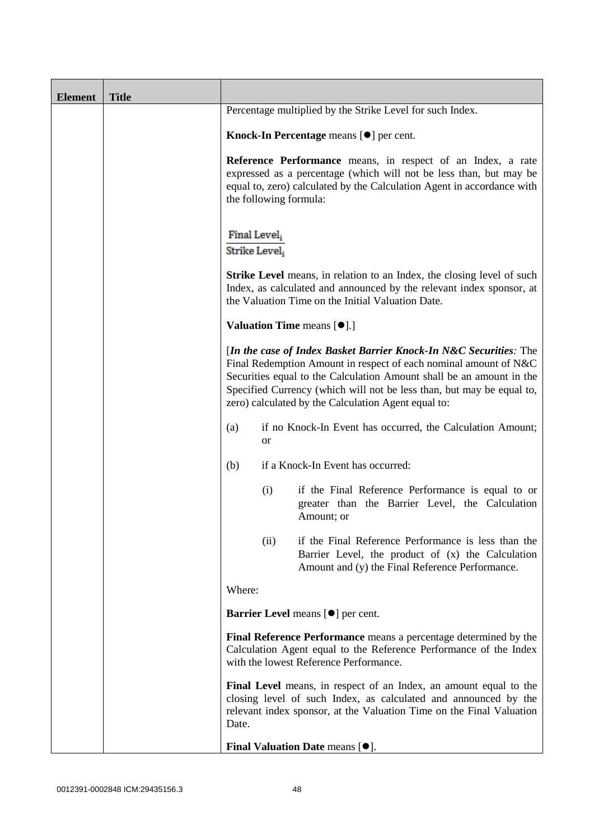| <b>Element</b> | <b>Title</b> |                                                                                                                                                                                                                                                                                                                                               |
|----------------|--------------|-----------------------------------------------------------------------------------------------------------------------------------------------------------------------------------------------------------------------------------------------------------------------------------------------------------------------------------------------|
|                |              | Percentage multiplied by the Strike Level for such Index.                                                                                                                                                                                                                                                                                     |
|                |              | Knock-In Percentage means $[\bullet]$ per cent.                                                                                                                                                                                                                                                                                               |
|                |              | Reference Performance means, in respect of an Index, a rate<br>expressed as a percentage (which will not be less than, but may be<br>equal to, zero) calculated by the Calculation Agent in accordance with<br>the following formula:                                                                                                         |
|                |              | Final Level,<br>Strike Level,                                                                                                                                                                                                                                                                                                                 |
|                |              | <b>Strike Level</b> means, in relation to an Index, the closing level of such<br>Index, as calculated and announced by the relevant index sponsor, at<br>the Valuation Time on the Initial Valuation Date.                                                                                                                                    |
|                |              | Valuation Time means [ $\bullet$ ].]                                                                                                                                                                                                                                                                                                          |
|                |              | [In the case of Index Basket Barrier Knock-In N&C Securities: The<br>Final Redemption Amount in respect of each nominal amount of N&C<br>Securities equal to the Calculation Amount shall be an amount in the<br>Specified Currency (which will not be less than, but may be equal to,<br>zero) calculated by the Calculation Agent equal to: |
|                |              | if no Knock-In Event has occurred, the Calculation Amount;<br>(a)<br><b>or</b>                                                                                                                                                                                                                                                                |
|                |              | if a Knock-In Event has occurred:<br>(b)                                                                                                                                                                                                                                                                                                      |
|                |              | (i)<br>if the Final Reference Performance is equal to or<br>greater than the Barrier Level, the Calculation<br>Amount; or                                                                                                                                                                                                                     |
|                |              | if the Final Reference Performance is less than the<br>(ii)<br>Barrier Level, the product of $(x)$ the Calculation<br>Amount and (y) the Final Reference Performance.                                                                                                                                                                         |
|                |              | Where:                                                                                                                                                                                                                                                                                                                                        |
|                |              | Barrier Level means [ $\bullet$ ] per cent.                                                                                                                                                                                                                                                                                                   |
|                |              | Final Reference Performance means a percentage determined by the<br>Calculation Agent equal to the Reference Performance of the Index<br>with the lowest Reference Performance.                                                                                                                                                               |
|                |              | Final Level means, in respect of an Index, an amount equal to the<br>closing level of such Index, as calculated and announced by the<br>relevant index sponsor, at the Valuation Time on the Final Valuation<br>Date.                                                                                                                         |
|                |              | Final Valuation Date means [ $\bullet$ ].                                                                                                                                                                                                                                                                                                     |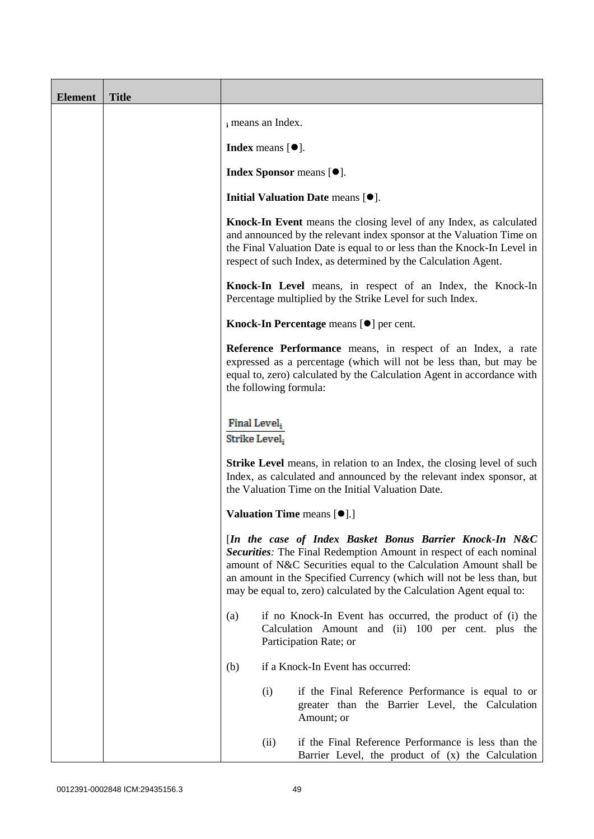| <b>Element</b> | <b>Title</b> |                               |                     |                                                                                                                                                                                                                                                                                                                                                     |
|----------------|--------------|-------------------------------|---------------------|-----------------------------------------------------------------------------------------------------------------------------------------------------------------------------------------------------------------------------------------------------------------------------------------------------------------------------------------------------|
|                |              |                               | i means an Index.   |                                                                                                                                                                                                                                                                                                                                                     |
|                |              |                               | Index means $[•]$ . |                                                                                                                                                                                                                                                                                                                                                     |
|                |              |                               |                     | <b>Index Sponsor</b> means [ $\bullet$ ].                                                                                                                                                                                                                                                                                                           |
|                |              |                               |                     | Initial Valuation Date means [ $\bullet$ ].                                                                                                                                                                                                                                                                                                         |
|                |              |                               |                     | Knock-In Event means the closing level of any Index, as calculated<br>and announced by the relevant index sponsor at the Valuation Time on<br>the Final Valuation Date is equal to or less than the Knock-In Level in<br>respect of such Index, as determined by the Calculation Agent.                                                             |
|                |              |                               |                     | Knock-In Level means, in respect of an Index, the Knock-In<br>Percentage multiplied by the Strike Level for such Index.                                                                                                                                                                                                                             |
|                |              |                               |                     | Knock-In Percentage means [ $\bullet$ ] per cent.                                                                                                                                                                                                                                                                                                   |
|                |              |                               |                     | <b>Reference Performance</b> means, in respect of an Index, a rate<br>expressed as a percentage (which will not be less than, but may be<br>equal to, zero) calculated by the Calculation Agent in accordance with<br>the following formula:                                                                                                        |
|                |              | Final Level,<br>Strike Level, |                     |                                                                                                                                                                                                                                                                                                                                                     |
|                |              |                               |                     | <b>Strike Level</b> means, in relation to an Index, the closing level of such<br>Index, as calculated and announced by the relevant index sponsor, at<br>the Valuation Time on the Initial Valuation Date.                                                                                                                                          |
|                |              |                               |                     | <b>Valuation Time means [O].]</b>                                                                                                                                                                                                                                                                                                                   |
|                |              |                               |                     | [In the case of Index Basket Bonus Barrier Knock-In N&C<br>Securities: The Final Redemption Amount in respect of each nominal<br>amount of N&C Securities equal to the Calculation Amount shall be<br>an amount in the Specified Currency (which will not be less than, but<br>may be equal to, zero) calculated by the Calculation Agent equal to: |
|                |              | (a)                           |                     | if no Knock-In Event has occurred, the product of (i) the<br>Calculation Amount and (ii) 100 per cent. plus the<br>Participation Rate; or                                                                                                                                                                                                           |
|                |              | (b)                           |                     | if a Knock-In Event has occurred:                                                                                                                                                                                                                                                                                                                   |
|                |              |                               | (i)                 | if the Final Reference Performance is equal to or<br>greater than the Barrier Level, the Calculation<br>Amount; or                                                                                                                                                                                                                                  |
|                |              |                               | (ii)                | if the Final Reference Performance is less than the<br>Barrier Level, the product of (x) the Calculation                                                                                                                                                                                                                                            |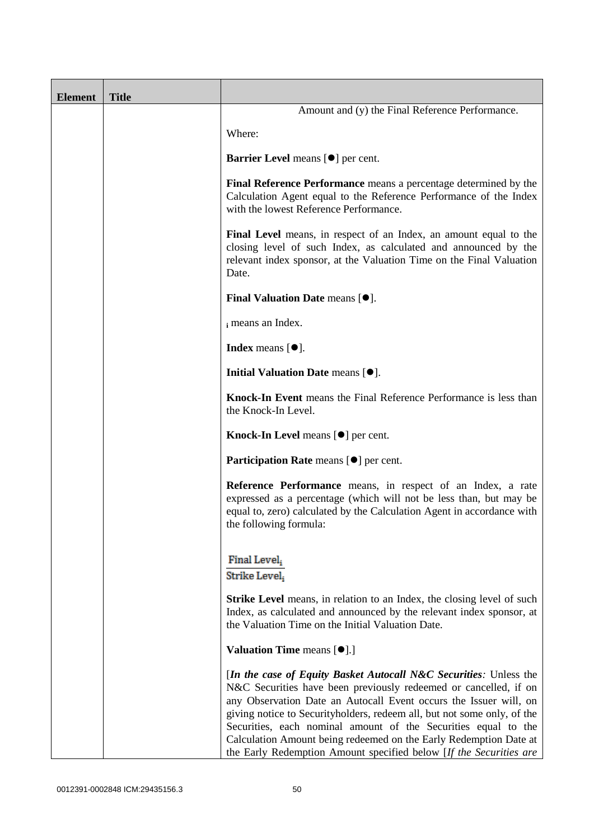| <b>Element</b> | <b>Title</b> |                                                                                                                                                                                                                                                                                                                                                                                                                                                                                                    |
|----------------|--------------|----------------------------------------------------------------------------------------------------------------------------------------------------------------------------------------------------------------------------------------------------------------------------------------------------------------------------------------------------------------------------------------------------------------------------------------------------------------------------------------------------|
|                |              | Amount and (y) the Final Reference Performance.                                                                                                                                                                                                                                                                                                                                                                                                                                                    |
|                |              | Where:                                                                                                                                                                                                                                                                                                                                                                                                                                                                                             |
|                |              | Barrier Level means [ $\bullet$ ] per cent.                                                                                                                                                                                                                                                                                                                                                                                                                                                        |
|                |              | Final Reference Performance means a percentage determined by the<br>Calculation Agent equal to the Reference Performance of the Index<br>with the lowest Reference Performance.                                                                                                                                                                                                                                                                                                                    |
|                |              | Final Level means, in respect of an Index, an amount equal to the<br>closing level of such Index, as calculated and announced by the<br>relevant index sponsor, at the Valuation Time on the Final Valuation<br>Date.                                                                                                                                                                                                                                                                              |
|                |              | Final Valuation Date means [ $\bullet$ ].                                                                                                                                                                                                                                                                                                                                                                                                                                                          |
|                |              | i means an Index.                                                                                                                                                                                                                                                                                                                                                                                                                                                                                  |
|                |              | <b>Index</b> means $\lceil \bullet \rceil$ .                                                                                                                                                                                                                                                                                                                                                                                                                                                       |
|                |              | Initial Valuation Date means [ $\bullet$ ].                                                                                                                                                                                                                                                                                                                                                                                                                                                        |
|                |              | Knock-In Event means the Final Reference Performance is less than<br>the Knock-In Level.                                                                                                                                                                                                                                                                                                                                                                                                           |
|                |              | <b>Knock-In Level</b> means $[\bullet]$ per cent.                                                                                                                                                                                                                                                                                                                                                                                                                                                  |
|                |              | <b>Participation Rate</b> means [ $\bullet$ ] per cent.                                                                                                                                                                                                                                                                                                                                                                                                                                            |
|                |              | Reference Performance means, in respect of an Index, a rate<br>expressed as a percentage (which will not be less than, but may be<br>equal to, zero) calculated by the Calculation Agent in accordance with<br>the following formula:                                                                                                                                                                                                                                                              |
|                |              | Final Level,<br>Strike Level,                                                                                                                                                                                                                                                                                                                                                                                                                                                                      |
|                |              | <b>Strike Level</b> means, in relation to an Index, the closing level of such<br>Index, as calculated and announced by the relevant index sponsor, at<br>the Valuation Time on the Initial Valuation Date.                                                                                                                                                                                                                                                                                         |
|                |              | Valuation Time means [ $\bullet$ ].]                                                                                                                                                                                                                                                                                                                                                                                                                                                               |
|                |              | [In the case of Equity Basket Autocall N&C Securities: Unless the<br>N&C Securities have been previously redeemed or cancelled, if on<br>any Observation Date an Autocall Event occurs the Issuer will, on<br>giving notice to Securityholders, redeem all, but not some only, of the<br>Securities, each nominal amount of the Securities equal to the<br>Calculation Amount being redeemed on the Early Redemption Date at<br>the Early Redemption Amount specified below [If the Securities are |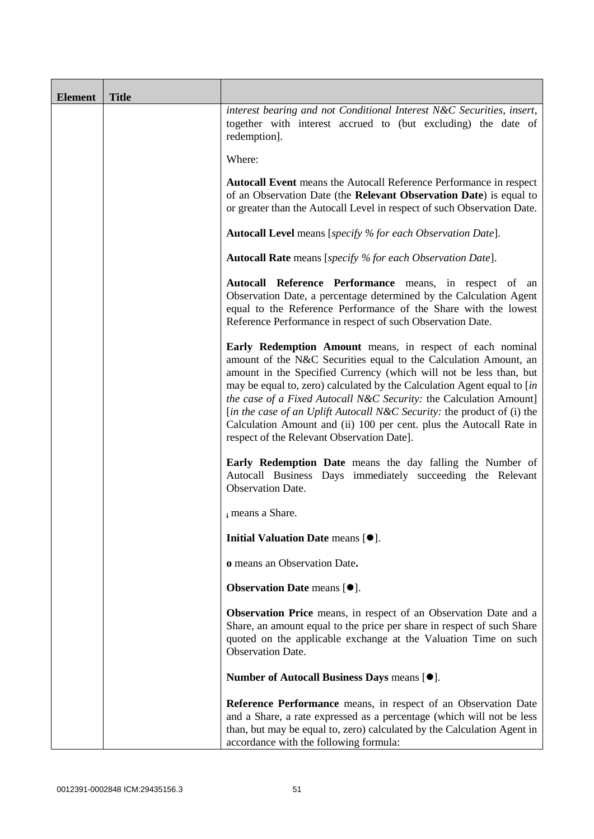| <b>Element</b> | <b>Title</b> |                                                                                                                                                                                                                                                                                                                                                                                                                                                                                                                                                      |
|----------------|--------------|------------------------------------------------------------------------------------------------------------------------------------------------------------------------------------------------------------------------------------------------------------------------------------------------------------------------------------------------------------------------------------------------------------------------------------------------------------------------------------------------------------------------------------------------------|
|                |              | interest bearing and not Conditional Interest N&C Securities, insert,<br>together with interest accrued to (but excluding) the date of<br>redemption].                                                                                                                                                                                                                                                                                                                                                                                               |
|                |              | Where:                                                                                                                                                                                                                                                                                                                                                                                                                                                                                                                                               |
|                |              | <b>Autocall Event</b> means the Autocall Reference Performance in respect<br>of an Observation Date (the Relevant Observation Date) is equal to<br>or greater than the Autocall Level in respect of such Observation Date.                                                                                                                                                                                                                                                                                                                           |
|                |              | <b>Autocall Level</b> means [specify % for each Observation Date].                                                                                                                                                                                                                                                                                                                                                                                                                                                                                   |
|                |              | <b>Autocall Rate</b> means [specify % for each Observation Date].                                                                                                                                                                                                                                                                                                                                                                                                                                                                                    |
|                |              | Autocall Reference Performance means, in respect of an<br>Observation Date, a percentage determined by the Calculation Agent<br>equal to the Reference Performance of the Share with the lowest<br>Reference Performance in respect of such Observation Date.                                                                                                                                                                                                                                                                                        |
|                |              | Early Redemption Amount means, in respect of each nominal<br>amount of the N&C Securities equal to the Calculation Amount, an<br>amount in the Specified Currency (which will not be less than, but<br>may be equal to, zero) calculated by the Calculation Agent equal to [in<br>the case of a Fixed Autocall N&C Security: the Calculation Amount]<br>[in the case of an Uplift Autocall N&C Security: the product of (i) the<br>Calculation Amount and (ii) 100 per cent. plus the Autocall Rate in<br>respect of the Relevant Observation Date]. |
|                |              | Early Redemption Date means the day falling the Number of<br>Autocall Business Days immediately succeeding the Relevant<br>Observation Date.                                                                                                                                                                                                                                                                                                                                                                                                         |
|                |              | i means a Share.                                                                                                                                                                                                                                                                                                                                                                                                                                                                                                                                     |
|                |              | Initial Valuation Date means [ $\bullet$ ].                                                                                                                                                                                                                                                                                                                                                                                                                                                                                                          |
|                |              | o means an Observation Date.                                                                                                                                                                                                                                                                                                                                                                                                                                                                                                                         |
|                |              | <b>Observation Date means <math>[•]</math>.</b>                                                                                                                                                                                                                                                                                                                                                                                                                                                                                                      |
|                |              | <b>Observation Price</b> means, in respect of an Observation Date and a<br>Share, an amount equal to the price per share in respect of such Share<br>quoted on the applicable exchange at the Valuation Time on such<br><b>Observation Date.</b>                                                                                                                                                                                                                                                                                                     |
|                |              | Number of Autocall Business Days means [ $\bullet$ ].                                                                                                                                                                                                                                                                                                                                                                                                                                                                                                |
|                |              | Reference Performance means, in respect of an Observation Date<br>and a Share, a rate expressed as a percentage (which will not be less<br>than, but may be equal to, zero) calculated by the Calculation Agent in<br>accordance with the following formula:                                                                                                                                                                                                                                                                                         |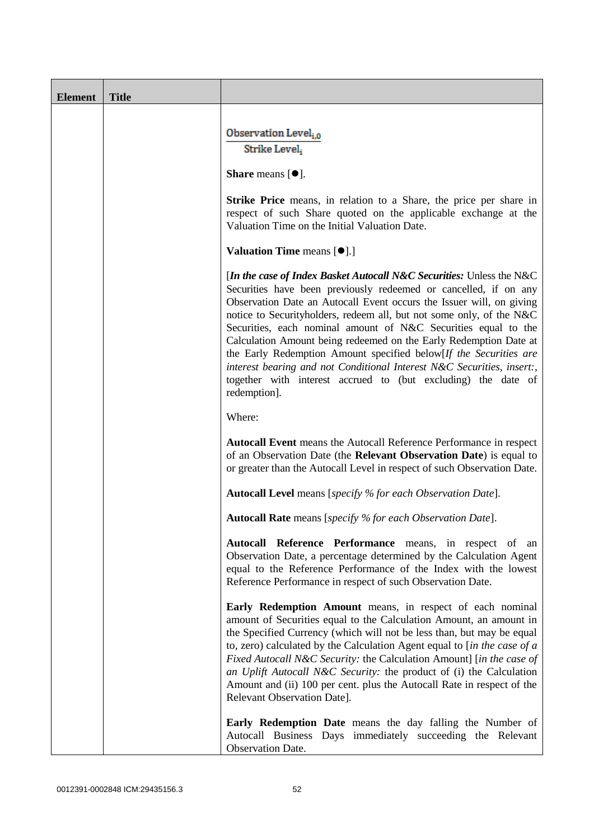| <b>Element</b> | <b>Title</b> |                                                                                                                                                                                                                                                                                                                                                                                                                                                                                                                                                                                                                                                                 |
|----------------|--------------|-----------------------------------------------------------------------------------------------------------------------------------------------------------------------------------------------------------------------------------------------------------------------------------------------------------------------------------------------------------------------------------------------------------------------------------------------------------------------------------------------------------------------------------------------------------------------------------------------------------------------------------------------------------------|
|                |              | Observation Level <sub>i,0</sub><br>Strike Level;                                                                                                                                                                                                                                                                                                                                                                                                                                                                                                                                                                                                               |
|                |              | <b>Share</b> means $[①]$ .                                                                                                                                                                                                                                                                                                                                                                                                                                                                                                                                                                                                                                      |
|                |              | <b>Strike Price</b> means, in relation to a Share, the price per share in<br>respect of such Share quoted on the applicable exchange at the<br>Valuation Time on the Initial Valuation Date.                                                                                                                                                                                                                                                                                                                                                                                                                                                                    |
|                |              | <b>Valuation Time means [<math>\bullet</math>].]</b>                                                                                                                                                                                                                                                                                                                                                                                                                                                                                                                                                                                                            |
|                |              | [In the case of Index Basket Autocall N&C Securities: Unless the N&C<br>Securities have been previously redeemed or cancelled, if on any<br>Observation Date an Autocall Event occurs the Issuer will, on giving<br>notice to Securityholders, redeem all, but not some only, of the N&C<br>Securities, each nominal amount of N&C Securities equal to the<br>Calculation Amount being redeemed on the Early Redemption Date at<br>the Early Redemption Amount specified below[If the Securities are<br>interest bearing and not Conditional Interest N&C Securities, insert:,<br>together with interest accrued to (but excluding) the date of<br>redemption]. |
|                |              | Where:                                                                                                                                                                                                                                                                                                                                                                                                                                                                                                                                                                                                                                                          |
|                |              | <b>Autocall Event</b> means the Autocall Reference Performance in respect<br>of an Observation Date (the Relevant Observation Date) is equal to<br>or greater than the Autocall Level in respect of such Observation Date.                                                                                                                                                                                                                                                                                                                                                                                                                                      |
|                |              | <b>Autocall Level</b> means [specify % for each Observation Date].                                                                                                                                                                                                                                                                                                                                                                                                                                                                                                                                                                                              |
|                |              | <b>Autocall Rate</b> means [specify % for each Observation Date].                                                                                                                                                                                                                                                                                                                                                                                                                                                                                                                                                                                               |
|                |              | Autocall Reference Performance means, in respect of an<br>Observation Date, a percentage determined by the Calculation Agent<br>equal to the Reference Performance of the Index with the lowest<br>Reference Performance in respect of such Observation Date.                                                                                                                                                                                                                                                                                                                                                                                                   |
|                |              | Early Redemption Amount means, in respect of each nominal<br>amount of Securities equal to the Calculation Amount, an amount in<br>the Specified Currency (which will not be less than, but may be equal<br>to, zero) calculated by the Calculation Agent equal to [in the case of $a$<br>Fixed Autocall N&C Security: the Calculation Amount] [in the case of<br>an Uplift Autocall N&C Security: the product of (i) the Calculation<br>Amount and (ii) 100 per cent. plus the Autocall Rate in respect of the<br>Relevant Observation Date].                                                                                                                  |
|                |              | <b>Early Redemption Date</b> means the day falling the Number of<br>Autocall Business Days immediately succeeding the Relevant<br>Observation Date.                                                                                                                                                                                                                                                                                                                                                                                                                                                                                                             |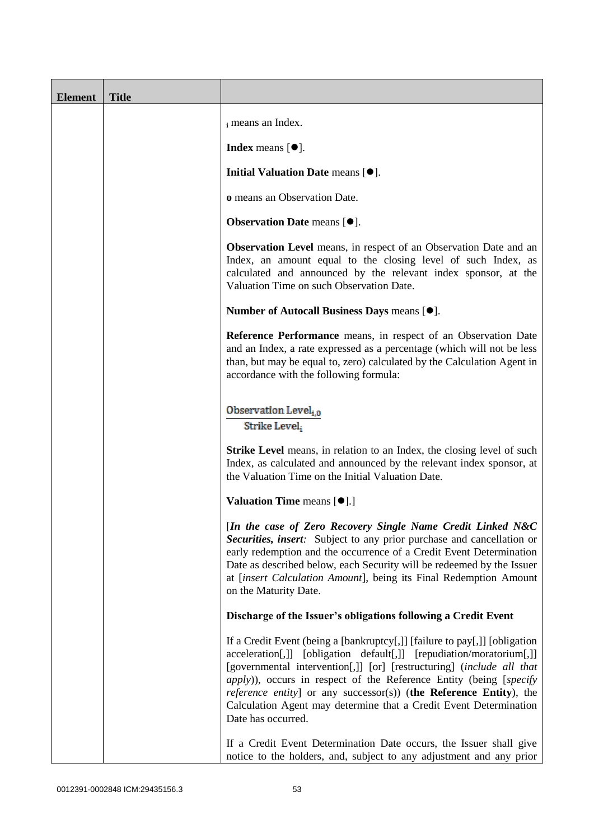| <b>Element</b> | <b>Title</b> |                                                                                                                                                                                                                                                                                                                                                                                                                                                                    |
|----------------|--------------|--------------------------------------------------------------------------------------------------------------------------------------------------------------------------------------------------------------------------------------------------------------------------------------------------------------------------------------------------------------------------------------------------------------------------------------------------------------------|
|                |              | i means an Index.                                                                                                                                                                                                                                                                                                                                                                                                                                                  |
|                |              | <b>Index</b> means $[•]$ .                                                                                                                                                                                                                                                                                                                                                                                                                                         |
|                |              | Initial Valuation Date means [ $\bullet$ ].                                                                                                                                                                                                                                                                                                                                                                                                                        |
|                |              | o means an Observation Date.                                                                                                                                                                                                                                                                                                                                                                                                                                       |
|                |              | Observation Date means [ $\bullet$ ].                                                                                                                                                                                                                                                                                                                                                                                                                              |
|                |              | <b>Observation Level</b> means, in respect of an Observation Date and an<br>Index, an amount equal to the closing level of such Index, as<br>calculated and announced by the relevant index sponsor, at the<br>Valuation Time on such Observation Date.                                                                                                                                                                                                            |
|                |              | Number of Autocall Business Days means [ $\bullet$ ].                                                                                                                                                                                                                                                                                                                                                                                                              |
|                |              | Reference Performance means, in respect of an Observation Date<br>and an Index, a rate expressed as a percentage (which will not be less<br>than, but may be equal to, zero) calculated by the Calculation Agent in<br>accordance with the following formula:                                                                                                                                                                                                      |
|                |              | Observation Level <sub>i.0</sub><br>Strike Level,                                                                                                                                                                                                                                                                                                                                                                                                                  |
|                |              | <b>Strike Level</b> means, in relation to an Index, the closing level of such<br>Index, as calculated and announced by the relevant index sponsor, at<br>the Valuation Time on the Initial Valuation Date.                                                                                                                                                                                                                                                         |
|                |              | <b>Valuation Time means <math>[\bullet]</math>.</b> ]                                                                                                                                                                                                                                                                                                                                                                                                              |
|                |              | [In the case of Zero Recovery Single Name Credit Linked N&C<br><b>Securities, insert:</b> Subject to any prior purchase and cancellation or<br>early redemption and the occurrence of a Credit Event Determination<br>Date as described below, each Security will be redeemed by the Issuer<br>at [insert Calculation Amount], being its Final Redemption Amount<br>on the Maturity Date.                                                                          |
|                |              | Discharge of the Issuer's obligations following a Credit Event                                                                                                                                                                                                                                                                                                                                                                                                     |
|                |              | If a Credit Event (being a [bankruptcy[,]] [failure to pay[,]] [obligation<br>acceleration[,]] [obligation default[,]] [repudiation/moratorium[,]]<br>[governmental intervention[,]] [or] [restructuring] (include all that<br>apply)), occurs in respect of the Reference Entity (being [specify<br>reference entity] or any successor(s)) (the Reference Entity), the<br>Calculation Agent may determine that a Credit Event Determination<br>Date has occurred. |
|                |              | If a Credit Event Determination Date occurs, the Issuer shall give<br>notice to the holders, and, subject to any adjustment and any prior                                                                                                                                                                                                                                                                                                                          |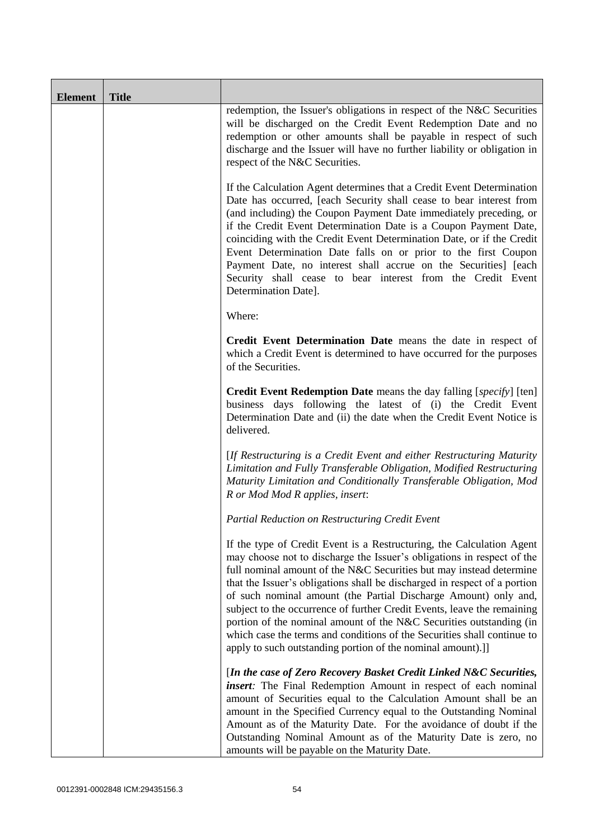| <b>Element</b> | <b>Title</b> |                                                                                                                                                                                                                                                                                                                                                                                                                                                                                                                                                                                                                                                                    |
|----------------|--------------|--------------------------------------------------------------------------------------------------------------------------------------------------------------------------------------------------------------------------------------------------------------------------------------------------------------------------------------------------------------------------------------------------------------------------------------------------------------------------------------------------------------------------------------------------------------------------------------------------------------------------------------------------------------------|
|                |              | redemption, the Issuer's obligations in respect of the N&C Securities<br>will be discharged on the Credit Event Redemption Date and no<br>redemption or other amounts shall be payable in respect of such<br>discharge and the Issuer will have no further liability or obligation in<br>respect of the N&C Securities.                                                                                                                                                                                                                                                                                                                                            |
|                |              | If the Calculation Agent determines that a Credit Event Determination<br>Date has occurred, [each Security shall cease to bear interest from<br>(and including) the Coupon Payment Date immediately preceding, or<br>if the Credit Event Determination Date is a Coupon Payment Date,<br>coinciding with the Credit Event Determination Date, or if the Credit<br>Event Determination Date falls on or prior to the first Coupon<br>Payment Date, no interest shall accrue on the Securities] [each<br>Security shall cease to bear interest from the Credit Event<br>Determination Date].                                                                         |
|                |              | Where:                                                                                                                                                                                                                                                                                                                                                                                                                                                                                                                                                                                                                                                             |
|                |              | Credit Event Determination Date means the date in respect of<br>which a Credit Event is determined to have occurred for the purposes<br>of the Securities.                                                                                                                                                                                                                                                                                                                                                                                                                                                                                                         |
|                |              | Credit Event Redemption Date means the day falling [specify] [ten]<br>business days following the latest of (i) the Credit Event<br>Determination Date and (ii) the date when the Credit Event Notice is<br>delivered.                                                                                                                                                                                                                                                                                                                                                                                                                                             |
|                |              | [If Restructuring is a Credit Event and either Restructuring Maturity<br>Limitation and Fully Transferable Obligation, Modified Restructuring<br>Maturity Limitation and Conditionally Transferable Obligation, Mod<br>R or Mod Mod R applies, insert:                                                                                                                                                                                                                                                                                                                                                                                                             |
|                |              | Partial Reduction on Restructuring Credit Event                                                                                                                                                                                                                                                                                                                                                                                                                                                                                                                                                                                                                    |
|                |              | If the type of Credit Event is a Restructuring, the Calculation Agent<br>may choose not to discharge the Issuer's obligations in respect of the<br>full nominal amount of the N&C Securities but may instead determine<br>that the Issuer's obligations shall be discharged in respect of a portion<br>of such nominal amount (the Partial Discharge Amount) only and,<br>subject to the occurrence of further Credit Events, leave the remaining<br>portion of the nominal amount of the N&C Securities outstanding (in<br>which case the terms and conditions of the Securities shall continue to<br>apply to such outstanding portion of the nominal amount).]] |
|                |              | [In the case of Zero Recovery Basket Credit Linked N&C Securities,<br>insert: The Final Redemption Amount in respect of each nominal<br>amount of Securities equal to the Calculation Amount shall be an<br>amount in the Specified Currency equal to the Outstanding Nominal<br>Amount as of the Maturity Date. For the avoidance of doubt if the<br>Outstanding Nominal Amount as of the Maturity Date is zero, no<br>amounts will be payable on the Maturity Date.                                                                                                                                                                                              |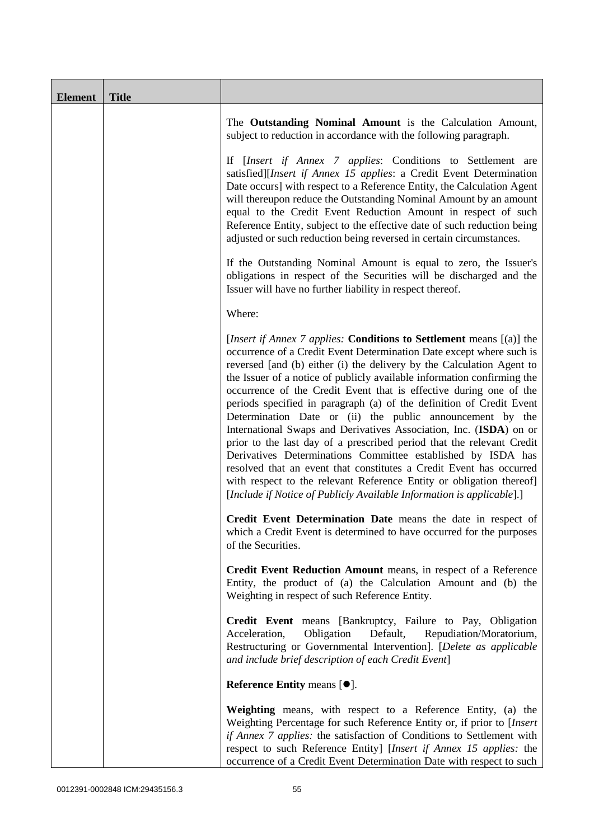| <b>Element</b> | <b>Title</b> |                                                                                                                                                                                                                                                                                                                                                                                                                                                                                                                                                                                                                                                                                                                                                                                                                                                                                                                                                            |
|----------------|--------------|------------------------------------------------------------------------------------------------------------------------------------------------------------------------------------------------------------------------------------------------------------------------------------------------------------------------------------------------------------------------------------------------------------------------------------------------------------------------------------------------------------------------------------------------------------------------------------------------------------------------------------------------------------------------------------------------------------------------------------------------------------------------------------------------------------------------------------------------------------------------------------------------------------------------------------------------------------|
|                |              | The Outstanding Nominal Amount is the Calculation Amount,<br>subject to reduction in accordance with the following paragraph.                                                                                                                                                                                                                                                                                                                                                                                                                                                                                                                                                                                                                                                                                                                                                                                                                              |
|                |              | If [Insert if Annex 7 applies: Conditions to Settlement are<br>satisfied][Insert if Annex 15 applies: a Credit Event Determination<br>Date occurs] with respect to a Reference Entity, the Calculation Agent<br>will thereupon reduce the Outstanding Nominal Amount by an amount<br>equal to the Credit Event Reduction Amount in respect of such<br>Reference Entity, subject to the effective date of such reduction being<br>adjusted or such reduction being reversed in certain circumstances.                                                                                                                                                                                                                                                                                                                                                                                                                                                       |
|                |              | If the Outstanding Nominal Amount is equal to zero, the Issuer's<br>obligations in respect of the Securities will be discharged and the<br>Issuer will have no further liability in respect thereof.                                                                                                                                                                                                                                                                                                                                                                                                                                                                                                                                                                                                                                                                                                                                                       |
|                |              | Where:                                                                                                                                                                                                                                                                                                                                                                                                                                                                                                                                                                                                                                                                                                                                                                                                                                                                                                                                                     |
|                |              | [ <i>Insert if Annex 7 applies:</i> Conditions to Settlement means [(a)] the<br>occurrence of a Credit Event Determination Date except where such is<br>reversed [and (b) either (i) the delivery by the Calculation Agent to<br>the Issuer of a notice of publicly available information confirming the<br>occurrence of the Credit Event that is effective during one of the<br>periods specified in paragraph (a) of the definition of Credit Event<br>Determination Date or (ii) the public announcement by the<br>International Swaps and Derivatives Association, Inc. (ISDA) on or<br>prior to the last day of a prescribed period that the relevant Credit<br>Derivatives Determinations Committee established by ISDA has<br>resolved that an event that constitutes a Credit Event has occurred<br>with respect to the relevant Reference Entity or obligation thereof]<br>[Include if Notice of Publicly Available Information is applicable].] |
|                |              | Credit Event Determination Date means the date in respect of<br>which a Credit Event is determined to have occurred for the purposes<br>of the Securities.                                                                                                                                                                                                                                                                                                                                                                                                                                                                                                                                                                                                                                                                                                                                                                                                 |
|                |              | Credit Event Reduction Amount means, in respect of a Reference<br>Entity, the product of (a) the Calculation Amount and (b) the<br>Weighting in respect of such Reference Entity.                                                                                                                                                                                                                                                                                                                                                                                                                                                                                                                                                                                                                                                                                                                                                                          |
|                |              | Credit Event means [Bankruptcy, Failure to Pay, Obligation<br>Obligation<br>Repudiation/Moratorium,<br>Acceleration,<br>Default,<br>Restructuring or Governmental Intervention]. [Delete as applicable<br>and include brief description of each Credit Event]                                                                                                                                                                                                                                                                                                                                                                                                                                                                                                                                                                                                                                                                                              |
|                |              | Reference Entity means $[\bullet].$                                                                                                                                                                                                                                                                                                                                                                                                                                                                                                                                                                                                                                                                                                                                                                                                                                                                                                                        |
|                |              | Weighting means, with respect to a Reference Entity, (a) the<br>Weighting Percentage for such Reference Entity or, if prior to [Insert<br>if Annex 7 applies: the satisfaction of Conditions to Settlement with<br>respect to such Reference Entity] [Insert if Annex 15 applies: the<br>occurrence of a Credit Event Determination Date with respect to such                                                                                                                                                                                                                                                                                                                                                                                                                                                                                                                                                                                              |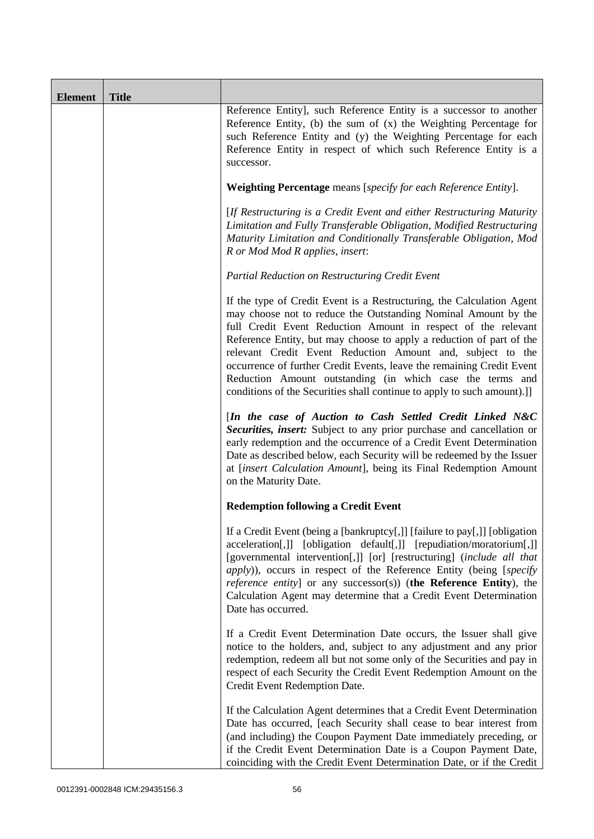| <b>Element</b> | <b>Title</b> |                                                                                                                                                                                                                                                                                                                                                                                                                                                                                                                                                                 |
|----------------|--------------|-----------------------------------------------------------------------------------------------------------------------------------------------------------------------------------------------------------------------------------------------------------------------------------------------------------------------------------------------------------------------------------------------------------------------------------------------------------------------------------------------------------------------------------------------------------------|
|                |              | Reference Entity], such Reference Entity is a successor to another<br>Reference Entity, (b) the sum of $(x)$ the Weighting Percentage for<br>such Reference Entity and (y) the Weighting Percentage for each<br>Reference Entity in respect of which such Reference Entity is a<br>successor.                                                                                                                                                                                                                                                                   |
|                |              | Weighting Percentage means [specify for each Reference Entity].                                                                                                                                                                                                                                                                                                                                                                                                                                                                                                 |
|                |              | [If Restructuring is a Credit Event and either Restructuring Maturity<br>Limitation and Fully Transferable Obligation, Modified Restructuring<br>Maturity Limitation and Conditionally Transferable Obligation, Mod<br>R or Mod Mod R applies, insert:                                                                                                                                                                                                                                                                                                          |
|                |              | Partial Reduction on Restructuring Credit Event                                                                                                                                                                                                                                                                                                                                                                                                                                                                                                                 |
|                |              | If the type of Credit Event is a Restructuring, the Calculation Agent<br>may choose not to reduce the Outstanding Nominal Amount by the<br>full Credit Event Reduction Amount in respect of the relevant<br>Reference Entity, but may choose to apply a reduction of part of the<br>relevant Credit Event Reduction Amount and, subject to the<br>occurrence of further Credit Events, leave the remaining Credit Event<br>Reduction Amount outstanding (in which case the terms and<br>conditions of the Securities shall continue to apply to such amount).]] |
|                |              | [In the case of Auction to Cash Settled Credit Linked N&C<br>Securities, insert: Subject to any prior purchase and cancellation or<br>early redemption and the occurrence of a Credit Event Determination<br>Date as described below, each Security will be redeemed by the Issuer<br>at [insert Calculation Amount], being its Final Redemption Amount<br>on the Maturity Date.                                                                                                                                                                                |
|                |              | <b>Redemption following a Credit Event</b>                                                                                                                                                                                                                                                                                                                                                                                                                                                                                                                      |
|                |              | If a Credit Event (being a [bankruptcy[,]] [failure to pay[,]] [obligation<br>acceleration[,]] [obligation default[,]] [repudiation/moratorium[,]]<br>[governmental intervention[,]] [or] [restructuring] (include all that<br><i>apply</i> )), occurs in respect of the Reference Entity (being [specify<br><i>reference entity</i> ] or any successor(s)) (the Reference Entity), the<br>Calculation Agent may determine that a Credit Event Determination<br>Date has occurred.                                                                              |
|                |              | If a Credit Event Determination Date occurs, the Issuer shall give<br>notice to the holders, and, subject to any adjustment and any prior<br>redemption, redeem all but not some only of the Securities and pay in<br>respect of each Security the Credit Event Redemption Amount on the<br>Credit Event Redemption Date.                                                                                                                                                                                                                                       |
|                |              | If the Calculation Agent determines that a Credit Event Determination<br>Date has occurred, [each Security shall cease to bear interest from<br>(and including) the Coupon Payment Date immediately preceding, or<br>if the Credit Event Determination Date is a Coupon Payment Date,<br>coinciding with the Credit Event Determination Date, or if the Credit                                                                                                                                                                                                  |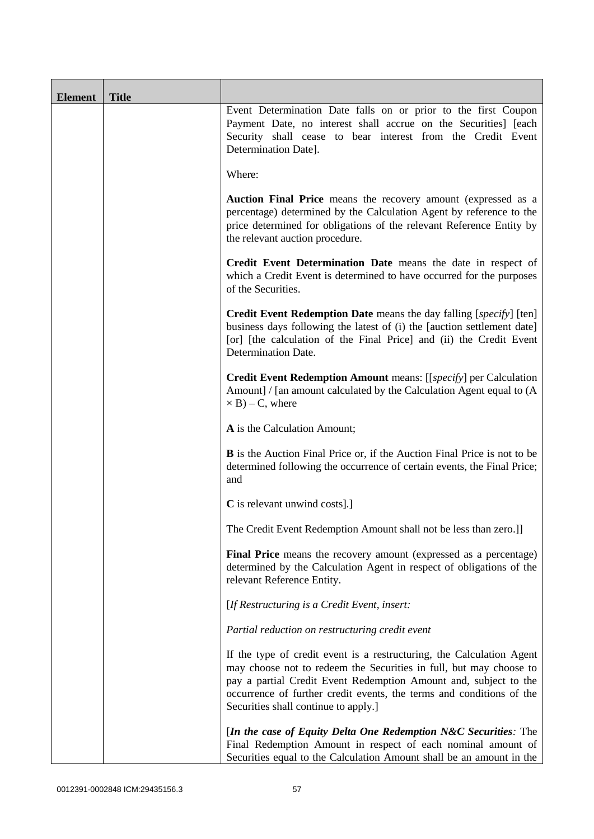| <b>Element</b> | <b>Title</b> |                                                                                                                                                                                                                                                                                                                                 |
|----------------|--------------|---------------------------------------------------------------------------------------------------------------------------------------------------------------------------------------------------------------------------------------------------------------------------------------------------------------------------------|
|                |              | Event Determination Date falls on or prior to the first Coupon<br>Payment Date, no interest shall accrue on the Securities] [each<br>Security shall cease to bear interest from the Credit Event<br>Determination Date].                                                                                                        |
|                |              | Where:                                                                                                                                                                                                                                                                                                                          |
|                |              | Auction Final Price means the recovery amount (expressed as a<br>percentage) determined by the Calculation Agent by reference to the<br>price determined for obligations of the relevant Reference Entity by<br>the relevant auction procedure.                                                                                 |
|                |              | Credit Event Determination Date means the date in respect of<br>which a Credit Event is determined to have occurred for the purposes<br>of the Securities.                                                                                                                                                                      |
|                |              | <b>Credit Event Redemption Date</b> means the day falling [specify] [ten]<br>business days following the latest of (i) the [auction settlement date]<br>[or] [the calculation of the Final Price] and (ii) the Credit Event<br>Determination Date.                                                                              |
|                |              | Credit Event Redemption Amount means: [[specify] per Calculation<br>Amount] / [an amount calculated by the Calculation Agent equal to (A<br>$\times$ B) – C, where                                                                                                                                                              |
|                |              | A is the Calculation Amount;                                                                                                                                                                                                                                                                                                    |
|                |              | <b>B</b> is the Auction Final Price or, if the Auction Final Price is not to be<br>determined following the occurrence of certain events, the Final Price;<br>and                                                                                                                                                               |
|                |              | C is relevant unwind costs].]                                                                                                                                                                                                                                                                                                   |
|                |              | The Credit Event Redemption Amount shall not be less than zero.]]                                                                                                                                                                                                                                                               |
|                |              | Final Price means the recovery amount (expressed as a percentage)<br>determined by the Calculation Agent in respect of obligations of the<br>relevant Reference Entity.                                                                                                                                                         |
|                |              | [If Restructuring is a Credit Event, insert:                                                                                                                                                                                                                                                                                    |
|                |              | Partial reduction on restructuring credit event                                                                                                                                                                                                                                                                                 |
|                |              | If the type of credit event is a restructuring, the Calculation Agent<br>may choose not to redeem the Securities in full, but may choose to<br>pay a partial Credit Event Redemption Amount and, subject to the<br>occurrence of further credit events, the terms and conditions of the<br>Securities shall continue to apply.] |
|                |              | [In the case of Equity Delta One Redemption N&C Securities: The<br>Final Redemption Amount in respect of each nominal amount of<br>Securities equal to the Calculation Amount shall be an amount in the                                                                                                                         |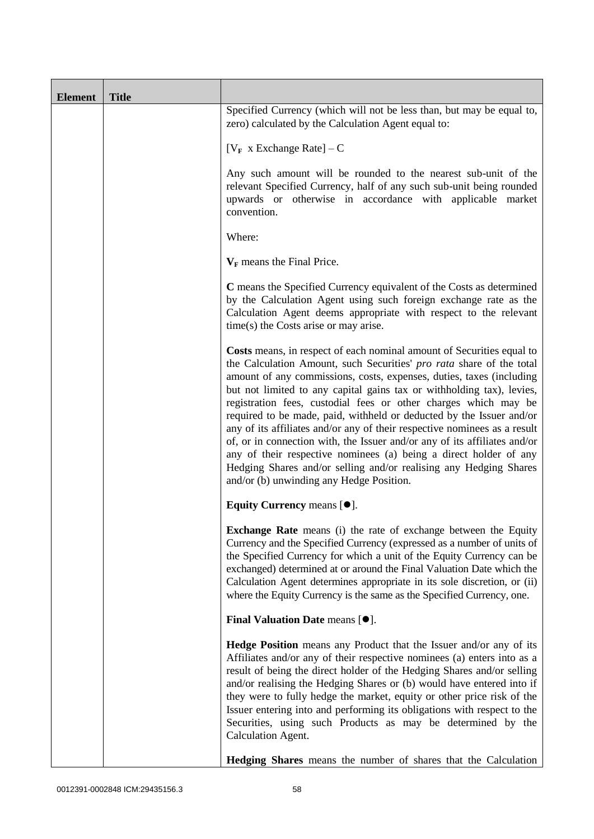| <b>Element</b> | <b>Title</b> |                                                                                                                                                                                                                                                                                                                                                                                                                                                                                                                                                                                                                                                                                                                                                                                           |
|----------------|--------------|-------------------------------------------------------------------------------------------------------------------------------------------------------------------------------------------------------------------------------------------------------------------------------------------------------------------------------------------------------------------------------------------------------------------------------------------------------------------------------------------------------------------------------------------------------------------------------------------------------------------------------------------------------------------------------------------------------------------------------------------------------------------------------------------|
|                |              | Specified Currency (which will not be less than, but may be equal to,<br>zero) calculated by the Calculation Agent equal to:                                                                                                                                                                                                                                                                                                                                                                                                                                                                                                                                                                                                                                                              |
|                |              | [ $V_F$ x Exchange Rate] – C                                                                                                                                                                                                                                                                                                                                                                                                                                                                                                                                                                                                                                                                                                                                                              |
|                |              | Any such amount will be rounded to the nearest sub-unit of the<br>relevant Specified Currency, half of any such sub-unit being rounded<br>upwards or otherwise in accordance with applicable market<br>convention.                                                                                                                                                                                                                                                                                                                                                                                                                                                                                                                                                                        |
|                |              | Where:                                                                                                                                                                                                                                                                                                                                                                                                                                                                                                                                                                                                                                                                                                                                                                                    |
|                |              | $V_F$ means the Final Price.                                                                                                                                                                                                                                                                                                                                                                                                                                                                                                                                                                                                                                                                                                                                                              |
|                |              | C means the Specified Currency equivalent of the Costs as determined<br>by the Calculation Agent using such foreign exchange rate as the<br>Calculation Agent deems appropriate with respect to the relevant<br>time(s) the Costs arise or may arise.                                                                                                                                                                                                                                                                                                                                                                                                                                                                                                                                     |
|                |              | Costs means, in respect of each nominal amount of Securities equal to<br>the Calculation Amount, such Securities' pro rata share of the total<br>amount of any commissions, costs, expenses, duties, taxes (including<br>but not limited to any capital gains tax or withholding tax), levies,<br>registration fees, custodial fees or other charges which may be<br>required to be made, paid, withheld or deducted by the Issuer and/or<br>any of its affiliates and/or any of their respective nominees as a result<br>of, or in connection with, the Issuer and/or any of its affiliates and/or<br>any of their respective nominees (a) being a direct holder of any<br>Hedging Shares and/or selling and/or realising any Hedging Shares<br>and/or (b) unwinding any Hedge Position. |
|                |              | Equity Currency means [ $\bullet$ ].                                                                                                                                                                                                                                                                                                                                                                                                                                                                                                                                                                                                                                                                                                                                                      |
|                |              | <b>Exchange Rate</b> means (i) the rate of exchange between the Equity<br>Currency and the Specified Currency (expressed as a number of units of<br>the Specified Currency for which a unit of the Equity Currency can be<br>exchanged) determined at or around the Final Valuation Date which the<br>Calculation Agent determines appropriate in its sole discretion, or (ii)<br>where the Equity Currency is the same as the Specified Currency, one.                                                                                                                                                                                                                                                                                                                                   |
|                |              | Final Valuation Date means $[•]$ .                                                                                                                                                                                                                                                                                                                                                                                                                                                                                                                                                                                                                                                                                                                                                        |
|                |              | <b>Hedge Position</b> means any Product that the Issuer and/or any of its<br>Affiliates and/or any of their respective nominees (a) enters into as a<br>result of being the direct holder of the Hedging Shares and/or selling<br>and/or realising the Hedging Shares or (b) would have entered into if<br>they were to fully hedge the market, equity or other price risk of the<br>Issuer entering into and performing its obligations with respect to the<br>Securities, using such Products as may be determined by the<br><b>Calculation Agent.</b>                                                                                                                                                                                                                                  |
|                |              | Hedging Shares means the number of shares that the Calculation                                                                                                                                                                                                                                                                                                                                                                                                                                                                                                                                                                                                                                                                                                                            |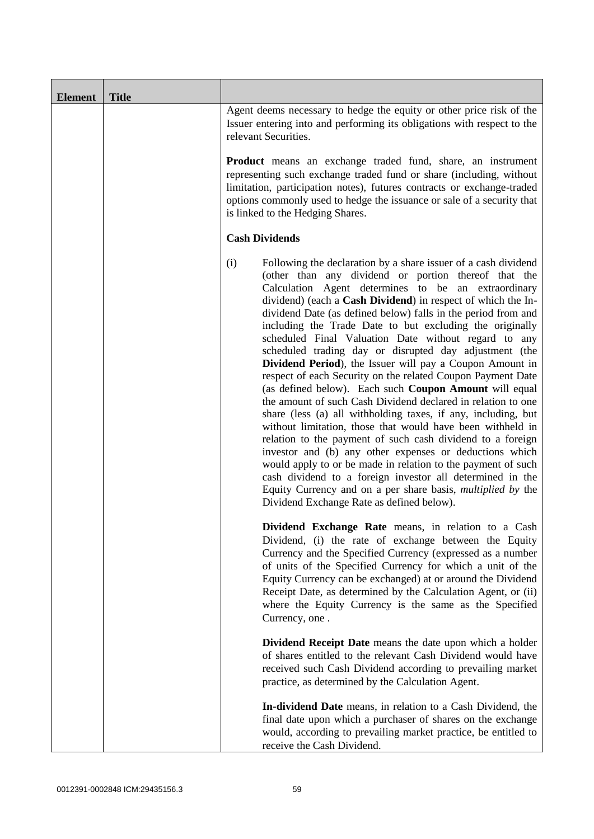| <b>Element</b> | <b>Title</b> |                                                                                                                                                                                                                                                                                                                                                                                                                                                                                                                                                                                                                                                                                                                                                                                                                                                                                                                                                                                                                                                                                                                                                                                                                                                                          |
|----------------|--------------|--------------------------------------------------------------------------------------------------------------------------------------------------------------------------------------------------------------------------------------------------------------------------------------------------------------------------------------------------------------------------------------------------------------------------------------------------------------------------------------------------------------------------------------------------------------------------------------------------------------------------------------------------------------------------------------------------------------------------------------------------------------------------------------------------------------------------------------------------------------------------------------------------------------------------------------------------------------------------------------------------------------------------------------------------------------------------------------------------------------------------------------------------------------------------------------------------------------------------------------------------------------------------|
|                |              | Agent deems necessary to hedge the equity or other price risk of the<br>Issuer entering into and performing its obligations with respect to the<br>relevant Securities.                                                                                                                                                                                                                                                                                                                                                                                                                                                                                                                                                                                                                                                                                                                                                                                                                                                                                                                                                                                                                                                                                                  |
|                |              | <b>Product</b> means an exchange traded fund, share, an instrument<br>representing such exchange traded fund or share (including, without<br>limitation, participation notes), futures contracts or exchange-traded<br>options commonly used to hedge the issuance or sale of a security that<br>is linked to the Hedging Shares.                                                                                                                                                                                                                                                                                                                                                                                                                                                                                                                                                                                                                                                                                                                                                                                                                                                                                                                                        |
|                |              | <b>Cash Dividends</b>                                                                                                                                                                                                                                                                                                                                                                                                                                                                                                                                                                                                                                                                                                                                                                                                                                                                                                                                                                                                                                                                                                                                                                                                                                                    |
|                |              | (i)<br>Following the declaration by a share issuer of a cash dividend<br>(other than any dividend or portion thereof that the<br>Calculation Agent determines to be an extraordinary<br>dividend) (each a Cash Dividend) in respect of which the In-<br>dividend Date (as defined below) falls in the period from and<br>including the Trade Date to but excluding the originally<br>scheduled Final Valuation Date without regard to any<br>scheduled trading day or disrupted day adjustment (the<br><b>Dividend Period</b> ), the Issuer will pay a Coupon Amount in<br>respect of each Security on the related Coupon Payment Date<br>(as defined below). Each such Coupon Amount will equal<br>the amount of such Cash Dividend declared in relation to one<br>share (less (a) all withholding taxes, if any, including, but<br>without limitation, those that would have been withheld in<br>relation to the payment of such cash dividend to a foreign<br>investor and (b) any other expenses or deductions which<br>would apply to or be made in relation to the payment of such<br>cash dividend to a foreign investor all determined in the<br>Equity Currency and on a per share basis, <i>multiplied by</i> the<br>Dividend Exchange Rate as defined below). |
|                |              | Dividend Exchange Rate means, in relation to a Cash<br>Dividend, (i) the rate of exchange between the Equity<br>Currency and the Specified Currency (expressed as a number<br>of units of the Specified Currency for which a unit of the<br>Equity Currency can be exchanged) at or around the Dividend<br>Receipt Date, as determined by the Calculation Agent, or (ii)<br>where the Equity Currency is the same as the Specified<br>Currency, one.                                                                                                                                                                                                                                                                                                                                                                                                                                                                                                                                                                                                                                                                                                                                                                                                                     |
|                |              | <b>Dividend Receipt Date</b> means the date upon which a holder<br>of shares entitled to the relevant Cash Dividend would have<br>received such Cash Dividend according to prevailing market<br>practice, as determined by the Calculation Agent.                                                                                                                                                                                                                                                                                                                                                                                                                                                                                                                                                                                                                                                                                                                                                                                                                                                                                                                                                                                                                        |
|                |              | In-dividend Date means, in relation to a Cash Dividend, the<br>final date upon which a purchaser of shares on the exchange<br>would, according to prevailing market practice, be entitled to<br>receive the Cash Dividend.                                                                                                                                                                                                                                                                                                                                                                                                                                                                                                                                                                                                                                                                                                                                                                                                                                                                                                                                                                                                                                               |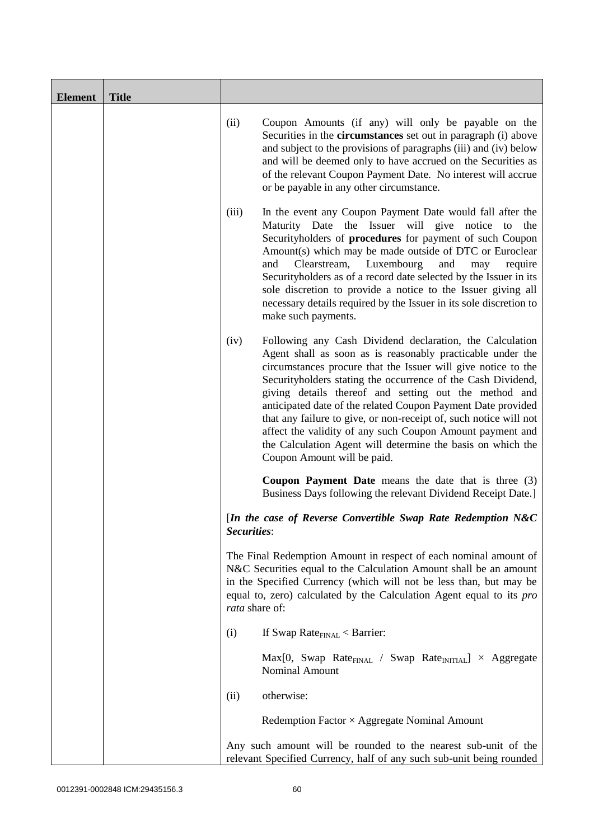| <b>Element</b> | <b>Title</b> |                                                                                                                                                                                                                                                                                                                                                                                                                                                                                                                                                                                                                          |
|----------------|--------------|--------------------------------------------------------------------------------------------------------------------------------------------------------------------------------------------------------------------------------------------------------------------------------------------------------------------------------------------------------------------------------------------------------------------------------------------------------------------------------------------------------------------------------------------------------------------------------------------------------------------------|
|                |              | (ii)<br>Coupon Amounts (if any) will only be payable on the<br>Securities in the <b>circumstances</b> set out in paragraph (i) above<br>and subject to the provisions of paragraphs (iii) and (iv) below<br>and will be deemed only to have accrued on the Securities as<br>of the relevant Coupon Payment Date. No interest will accrue<br>or be payable in any other circumstance.                                                                                                                                                                                                                                     |
|                |              | (iii)<br>In the event any Coupon Payment Date would fall after the<br>Maturity Date the Issuer will give notice<br>the<br>to<br>Securityholders of procedures for payment of such Coupon<br>Amount(s) which may be made outside of DTC or Euroclear<br>Clearstream, Luxembourg<br>and<br>and<br>require<br>may<br>Securityholders as of a record date selected by the Issuer in its<br>sole discretion to provide a notice to the Issuer giving all<br>necessary details required by the Issuer in its sole discretion to<br>make such payments.                                                                         |
|                |              | (iv)<br>Following any Cash Dividend declaration, the Calculation<br>Agent shall as soon as is reasonably practicable under the<br>circumstances procure that the Issuer will give notice to the<br>Securityholders stating the occurrence of the Cash Dividend,<br>giving details thereof and setting out the method and<br>anticipated date of the related Coupon Payment Date provided<br>that any failure to give, or non-receipt of, such notice will not<br>affect the validity of any such Coupon Amount payment and<br>the Calculation Agent will determine the basis on which the<br>Coupon Amount will be paid. |
|                |              | <b>Coupon Payment Date</b> means the date that is three (3)<br>Business Days following the relevant Dividend Receipt Date.]                                                                                                                                                                                                                                                                                                                                                                                                                                                                                              |
|                |              | [In the case of Reverse Convertible Swap Rate Redemption N&C<br>Securities:                                                                                                                                                                                                                                                                                                                                                                                                                                                                                                                                              |
|                |              | The Final Redemption Amount in respect of each nominal amount of<br>N&C Securities equal to the Calculation Amount shall be an amount<br>in the Specified Currency (which will not be less than, but may be<br>equal to, zero) calculated by the Calculation Agent equal to its <i>pro</i><br>rata share of:                                                                                                                                                                                                                                                                                                             |
|                |              | If Swap Rate $_{\text{FINAL}}$ < Barrier:<br>(i)                                                                                                                                                                                                                                                                                                                                                                                                                                                                                                                                                                         |
|                |              | $Max[0, Swap Rate_{FINAL} / Swap Rate_{INITIAL}] \times Aggregate$<br>Nominal Amount                                                                                                                                                                                                                                                                                                                                                                                                                                                                                                                                     |
|                |              | otherwise:<br>(ii)                                                                                                                                                                                                                                                                                                                                                                                                                                                                                                                                                                                                       |
|                |              | Redemption Factor $\times$ Aggregate Nominal Amount                                                                                                                                                                                                                                                                                                                                                                                                                                                                                                                                                                      |
|                |              | Any such amount will be rounded to the nearest sub-unit of the<br>relevant Specified Currency, half of any such sub-unit being rounded                                                                                                                                                                                                                                                                                                                                                                                                                                                                                   |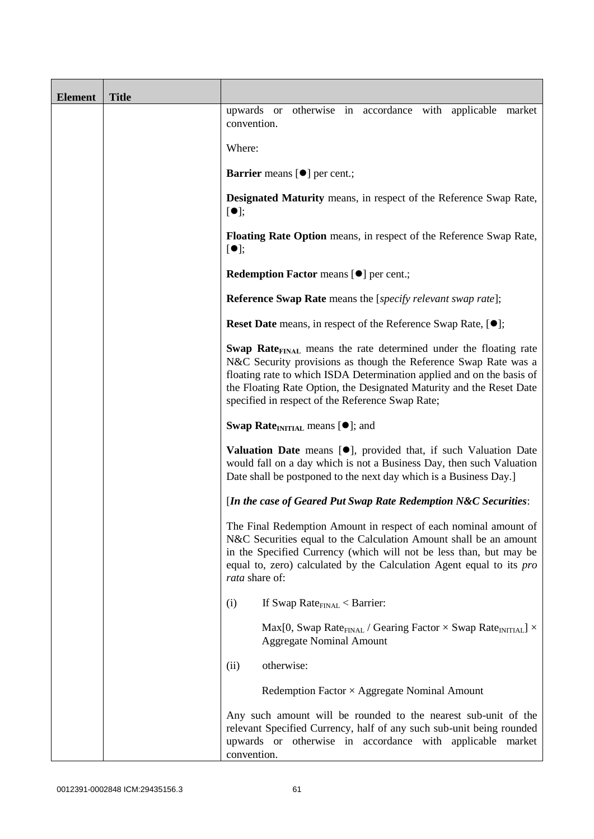| <b>Element</b> | <b>Title</b> |                                                                                                                                                                                                                                                                                                                                                             |
|----------------|--------------|-------------------------------------------------------------------------------------------------------------------------------------------------------------------------------------------------------------------------------------------------------------------------------------------------------------------------------------------------------------|
|                |              | otherwise in accordance with applicable market<br>upwards or<br>convention.                                                                                                                                                                                                                                                                                 |
|                |              | Where:                                                                                                                                                                                                                                                                                                                                                      |
|                |              | <b>Barrier</b> means [ $\bullet$ ] per cent.;                                                                                                                                                                                                                                                                                                               |
|                |              | <b>Designated Maturity</b> means, in respect of the Reference Swap Rate,<br>$[\bullet]$ ;                                                                                                                                                                                                                                                                   |
|                |              | Floating Rate Option means, in respect of the Reference Swap Rate,<br>[①]                                                                                                                                                                                                                                                                                   |
|                |              | Redemption Factor means [ $\bullet$ ] per cent.;                                                                                                                                                                                                                                                                                                            |
|                |              | <b>Reference Swap Rate</b> means the [specify relevant swap rate];                                                                                                                                                                                                                                                                                          |
|                |              | <b>Reset Date</b> means, in respect of the Reference Swap Rate, [ $\bullet$ ];                                                                                                                                                                                                                                                                              |
|                |              | <b>Swap Rate</b> <sub>FINAL</sub> means the rate determined under the floating rate<br>N&C Security provisions as though the Reference Swap Rate was a<br>floating rate to which ISDA Determination applied and on the basis of<br>the Floating Rate Option, the Designated Maturity and the Reset Date<br>specified in respect of the Reference Swap Rate; |
|                |              | <b>Swap Rate</b> <sub>INITIAL</sub> means $[•]$ ; and                                                                                                                                                                                                                                                                                                       |
|                |              | <b>Valuation Date</b> means $[\bullet]$ , provided that, if such Valuation Date<br>would fall on a day which is not a Business Day, then such Valuation<br>Date shall be postponed to the next day which is a Business Day.]                                                                                                                                |
|                |              | [In the case of Geared Put Swap Rate Redemption N&C Securities:                                                                                                                                                                                                                                                                                             |
|                |              | The Final Redemption Amount in respect of each nominal amount of<br>N&C Securities equal to the Calculation Amount shall be an amount<br>in the Specified Currency (which will not be less than, but may be<br>equal to, zero) calculated by the Calculation Agent equal to its pro<br>rata share of:                                                       |
|                |              | If Swap Rate $_{\text{FINAL}}$ < Barrier:<br>(i)                                                                                                                                                                                                                                                                                                            |
|                |              | Max[0, Swap Rate <sub>FINAL</sub> / Gearing Factor $\times$ Swap Rate <sub>INITIAL</sub> ] $\times$<br><b>Aggregate Nominal Amount</b>                                                                                                                                                                                                                      |
|                |              | otherwise:<br>(ii)                                                                                                                                                                                                                                                                                                                                          |
|                |              | Redemption Factor $\times$ Aggregate Nominal Amount                                                                                                                                                                                                                                                                                                         |
|                |              | Any such amount will be rounded to the nearest sub-unit of the<br>relevant Specified Currency, half of any such sub-unit being rounded<br>upwards or otherwise in accordance with applicable market<br>convention.                                                                                                                                          |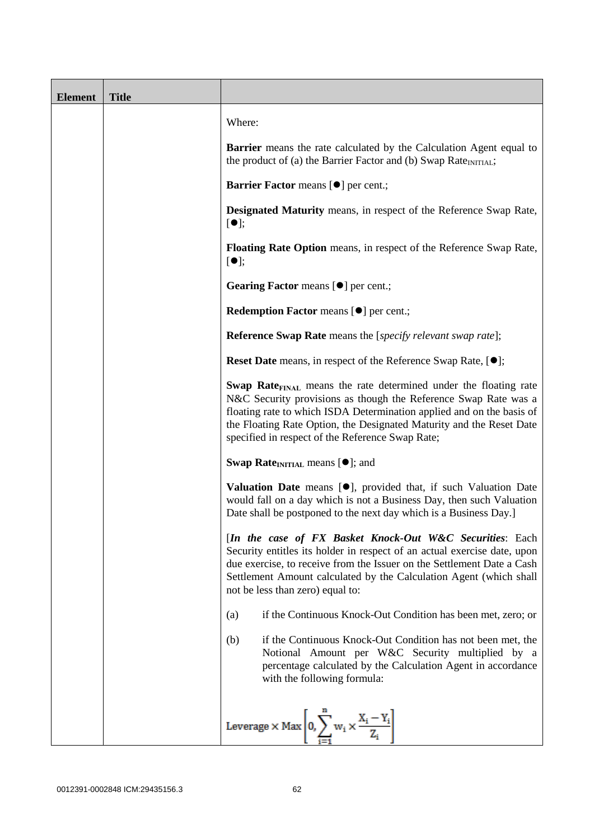| <b>Element</b> | <b>Title</b> |                                                                                                                                                                                                                                                                                                                                                             |
|----------------|--------------|-------------------------------------------------------------------------------------------------------------------------------------------------------------------------------------------------------------------------------------------------------------------------------------------------------------------------------------------------------------|
|                |              | Where:                                                                                                                                                                                                                                                                                                                                                      |
|                |              | Barrier means the rate calculated by the Calculation Agent equal to<br>the product of (a) the Barrier Factor and (b) Swap Rate <sub>INITIAL</sub> ;                                                                                                                                                                                                         |
|                |              | <b>Barrier Factor means [O] per cent.;</b>                                                                                                                                                                                                                                                                                                                  |
|                |              | <b>Designated Maturity</b> means, in respect of the Reference Swap Rate,<br>[①]                                                                                                                                                                                                                                                                             |
|                |              | <b>Floating Rate Option</b> means, in respect of the Reference Swap Rate,<br>$[\bullet]$ ;                                                                                                                                                                                                                                                                  |
|                |              | Gearing Factor means [ $\bullet$ ] per cent.;                                                                                                                                                                                                                                                                                                               |
|                |              | <b>Redemption Factor means [<math>\bullet</math>] per cent.;</b>                                                                                                                                                                                                                                                                                            |
|                |              | <b>Reference Swap Rate</b> means the [specify relevant swap rate];                                                                                                                                                                                                                                                                                          |
|                |              | <b>Reset Date</b> means, in respect of the Reference Swap Rate, [ $\bullet$ ];                                                                                                                                                                                                                                                                              |
|                |              | <b>Swap Rate</b> <sub>FINAL</sub> means the rate determined under the floating rate<br>N&C Security provisions as though the Reference Swap Rate was a<br>floating rate to which ISDA Determination applied and on the basis of<br>the Floating Rate Option, the Designated Maturity and the Reset Date<br>specified in respect of the Reference Swap Rate; |
|                |              | <b>Swap Rate</b> <sub>INITIAL</sub> means $[\bullet]$ ; and                                                                                                                                                                                                                                                                                                 |
|                |              | <b>Valuation Date</b> means $[\bullet]$ , provided that, if such Valuation Date<br>would fall on a day which is not a Business Day, then such Valuation<br>Date shall be postponed to the next day which is a Business Day.]                                                                                                                                |
|                |              | [In the case of FX Basket Knock-Out W&C Securities: Each<br>Security entitles its holder in respect of an actual exercise date, upon<br>due exercise, to receive from the Issuer on the Settlement Date a Cash<br>Settlement Amount calculated by the Calculation Agent (which shall<br>not be less than zero) equal to:                                    |
|                |              | if the Continuous Knock-Out Condition has been met, zero; or<br>(a)                                                                                                                                                                                                                                                                                         |
|                |              | if the Continuous Knock-Out Condition has not been met, the<br>(b)<br>Notional Amount per W&C Security multiplied by a<br>percentage calculated by the Calculation Agent in accordance<br>with the following formula:                                                                                                                                       |
|                |              | Leverage $\times$ Max $\left[0, \sum_{i=1}^{n} w_i \times \frac{X_i - Y_i}{Z_i}\right]$                                                                                                                                                                                                                                                                     |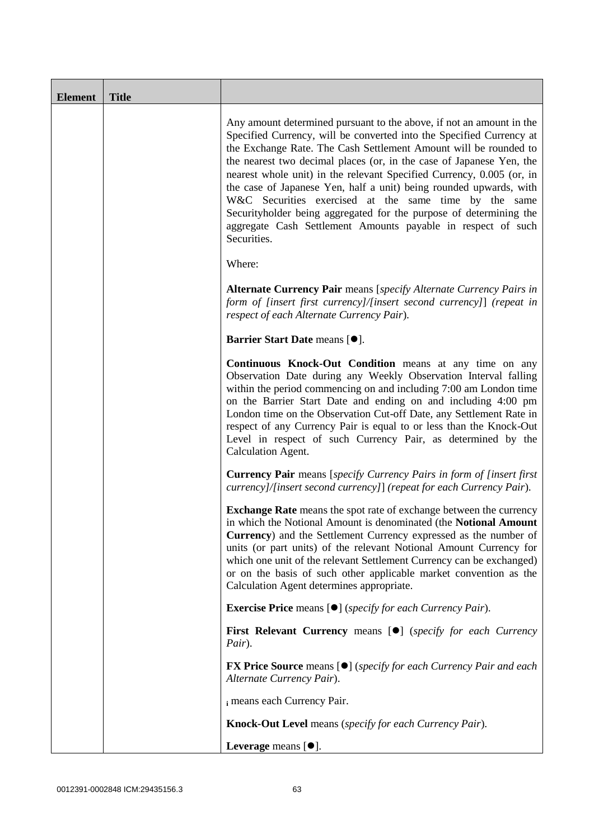| <b>Element</b> | <b>Title</b> |                                                                                                                                                                                                                                                                                                                                                                                                                                                                                                                                                                                                                                                       |
|----------------|--------------|-------------------------------------------------------------------------------------------------------------------------------------------------------------------------------------------------------------------------------------------------------------------------------------------------------------------------------------------------------------------------------------------------------------------------------------------------------------------------------------------------------------------------------------------------------------------------------------------------------------------------------------------------------|
|                |              | Any amount determined pursuant to the above, if not an amount in the<br>Specified Currency, will be converted into the Specified Currency at<br>the Exchange Rate. The Cash Settlement Amount will be rounded to<br>the nearest two decimal places (or, in the case of Japanese Yen, the<br>nearest whole unit) in the relevant Specified Currency, 0.005 (or, in<br>the case of Japanese Yen, half a unit) being rounded upwards, with<br>W&C Securities exercised at the same time by the same<br>Securityholder being aggregated for the purpose of determining the<br>aggregate Cash Settlement Amounts payable in respect of such<br>Securities. |
|                |              | Where:                                                                                                                                                                                                                                                                                                                                                                                                                                                                                                                                                                                                                                                |
|                |              | Alternate Currency Pair means [specify Alternate Currency Pairs in<br>form of [insert first currency]/[insert second currency]] (repeat in<br>respect of each Alternate Currency Pair).                                                                                                                                                                                                                                                                                                                                                                                                                                                               |
|                |              | Barrier Start Date means [ $\bullet$ ].                                                                                                                                                                                                                                                                                                                                                                                                                                                                                                                                                                                                               |
|                |              | Continuous Knock-Out Condition means at any time on any<br>Observation Date during any Weekly Observation Interval falling<br>within the period commencing on and including 7:00 am London time<br>on the Barrier Start Date and ending on and including 4:00 pm<br>London time on the Observation Cut-off Date, any Settlement Rate in<br>respect of any Currency Pair is equal to or less than the Knock-Out<br>Level in respect of such Currency Pair, as determined by the<br>Calculation Agent.                                                                                                                                                  |
|                |              | <b>Currency Pair</b> means [specify Currency Pairs in form of [insert first]<br>currency]/[insert second currency]] (repeat for each Currency Pair).                                                                                                                                                                                                                                                                                                                                                                                                                                                                                                  |
|                |              | <b>Exchange Rate</b> means the spot rate of exchange between the currency<br>in which the Notional Amount is denominated (the Notional Amount<br><b>Currency</b> ) and the Settlement Currency expressed as the number of<br>units (or part units) of the relevant Notional Amount Currency for<br>which one unit of the relevant Settlement Currency can be exchanged)<br>or on the basis of such other applicable market convention as the<br>Calculation Agent determines appropriate.                                                                                                                                                             |
|                |              | <b>Exercise Price</b> means [ $\bullet$ ] ( <i>specify for each Currency Pair</i> ).                                                                                                                                                                                                                                                                                                                                                                                                                                                                                                                                                                  |
|                |              | First Relevant Currency means [ <sup>●</sup> ] (specify for each Currency<br>Pair).                                                                                                                                                                                                                                                                                                                                                                                                                                                                                                                                                                   |
|                |              | <b>FX Price Source</b> means [ $\bullet$ ] ( <i>specify for each Currency Pair and each</i><br>Alternate Currency Pair).                                                                                                                                                                                                                                                                                                                                                                                                                                                                                                                              |
|                |              | i means each Currency Pair.                                                                                                                                                                                                                                                                                                                                                                                                                                                                                                                                                                                                                           |
|                |              | <b>Knock-Out Level</b> means (specify for each Currency Pair).                                                                                                                                                                                                                                                                                                                                                                                                                                                                                                                                                                                        |
|                |              | Leverage means $[\bullet].$                                                                                                                                                                                                                                                                                                                                                                                                                                                                                                                                                                                                                           |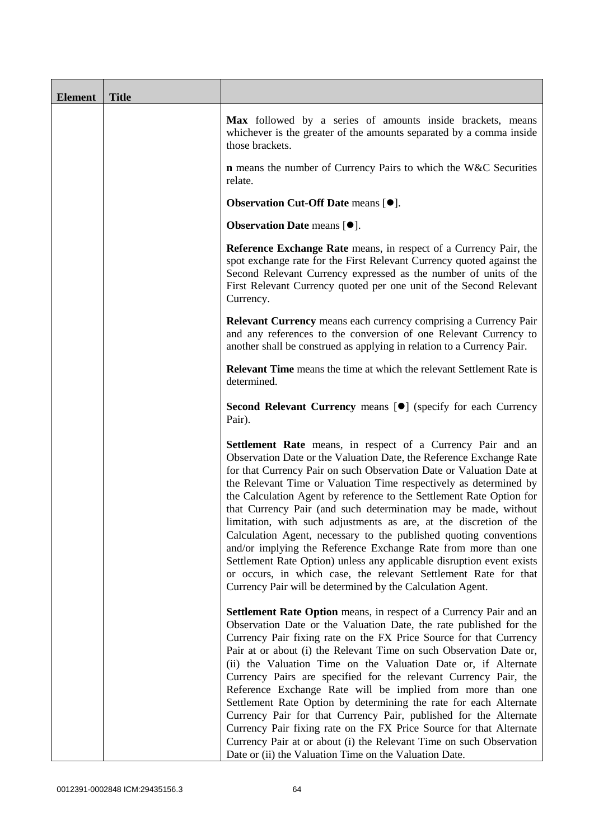| <b>Element</b> | <b>Title</b> |                                                                                                                                                                                                                                                                                                                                                                                                                                                                                                                                                                                                                                                                                                                                                                                                                                                          |
|----------------|--------------|----------------------------------------------------------------------------------------------------------------------------------------------------------------------------------------------------------------------------------------------------------------------------------------------------------------------------------------------------------------------------------------------------------------------------------------------------------------------------------------------------------------------------------------------------------------------------------------------------------------------------------------------------------------------------------------------------------------------------------------------------------------------------------------------------------------------------------------------------------|
|                |              | Max followed by a series of amounts inside brackets, means<br>whichever is the greater of the amounts separated by a comma inside<br>those brackets.                                                                                                                                                                                                                                                                                                                                                                                                                                                                                                                                                                                                                                                                                                     |
|                |              | <b>n</b> means the number of Currency Pairs to which the W&C Securities<br>relate.                                                                                                                                                                                                                                                                                                                                                                                                                                                                                                                                                                                                                                                                                                                                                                       |
|                |              | <b>Observation Cut-Off Date means [<math>\bullet</math>].</b>                                                                                                                                                                                                                                                                                                                                                                                                                                                                                                                                                                                                                                                                                                                                                                                            |
|                |              | Observation Date means [ $\bullet$ ].                                                                                                                                                                                                                                                                                                                                                                                                                                                                                                                                                                                                                                                                                                                                                                                                                    |
|                |              | Reference Exchange Rate means, in respect of a Currency Pair, the<br>spot exchange rate for the First Relevant Currency quoted against the<br>Second Relevant Currency expressed as the number of units of the<br>First Relevant Currency quoted per one unit of the Second Relevant<br>Currency.                                                                                                                                                                                                                                                                                                                                                                                                                                                                                                                                                        |
|                |              | <b>Relevant Currency</b> means each currency comprising a Currency Pair<br>and any references to the conversion of one Relevant Currency to<br>another shall be construed as applying in relation to a Currency Pair.                                                                                                                                                                                                                                                                                                                                                                                                                                                                                                                                                                                                                                    |
|                |              | <b>Relevant Time</b> means the time at which the relevant Settlement Rate is<br>determined.                                                                                                                                                                                                                                                                                                                                                                                                                                                                                                                                                                                                                                                                                                                                                              |
|                |              | Second Relevant Currency means [ $\bullet$ ] (specify for each Currency<br>Pair).                                                                                                                                                                                                                                                                                                                                                                                                                                                                                                                                                                                                                                                                                                                                                                        |
|                |              | <b>Settlement Rate</b> means, in respect of a Currency Pair and an<br>Observation Date or the Valuation Date, the Reference Exchange Rate<br>for that Currency Pair on such Observation Date or Valuation Date at<br>the Relevant Time or Valuation Time respectively as determined by<br>the Calculation Agent by reference to the Settlement Rate Option for<br>that Currency Pair (and such determination may be made, without<br>limitation, with such adjustments as are, at the discretion of the<br>Calculation Agent, necessary to the published quoting conventions<br>and/or implying the Reference Exchange Rate from more than one<br>Settlement Rate Option) unless any applicable disruption event exists<br>or occurs, in which case, the relevant Settlement Rate for that<br>Currency Pair will be determined by the Calculation Agent. |
|                |              | Settlement Rate Option means, in respect of a Currency Pair and an<br>Observation Date or the Valuation Date, the rate published for the<br>Currency Pair fixing rate on the FX Price Source for that Currency<br>Pair at or about (i) the Relevant Time on such Observation Date or,<br>(ii) the Valuation Time on the Valuation Date or, if Alternate<br>Currency Pairs are specified for the relevant Currency Pair, the<br>Reference Exchange Rate will be implied from more than one<br>Settlement Rate Option by determining the rate for each Alternate<br>Currency Pair for that Currency Pair, published for the Alternate<br>Currency Pair fixing rate on the FX Price Source for that Alternate<br>Currency Pair at or about (i) the Relevant Time on such Observation<br>Date or (ii) the Valuation Time on the Valuation Date.              |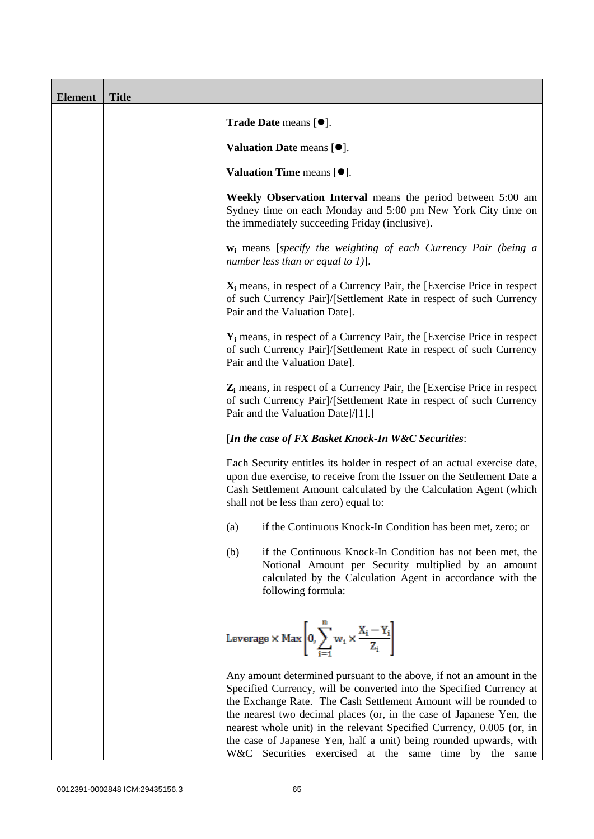| <b>Element</b> | <b>Title</b> |                                                                                                                                                                                                                                                                                                                                                                                                                                                                                                        |
|----------------|--------------|--------------------------------------------------------------------------------------------------------------------------------------------------------------------------------------------------------------------------------------------------------------------------------------------------------------------------------------------------------------------------------------------------------------------------------------------------------------------------------------------------------|
|                |              | Trade Date means [ $\bullet$ ].                                                                                                                                                                                                                                                                                                                                                                                                                                                                        |
|                |              | Valuation Date means $[•]$ .                                                                                                                                                                                                                                                                                                                                                                                                                                                                           |
|                |              | Valuation Time means $[•]$ .                                                                                                                                                                                                                                                                                                                                                                                                                                                                           |
|                |              | Weekly Observation Interval means the period between 5:00 am<br>Sydney time on each Monday and 5:00 pm New York City time on<br>the immediately succeeding Friday (inclusive).                                                                                                                                                                                                                                                                                                                         |
|                |              | <b>w</b> <sub>i</sub> means [specify the weighting of each Currency Pair (being a<br>number less than or equal to 1)].                                                                                                                                                                                                                                                                                                                                                                                 |
|                |              | $X_i$ means, in respect of a Currency Pair, the [Exercise Price in respect<br>of such Currency Pair]/[Settlement Rate in respect of such Currency<br>Pair and the Valuation Date].                                                                                                                                                                                                                                                                                                                     |
|                |              | $Y_i$ means, in respect of a Currency Pair, the [Exercise Price in respect<br>of such Currency Pair]/[Settlement Rate in respect of such Currency<br>Pair and the Valuation Date].                                                                                                                                                                                                                                                                                                                     |
|                |              | $Z_i$ means, in respect of a Currency Pair, the [Exercise Price in respect<br>of such Currency Pair]/[Settlement Rate in respect of such Currency<br>Pair and the Valuation Date]/[1].]                                                                                                                                                                                                                                                                                                                |
|                |              | [In the case of FX Basket Knock-In W&C Securities:                                                                                                                                                                                                                                                                                                                                                                                                                                                     |
|                |              | Each Security entitles its holder in respect of an actual exercise date,<br>upon due exercise, to receive from the Issuer on the Settlement Date a<br>Cash Settlement Amount calculated by the Calculation Agent (which<br>shall not be less than zero) equal to:                                                                                                                                                                                                                                      |
|                |              | if the Continuous Knock-In Condition has been met, zero; or<br>(a)                                                                                                                                                                                                                                                                                                                                                                                                                                     |
|                |              | if the Continuous Knock-In Condition has not been met, the<br>(b)<br>Notional Amount per Security multiplied by an amount<br>calculated by the Calculation Agent in accordance with the<br>following formula:                                                                                                                                                                                                                                                                                          |
|                |              | Leverage $\times$ Max $\left  0, \sum_{i=1}^{n} w_i \times \frac{X_i - Y_i}{Z_i} \right $                                                                                                                                                                                                                                                                                                                                                                                                              |
|                |              | Any amount determined pursuant to the above, if not an amount in the<br>Specified Currency, will be converted into the Specified Currency at<br>the Exchange Rate. The Cash Settlement Amount will be rounded to<br>the nearest two decimal places (or, in the case of Japanese Yen, the<br>nearest whole unit) in the relevant Specified Currency, 0.005 (or, in<br>the case of Japanese Yen, half a unit) being rounded upwards, with<br>W&C Securities exercised at the same<br>time by the<br>same |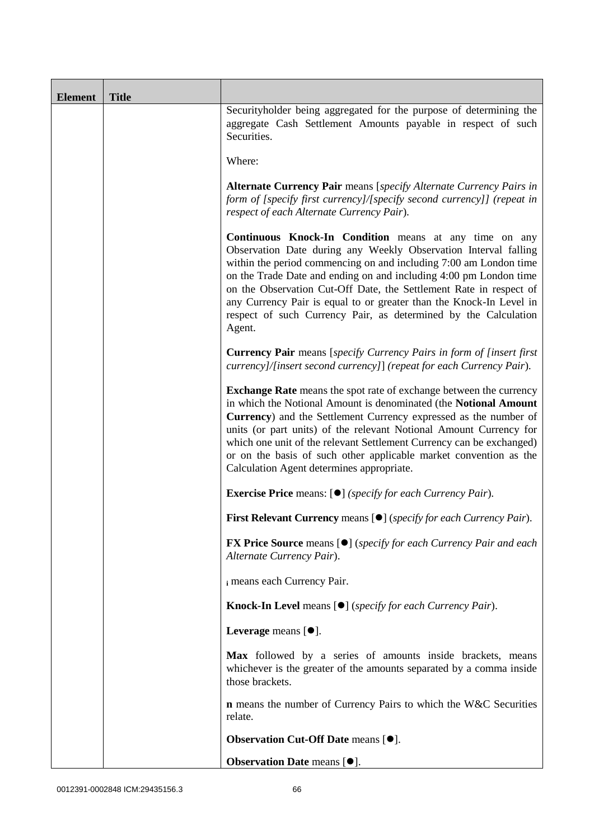| <b>Element</b> | <b>Title</b> |                                                                                                                                                                                                                                                                                                                                                                                                                                                                                               |  |
|----------------|--------------|-----------------------------------------------------------------------------------------------------------------------------------------------------------------------------------------------------------------------------------------------------------------------------------------------------------------------------------------------------------------------------------------------------------------------------------------------------------------------------------------------|--|
|                |              | Securityholder being aggregated for the purpose of determining the<br>aggregate Cash Settlement Amounts payable in respect of such<br>Securities.                                                                                                                                                                                                                                                                                                                                             |  |
|                |              | Where:                                                                                                                                                                                                                                                                                                                                                                                                                                                                                        |  |
|                |              | <b>Alternate Currency Pair</b> means [specify Alternate Currency Pairs in<br>form of [specify first currency]/[specify second currency]] (repeat in<br>respect of each Alternate Currency Pair).                                                                                                                                                                                                                                                                                              |  |
|                |              | Continuous Knock-In Condition means at any time on any<br>Observation Date during any Weekly Observation Interval falling<br>within the period commencing on and including 7:00 am London time<br>on the Trade Date and ending on and including 4:00 pm London time<br>on the Observation Cut-Off Date, the Settlement Rate in respect of<br>any Currency Pair is equal to or greater than the Knock-In Level in<br>respect of such Currency Pair, as determined by the Calculation<br>Agent. |  |
|                |              | <b>Currency Pair</b> means [specify Currency Pairs in form of [insert first<br>currency]/[insert second currency]] (repeat for each Currency Pair).                                                                                                                                                                                                                                                                                                                                           |  |
|                |              | <b>Exchange Rate</b> means the spot rate of exchange between the currency<br>in which the Notional Amount is denominated (the Notional Amount<br>Currency) and the Settlement Currency expressed as the number of<br>units (or part units) of the relevant Notional Amount Currency for<br>which one unit of the relevant Settlement Currency can be exchanged)<br>or on the basis of such other applicable market convention as the<br>Calculation Agent determines appropriate.             |  |
|                |              | <b>Exercise Price</b> means: $[\bullet]$ ( <i>specify for each Currency Pair</i> ).                                                                                                                                                                                                                                                                                                                                                                                                           |  |
|                |              | First Relevant Currency means [ $\bullet$ ] (specify for each Currency Pair).                                                                                                                                                                                                                                                                                                                                                                                                                 |  |
|                |              | <b>FX Price Source</b> means [●] (specify for each Currency Pair and each<br>Alternate Currency Pair).                                                                                                                                                                                                                                                                                                                                                                                        |  |
|                |              | i means each Currency Pair.                                                                                                                                                                                                                                                                                                                                                                                                                                                                   |  |
|                |              | <b>Knock-In Level</b> means $[①]$ (specify for each Currency Pair).                                                                                                                                                                                                                                                                                                                                                                                                                           |  |
|                |              | Leverage means $[\bullet].$                                                                                                                                                                                                                                                                                                                                                                                                                                                                   |  |
|                |              | Max followed by a series of amounts inside brackets, means<br>whichever is the greater of the amounts separated by a comma inside<br>those brackets.                                                                                                                                                                                                                                                                                                                                          |  |
|                |              | <b>n</b> means the number of Currency Pairs to which the W&C Securities<br>relate.                                                                                                                                                                                                                                                                                                                                                                                                            |  |
|                |              | Observation Cut-Off Date means [ $\bullet$ ].                                                                                                                                                                                                                                                                                                                                                                                                                                                 |  |
|                |              | Observation Date means [ $\bullet$ ].                                                                                                                                                                                                                                                                                                                                                                                                                                                         |  |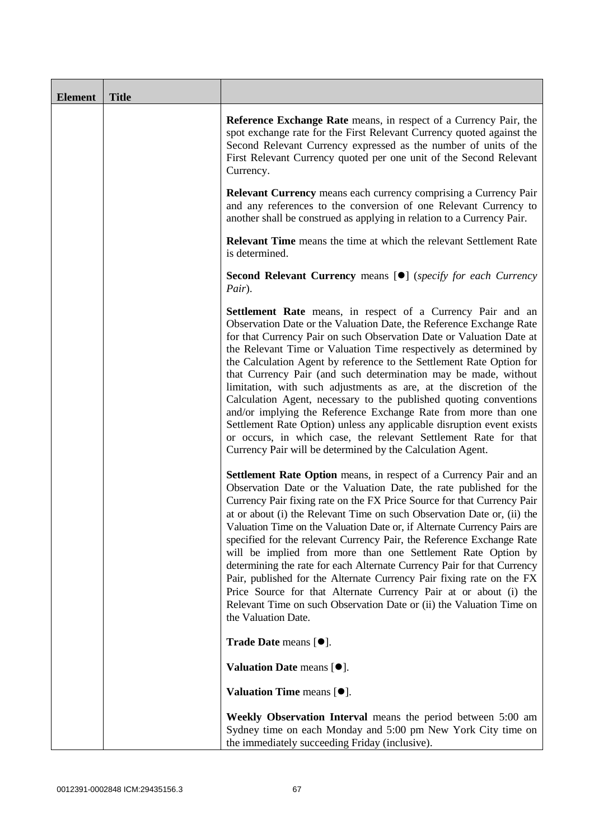| <b>Element</b> | <b>Title</b> |                                                                                                                                                                                                                                                                                                                                                                                                                                                                                                                                                                                                                                                                                                                                                                                                                                                          |
|----------------|--------------|----------------------------------------------------------------------------------------------------------------------------------------------------------------------------------------------------------------------------------------------------------------------------------------------------------------------------------------------------------------------------------------------------------------------------------------------------------------------------------------------------------------------------------------------------------------------------------------------------------------------------------------------------------------------------------------------------------------------------------------------------------------------------------------------------------------------------------------------------------|
|                |              | Reference Exchange Rate means, in respect of a Currency Pair, the<br>spot exchange rate for the First Relevant Currency quoted against the<br>Second Relevant Currency expressed as the number of units of the<br>First Relevant Currency quoted per one unit of the Second Relevant<br>Currency.                                                                                                                                                                                                                                                                                                                                                                                                                                                                                                                                                        |
|                |              | <b>Relevant Currency</b> means each currency comprising a Currency Pair<br>and any references to the conversion of one Relevant Currency to<br>another shall be construed as applying in relation to a Currency Pair.                                                                                                                                                                                                                                                                                                                                                                                                                                                                                                                                                                                                                                    |
|                |              | <b>Relevant Time</b> means the time at which the relevant Settlement Rate<br>is determined.                                                                                                                                                                                                                                                                                                                                                                                                                                                                                                                                                                                                                                                                                                                                                              |
|                |              | Second Relevant Currency means [ <sup>•</sup> ] (specify for each Currency<br>Pair).                                                                                                                                                                                                                                                                                                                                                                                                                                                                                                                                                                                                                                                                                                                                                                     |
|                |              | <b>Settlement Rate</b> means, in respect of a Currency Pair and an<br>Observation Date or the Valuation Date, the Reference Exchange Rate<br>for that Currency Pair on such Observation Date or Valuation Date at<br>the Relevant Time or Valuation Time respectively as determined by<br>the Calculation Agent by reference to the Settlement Rate Option for<br>that Currency Pair (and such determination may be made, without<br>limitation, with such adjustments as are, at the discretion of the<br>Calculation Agent, necessary to the published quoting conventions<br>and/or implying the Reference Exchange Rate from more than one<br>Settlement Rate Option) unless any applicable disruption event exists<br>or occurs, in which case, the relevant Settlement Rate for that<br>Currency Pair will be determined by the Calculation Agent. |
|                |              | <b>Settlement Rate Option</b> means, in respect of a Currency Pair and an<br>Observation Date or the Valuation Date, the rate published for the<br>Currency Pair fixing rate on the FX Price Source for that Currency Pair<br>at or about (i) the Relevant Time on such Observation Date or, (ii) the<br>Valuation Time on the Valuation Date or, if Alternate Currency Pairs are<br>specified for the relevant Currency Pair, the Reference Exchange Rate<br>will be implied from more than one Settlement Rate Option by<br>determining the rate for each Alternate Currency Pair for that Currency<br>Pair, published for the Alternate Currency Pair fixing rate on the FX<br>Price Source for that Alternate Currency Pair at or about (i) the<br>Relevant Time on such Observation Date or (ii) the Valuation Time on<br>the Valuation Date.       |
|                |              | Trade Date means [ $\bullet$ ].                                                                                                                                                                                                                                                                                                                                                                                                                                                                                                                                                                                                                                                                                                                                                                                                                          |
|                |              | Valuation Date means $[•]$ .                                                                                                                                                                                                                                                                                                                                                                                                                                                                                                                                                                                                                                                                                                                                                                                                                             |
|                |              | Valuation Time means $[•]$ .                                                                                                                                                                                                                                                                                                                                                                                                                                                                                                                                                                                                                                                                                                                                                                                                                             |
|                |              | Weekly Observation Interval means the period between 5:00 am<br>Sydney time on each Monday and 5:00 pm New York City time on<br>the immediately succeeding Friday (inclusive).                                                                                                                                                                                                                                                                                                                                                                                                                                                                                                                                                                                                                                                                           |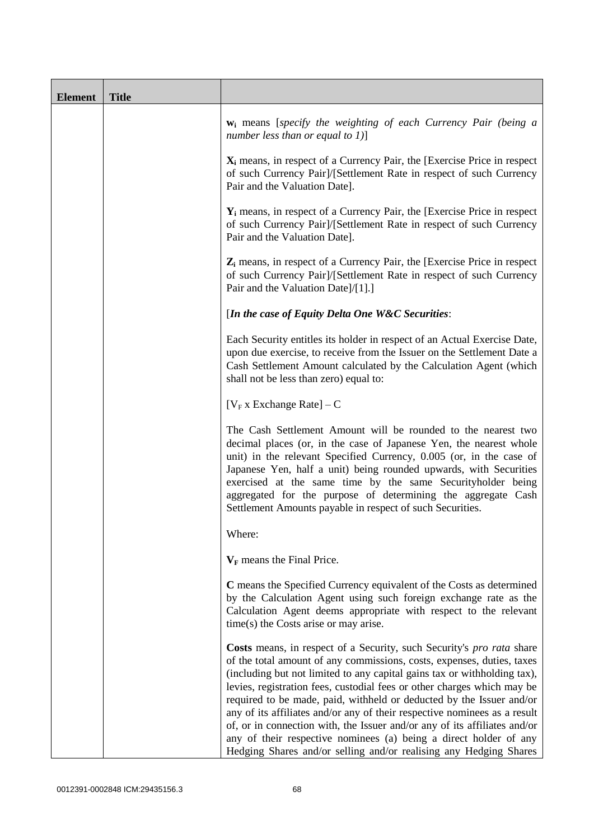| <b>Element</b> | <b>Title</b> |                                                                                                                                                                                                                                                                                                                                                                                                                                                                                                                                                                                                                                                                                    |  |
|----------------|--------------|------------------------------------------------------------------------------------------------------------------------------------------------------------------------------------------------------------------------------------------------------------------------------------------------------------------------------------------------------------------------------------------------------------------------------------------------------------------------------------------------------------------------------------------------------------------------------------------------------------------------------------------------------------------------------------|--|
|                |              | $w_i$ means [specify the weighting of each Currency Pair (being a<br>number less than or equal to 1)]                                                                                                                                                                                                                                                                                                                                                                                                                                                                                                                                                                              |  |
|                |              | $X_i$ means, in respect of a Currency Pair, the [Exercise Price in respect]<br>of such Currency Pair]/[Settlement Rate in respect of such Currency<br>Pair and the Valuation Date].                                                                                                                                                                                                                                                                                                                                                                                                                                                                                                |  |
|                |              | $Y_i$ means, in respect of a Currency Pair, the [Exercise Price in respect]<br>of such Currency Pair]/[Settlement Rate in respect of such Currency<br>Pair and the Valuation Date].                                                                                                                                                                                                                                                                                                                                                                                                                                                                                                |  |
|                |              | $Z_i$ means, in respect of a Currency Pair, the [Exercise Price in respect<br>of such Currency Pair]/[Settlement Rate in respect of such Currency<br>Pair and the Valuation Date]/[1].]                                                                                                                                                                                                                                                                                                                                                                                                                                                                                            |  |
|                |              | [In the case of Equity Delta One W&C Securities:                                                                                                                                                                                                                                                                                                                                                                                                                                                                                                                                                                                                                                   |  |
|                |              | Each Security entitles its holder in respect of an Actual Exercise Date,<br>upon due exercise, to receive from the Issuer on the Settlement Date a<br>Cash Settlement Amount calculated by the Calculation Agent (which<br>shall not be less than zero) equal to:                                                                                                                                                                                                                                                                                                                                                                                                                  |  |
|                |              | [ $V_F$ x Exchange Rate] – C                                                                                                                                                                                                                                                                                                                                                                                                                                                                                                                                                                                                                                                       |  |
|                |              | The Cash Settlement Amount will be rounded to the nearest two<br>decimal places (or, in the case of Japanese Yen, the nearest whole<br>unit) in the relevant Specified Currency, 0.005 (or, in the case of<br>Japanese Yen, half a unit) being rounded upwards, with Securities<br>exercised at the same time by the same Securityholder being<br>aggregated for the purpose of determining the aggregate Cash<br>Settlement Amounts payable in respect of such Securities.                                                                                                                                                                                                        |  |
|                |              | Where:                                                                                                                                                                                                                                                                                                                                                                                                                                                                                                                                                                                                                                                                             |  |
|                |              | $V_F$ means the Final Price.                                                                                                                                                                                                                                                                                                                                                                                                                                                                                                                                                                                                                                                       |  |
|                |              | C means the Specified Currency equivalent of the Costs as determined<br>by the Calculation Agent using such foreign exchange rate as the<br>Calculation Agent deems appropriate with respect to the relevant<br>$time(s)$ the Costs arise or may arise.                                                                                                                                                                                                                                                                                                                                                                                                                            |  |
|                |              | Costs means, in respect of a Security, such Security's pro rata share<br>of the total amount of any commissions, costs, expenses, duties, taxes<br>(including but not limited to any capital gains tax or withholding tax),<br>levies, registration fees, custodial fees or other charges which may be<br>required to be made, paid, withheld or deducted by the Issuer and/or<br>any of its affiliates and/or any of their respective nominees as a result<br>of, or in connection with, the Issuer and/or any of its affiliates and/or<br>any of their respective nominees (a) being a direct holder of any<br>Hedging Shares and/or selling and/or realising any Hedging Shares |  |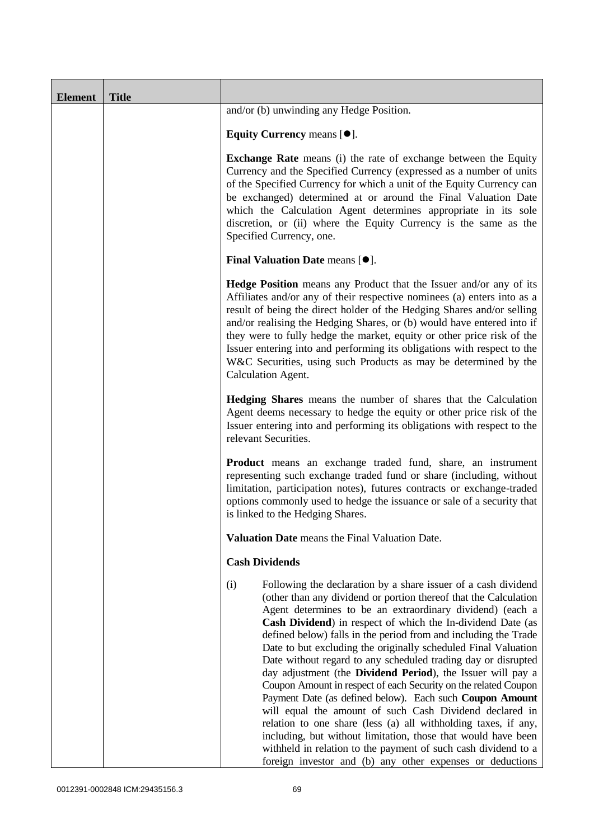| <b>Element</b> | <b>Title</b> |                                                                                                                                                                                                                                                                                                                                                                                                                                                                                                                                                                                                                                                                                                                                                                                                                                                                                                                                                                                                        |
|----------------|--------------|--------------------------------------------------------------------------------------------------------------------------------------------------------------------------------------------------------------------------------------------------------------------------------------------------------------------------------------------------------------------------------------------------------------------------------------------------------------------------------------------------------------------------------------------------------------------------------------------------------------------------------------------------------------------------------------------------------------------------------------------------------------------------------------------------------------------------------------------------------------------------------------------------------------------------------------------------------------------------------------------------------|
|                |              | and/or (b) unwinding any Hedge Position.                                                                                                                                                                                                                                                                                                                                                                                                                                                                                                                                                                                                                                                                                                                                                                                                                                                                                                                                                               |
|                |              | Equity Currency means $[\bullet].$                                                                                                                                                                                                                                                                                                                                                                                                                                                                                                                                                                                                                                                                                                                                                                                                                                                                                                                                                                     |
|                |              | <b>Exchange Rate</b> means (i) the rate of exchange between the Equity<br>Currency and the Specified Currency (expressed as a number of units<br>of the Specified Currency for which a unit of the Equity Currency can<br>be exchanged) determined at or around the Final Valuation Date<br>which the Calculation Agent determines appropriate in its sole<br>discretion, or (ii) where the Equity Currency is the same as the<br>Specified Currency, one.                                                                                                                                                                                                                                                                                                                                                                                                                                                                                                                                             |
|                |              | <b>Final Valuation Date means <math>[•]</math>.</b>                                                                                                                                                                                                                                                                                                                                                                                                                                                                                                                                                                                                                                                                                                                                                                                                                                                                                                                                                    |
|                |              | <b>Hedge Position</b> means any Product that the Issuer and/or any of its<br>Affiliates and/or any of their respective nominees (a) enters into as a<br>result of being the direct holder of the Hedging Shares and/or selling<br>and/or realising the Hedging Shares, or (b) would have entered into if<br>they were to fully hedge the market, equity or other price risk of the<br>Issuer entering into and performing its obligations with respect to the<br>W&C Securities, using such Products as may be determined by the<br>Calculation Agent.                                                                                                                                                                                                                                                                                                                                                                                                                                                 |
|                |              | Hedging Shares means the number of shares that the Calculation<br>Agent deems necessary to hedge the equity or other price risk of the<br>Issuer entering into and performing its obligations with respect to the<br>relevant Securities.                                                                                                                                                                                                                                                                                                                                                                                                                                                                                                                                                                                                                                                                                                                                                              |
|                |              | <b>Product</b> means an exchange traded fund, share, an instrument<br>representing such exchange traded fund or share (including, without<br>limitation, participation notes), futures contracts or exchange-traded<br>options commonly used to hedge the issuance or sale of a security that<br>is linked to the Hedging Shares.                                                                                                                                                                                                                                                                                                                                                                                                                                                                                                                                                                                                                                                                      |
|                |              | Valuation Date means the Final Valuation Date.                                                                                                                                                                                                                                                                                                                                                                                                                                                                                                                                                                                                                                                                                                                                                                                                                                                                                                                                                         |
|                |              | <b>Cash Dividends</b>                                                                                                                                                                                                                                                                                                                                                                                                                                                                                                                                                                                                                                                                                                                                                                                                                                                                                                                                                                                  |
|                |              | (i)<br>Following the declaration by a share issuer of a cash dividend<br>(other than any dividend or portion thereof that the Calculation<br>Agent determines to be an extraordinary dividend) (each a<br>Cash Dividend) in respect of which the In-dividend Date (as<br>defined below) falls in the period from and including the Trade<br>Date to but excluding the originally scheduled Final Valuation<br>Date without regard to any scheduled trading day or disrupted<br>day adjustment (the Dividend Period), the Issuer will pay a<br>Coupon Amount in respect of each Security on the related Coupon<br>Payment Date (as defined below). Each such Coupon Amount<br>will equal the amount of such Cash Dividend declared in<br>relation to one share (less (a) all withholding taxes, if any,<br>including, but without limitation, those that would have been<br>withheld in relation to the payment of such cash dividend to a<br>foreign investor and (b) any other expenses or deductions |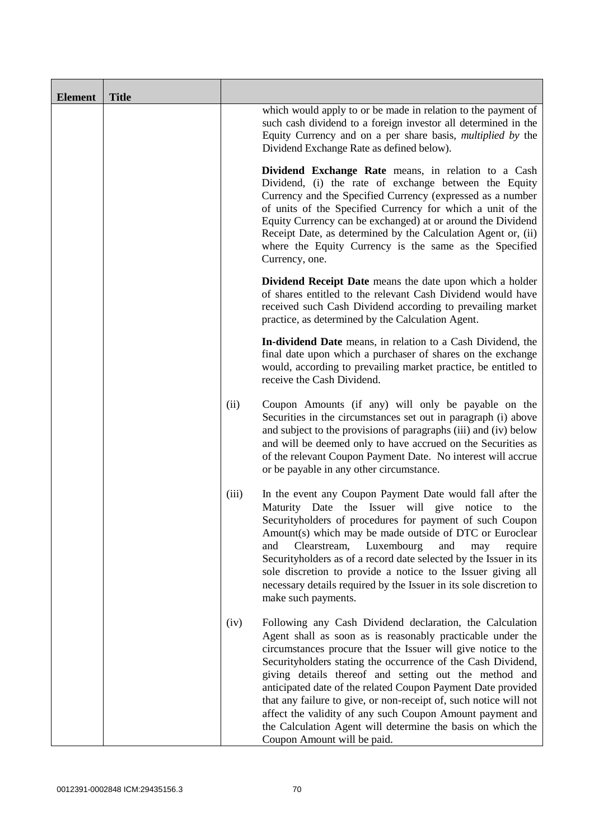| <b>Element</b> | <b>Title</b> |       |                                                                                                                                                                                                                                                                                                                                                                                                                                                                                                                                                                                                                  |
|----------------|--------------|-------|------------------------------------------------------------------------------------------------------------------------------------------------------------------------------------------------------------------------------------------------------------------------------------------------------------------------------------------------------------------------------------------------------------------------------------------------------------------------------------------------------------------------------------------------------------------------------------------------------------------|
|                |              |       | which would apply to or be made in relation to the payment of<br>such cash dividend to a foreign investor all determined in the<br>Equity Currency and on a per share basis, <i>multiplied by</i> the<br>Dividend Exchange Rate as defined below).                                                                                                                                                                                                                                                                                                                                                               |
|                |              |       | Dividend Exchange Rate means, in relation to a Cash<br>Dividend, (i) the rate of exchange between the Equity<br>Currency and the Specified Currency (expressed as a number<br>of units of the Specified Currency for which a unit of the<br>Equity Currency can be exchanged) at or around the Dividend<br>Receipt Date, as determined by the Calculation Agent or, (ii)<br>where the Equity Currency is the same as the Specified<br>Currency, one.                                                                                                                                                             |
|                |              |       | Dividend Receipt Date means the date upon which a holder<br>of shares entitled to the relevant Cash Dividend would have<br>received such Cash Dividend according to prevailing market<br>practice, as determined by the Calculation Agent.                                                                                                                                                                                                                                                                                                                                                                       |
|                |              |       | In-dividend Date means, in relation to a Cash Dividend, the<br>final date upon which a purchaser of shares on the exchange<br>would, according to prevailing market practice, be entitled to<br>receive the Cash Dividend.                                                                                                                                                                                                                                                                                                                                                                                       |
|                |              | (ii)  | Coupon Amounts (if any) will only be payable on the<br>Securities in the circumstances set out in paragraph (i) above<br>and subject to the provisions of paragraphs (iii) and (iv) below<br>and will be deemed only to have accrued on the Securities as<br>of the relevant Coupon Payment Date. No interest will accrue<br>or be payable in any other circumstance.                                                                                                                                                                                                                                            |
|                |              | (iii) | In the event any Coupon Payment Date would fall after the<br>Maturity Date the Issuer will give notice to<br>the<br>Securityholders of procedures for payment of such Coupon<br>Amount(s) which may be made outside of DTC or Euroclear<br>Clearstream,<br>Luxembourg<br>and<br>and<br>may<br>require<br>Securityholders as of a record date selected by the Issuer in its<br>sole discretion to provide a notice to the Issuer giving all<br>necessary details required by the Issuer in its sole discretion to<br>make such payments.                                                                          |
|                |              | (iv)  | Following any Cash Dividend declaration, the Calculation<br>Agent shall as soon as is reasonably practicable under the<br>circumstances procure that the Issuer will give notice to the<br>Securityholders stating the occurrence of the Cash Dividend,<br>giving details thereof and setting out the method and<br>anticipated date of the related Coupon Payment Date provided<br>that any failure to give, or non-receipt of, such notice will not<br>affect the validity of any such Coupon Amount payment and<br>the Calculation Agent will determine the basis on which the<br>Coupon Amount will be paid. |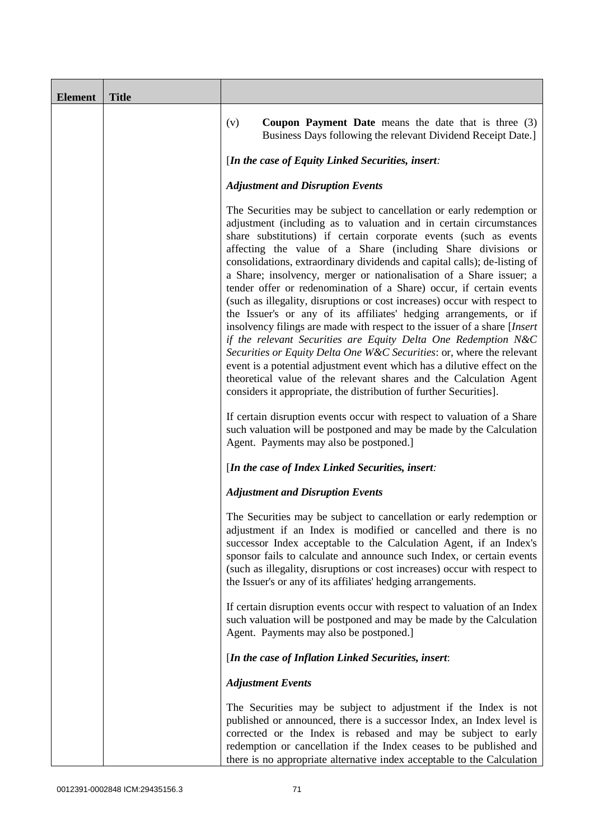| <b>Element</b> | <b>Title</b> |                                                                                                                                                                                                                                                                                                                                                                                                                                                                                                                                                                                                                                                                                                                                                                                                                                                                                                                                                                                                                                                                                                                                                                                          |
|----------------|--------------|------------------------------------------------------------------------------------------------------------------------------------------------------------------------------------------------------------------------------------------------------------------------------------------------------------------------------------------------------------------------------------------------------------------------------------------------------------------------------------------------------------------------------------------------------------------------------------------------------------------------------------------------------------------------------------------------------------------------------------------------------------------------------------------------------------------------------------------------------------------------------------------------------------------------------------------------------------------------------------------------------------------------------------------------------------------------------------------------------------------------------------------------------------------------------------------|
|                |              | (v)<br><b>Coupon Payment Date</b> means the date that is three $(3)$<br>Business Days following the relevant Dividend Receipt Date.]                                                                                                                                                                                                                                                                                                                                                                                                                                                                                                                                                                                                                                                                                                                                                                                                                                                                                                                                                                                                                                                     |
|                |              | [In the case of Equity Linked Securities, insert:                                                                                                                                                                                                                                                                                                                                                                                                                                                                                                                                                                                                                                                                                                                                                                                                                                                                                                                                                                                                                                                                                                                                        |
|                |              | <b>Adjustment and Disruption Events</b>                                                                                                                                                                                                                                                                                                                                                                                                                                                                                                                                                                                                                                                                                                                                                                                                                                                                                                                                                                                                                                                                                                                                                  |
|                |              | The Securities may be subject to cancellation or early redemption or<br>adjustment (including as to valuation and in certain circumstances<br>share substitutions) if certain corporate events (such as events<br>affecting the value of a Share (including Share divisions or<br>consolidations, extraordinary dividends and capital calls); de-listing of<br>a Share; insolvency, merger or nationalisation of a Share issuer; a<br>tender offer or redenomination of a Share) occur, if certain events<br>(such as illegality, disruptions or cost increases) occur with respect to<br>the Issuer's or any of its affiliates' hedging arrangements, or if<br>insolvency filings are made with respect to the issuer of a share [Insert]<br>if the relevant Securities are Equity Delta One Redemption N&C<br>Securities or Equity Delta One W&C Securities: or, where the relevant<br>event is a potential adjustment event which has a dilutive effect on the<br>theoretical value of the relevant shares and the Calculation Agent<br>considers it appropriate, the distribution of further Securities].<br>If certain disruption events occur with respect to valuation of a Share |
|                |              | such valuation will be postponed and may be made by the Calculation<br>Agent. Payments may also be postponed.]                                                                                                                                                                                                                                                                                                                                                                                                                                                                                                                                                                                                                                                                                                                                                                                                                                                                                                                                                                                                                                                                           |
|                |              | [In the case of Index Linked Securities, insert:                                                                                                                                                                                                                                                                                                                                                                                                                                                                                                                                                                                                                                                                                                                                                                                                                                                                                                                                                                                                                                                                                                                                         |
|                |              | <b>Adjustment and Disruption Events</b>                                                                                                                                                                                                                                                                                                                                                                                                                                                                                                                                                                                                                                                                                                                                                                                                                                                                                                                                                                                                                                                                                                                                                  |
|                |              | The Securities may be subject to cancellation or early redemption or<br>adjustment if an Index is modified or cancelled and there is no<br>successor Index acceptable to the Calculation Agent, if an Index's<br>sponsor fails to calculate and announce such Index, or certain events<br>(such as illegality, disruptions or cost increases) occur with respect to<br>the Issuer's or any of its affiliates' hedging arrangements.                                                                                                                                                                                                                                                                                                                                                                                                                                                                                                                                                                                                                                                                                                                                                      |
|                |              | If certain disruption events occur with respect to valuation of an Index<br>such valuation will be postponed and may be made by the Calculation<br>Agent. Payments may also be postponed.]                                                                                                                                                                                                                                                                                                                                                                                                                                                                                                                                                                                                                                                                                                                                                                                                                                                                                                                                                                                               |
|                |              | [In the case of Inflation Linked Securities, insert:                                                                                                                                                                                                                                                                                                                                                                                                                                                                                                                                                                                                                                                                                                                                                                                                                                                                                                                                                                                                                                                                                                                                     |
|                |              | <b>Adjustment Events</b>                                                                                                                                                                                                                                                                                                                                                                                                                                                                                                                                                                                                                                                                                                                                                                                                                                                                                                                                                                                                                                                                                                                                                                 |
|                |              | The Securities may be subject to adjustment if the Index is not<br>published or announced, there is a successor Index, an Index level is<br>corrected or the Index is rebased and may be subject to early<br>redemption or cancellation if the Index ceases to be published and<br>there is no appropriate alternative index acceptable to the Calculation                                                                                                                                                                                                                                                                                                                                                                                                                                                                                                                                                                                                                                                                                                                                                                                                                               |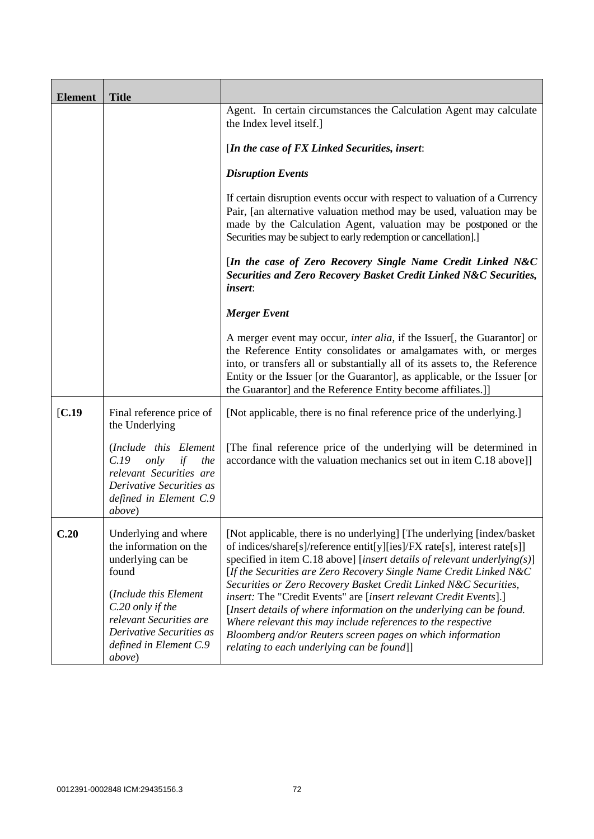| <b>Element</b>    | <b>Title</b>                                                                                                                                                                                                         |                                                                                                                                                                                                                                                                                                                                                                                                                                                                                                                                                                                                                                                                                                        |
|-------------------|----------------------------------------------------------------------------------------------------------------------------------------------------------------------------------------------------------------------|--------------------------------------------------------------------------------------------------------------------------------------------------------------------------------------------------------------------------------------------------------------------------------------------------------------------------------------------------------------------------------------------------------------------------------------------------------------------------------------------------------------------------------------------------------------------------------------------------------------------------------------------------------------------------------------------------------|
|                   |                                                                                                                                                                                                                      | Agent. In certain circumstances the Calculation Agent may calculate<br>the Index level itself.]                                                                                                                                                                                                                                                                                                                                                                                                                                                                                                                                                                                                        |
|                   |                                                                                                                                                                                                                      | [In the case of $FX$ Linked Securities, insert:                                                                                                                                                                                                                                                                                                                                                                                                                                                                                                                                                                                                                                                        |
|                   |                                                                                                                                                                                                                      | <b>Disruption Events</b>                                                                                                                                                                                                                                                                                                                                                                                                                                                                                                                                                                                                                                                                               |
|                   |                                                                                                                                                                                                                      | If certain disruption events occur with respect to valuation of a Currency<br>Pair, [an alternative valuation method may be used, valuation may be<br>made by the Calculation Agent, valuation may be postponed or the<br>Securities may be subject to early redemption or cancellation].]                                                                                                                                                                                                                                                                                                                                                                                                             |
|                   |                                                                                                                                                                                                                      | [In the case of Zero Recovery Single Name Credit Linked N&C<br>Securities and Zero Recovery Basket Credit Linked N&C Securities,<br><i>insert:</i>                                                                                                                                                                                                                                                                                                                                                                                                                                                                                                                                                     |
|                   |                                                                                                                                                                                                                      | <b>Merger Event</b>                                                                                                                                                                                                                                                                                                                                                                                                                                                                                                                                                                                                                                                                                    |
|                   |                                                                                                                                                                                                                      | A merger event may occur, <i>inter alia</i> , if the Issuer[, the Guarantor] or<br>the Reference Entity consolidates or amalgamates with, or merges<br>into, or transfers all or substantially all of its assets to, the Reference<br>Entity or the Issuer [or the Guarantor], as applicable, or the Issuer [or<br>the Guarantor] and the Reference Entity become affiliates.]]                                                                                                                                                                                                                                                                                                                        |
| $\mathbf{[C.19]}$ | Final reference price of<br>the Underlying                                                                                                                                                                           | [Not applicable, there is no final reference price of the underlying.]                                                                                                                                                                                                                                                                                                                                                                                                                                                                                                                                                                                                                                 |
|                   | (Include this Element<br>C.19<br>only<br>if<br>the<br>relevant Securities are<br>Derivative Securities as<br>defined in Element C.9<br><i>above</i> )                                                                | [The final reference price of the underlying will be determined in<br>accordance with the valuation mechanics set out in item C.18 above]]                                                                                                                                                                                                                                                                                                                                                                                                                                                                                                                                                             |
| C.20              | Underlying and where<br>the information on the<br>underlying can be<br>found<br>(Include this Element<br>C.20 only if the<br>relevant Securities are<br>Derivative Securities as<br>defined in Element C.9<br>above) | [Not applicable, there is no underlying] [The underlying [index/basket<br>of indices/share[s]/reference entit[y][ies]/FX rate[s], interest rate[s]]<br>specified in item C.18 above] [insert details of relevant underlying $(s)$ ]<br>[If the Securities are Zero Recovery Single Name Credit Linked N&C<br>Securities or Zero Recovery Basket Credit Linked N&C Securities,<br>insert: The "Credit Events" are [insert relevant Credit Events].]<br>[Insert details of where information on the underlying can be found.<br>Where relevant this may include references to the respective<br>Bloomberg and/or Reuters screen pages on which information<br>relating to each underlying can be found]] |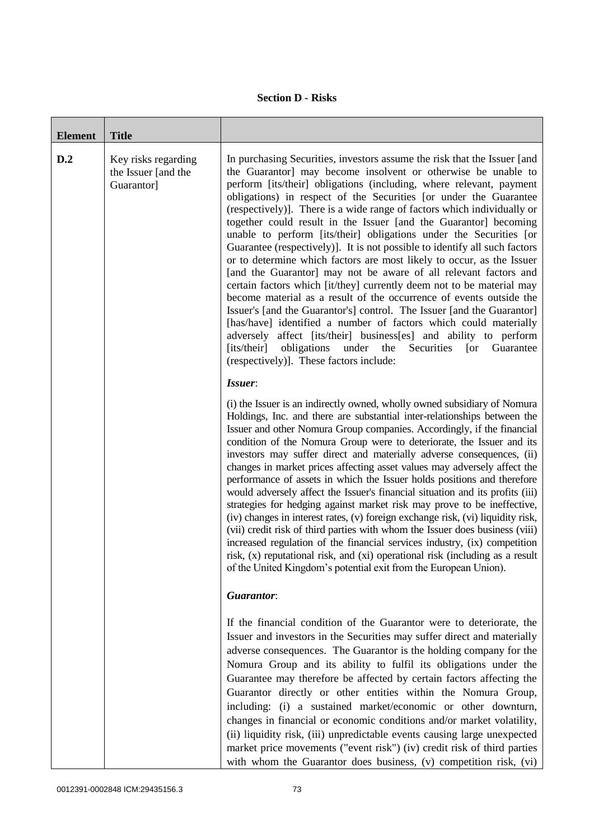## **Section D - Risks**

| <b>Element</b> | <b>Title</b>                                             |                                                                                                                                                                                                                                                                                                                                                                                                                                                                                                                                                                                                                                                                                                                                                                                                                                                                                                                                                                                                                                                                                                                                                                                                                                            |
|----------------|----------------------------------------------------------|--------------------------------------------------------------------------------------------------------------------------------------------------------------------------------------------------------------------------------------------------------------------------------------------------------------------------------------------------------------------------------------------------------------------------------------------------------------------------------------------------------------------------------------------------------------------------------------------------------------------------------------------------------------------------------------------------------------------------------------------------------------------------------------------------------------------------------------------------------------------------------------------------------------------------------------------------------------------------------------------------------------------------------------------------------------------------------------------------------------------------------------------------------------------------------------------------------------------------------------------|
| D.2            | Key risks regarding<br>the Issuer [and the<br>Guarantor] | In purchasing Securities, investors assume the risk that the Issuer [and<br>the Guarantor] may become insolvent or otherwise be unable to<br>perform [its/their] obligations (including, where relevant, payment<br>obligations) in respect of the Securities [or under the Guarantee<br>(respectively)]. There is a wide range of factors which individually or<br>together could result in the Issuer [and the Guarantor] becoming<br>unable to perform [its/their] obligations under the Securities [or<br>Guarantee (respectively)]. It is not possible to identify all such factors<br>or to determine which factors are most likely to occur, as the Issuer<br>[and the Guarantor] may not be aware of all relevant factors and<br>certain factors which [it/they] currently deem not to be material may<br>become material as a result of the occurrence of events outside the<br>Issuer's [and the Guarantor's] control. The Issuer [and the Guarantor]<br>[has/have] identified a number of factors which could materially<br>adversely affect [its/their] business[es] and ability to perform<br>obligations<br>under<br>the<br>[its/their]<br>Securities<br>$\lceil$ or<br>Guarantee<br>(respectively)]. These factors include: |
|                |                                                          | Issuer:<br>(i) the Issuer is an indirectly owned, wholly owned subsidiary of Nomura<br>Holdings, Inc. and there are substantial inter-relationships between the<br>Issuer and other Nomura Group companies. Accordingly, if the financial<br>condition of the Nomura Group were to deteriorate, the Issuer and its<br>investors may suffer direct and materially adverse consequences, (ii)<br>changes in market prices affecting asset values may adversely affect the<br>performance of assets in which the Issuer holds positions and therefore<br>would adversely affect the Issuer's financial situation and its profits (iii)<br>strategies for hedging against market risk may prove to be ineffective,<br>(iv) changes in interest rates, (v) foreign exchange risk, (vi) liquidity risk,<br>(vii) credit risk of third parties with whom the Issuer does business (viii)<br>increased regulation of the financial services industry, (ix) competition<br>risk, (x) reputational risk, and (xi) operational risk (including as a result<br>of the United Kingdom's potential exit from the European Union).                                                                                                                        |
|                |                                                          | <b>Guarantor:</b>                                                                                                                                                                                                                                                                                                                                                                                                                                                                                                                                                                                                                                                                                                                                                                                                                                                                                                                                                                                                                                                                                                                                                                                                                          |
|                |                                                          | If the financial condition of the Guarantor were to deteriorate, the<br>Issuer and investors in the Securities may suffer direct and materially<br>adverse consequences. The Guarantor is the holding company for the<br>Nomura Group and its ability to fulfil its obligations under the<br>Guarantee may therefore be affected by certain factors affecting the<br>Guarantor directly or other entities within the Nomura Group,<br>including: (i) a sustained market/economic or other downturn,<br>changes in financial or economic conditions and/or market volatility,<br>(ii) liquidity risk, (iii) unpredictable events causing large unexpected<br>market price movements ("event risk") (iv) credit risk of third parties<br>with whom the Guarantor does business, (v) competition risk, (vi)                                                                                                                                                                                                                                                                                                                                                                                                                                   |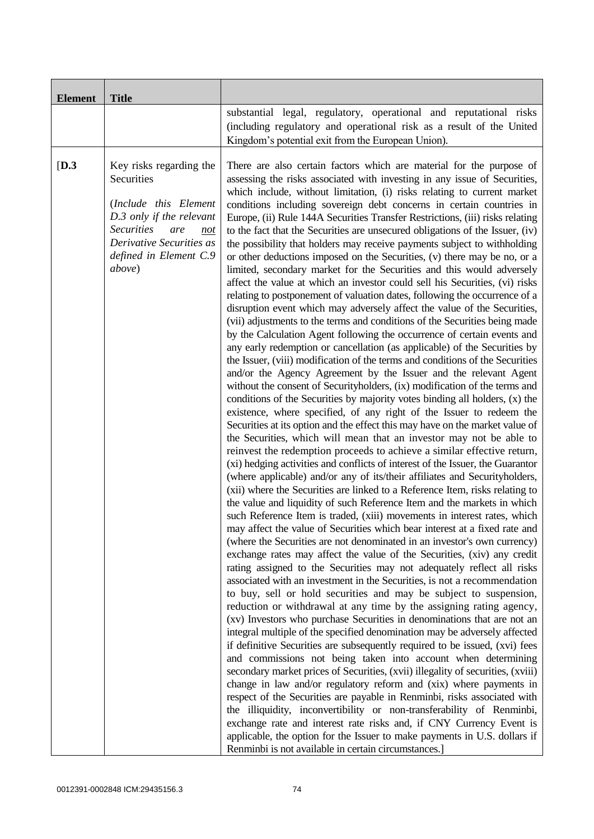| <b>Element</b> | <b>Title</b>                                                                                                                                                                                  |                                                                                                                                                                                                                                                                                                                                                                                                                                                                                                                                                                                                                                                                                                                                                                                                                                                                                                                                                                                                                                                                                                                                                                                                                                                                                                                                                                                                                                                                                                                                                                                                                                                                                                                                                                                                                                                                                                                                                                                                                                                                                                                                                                                                                                                                                                                                                                                                                                                                                                                                                                                                                                                                                                                                                                                                                                                                                                                                                                                                                                                                                                                                                                                                                                                                                                                                                                                                                                                                                                                                                                                                    |
|----------------|-----------------------------------------------------------------------------------------------------------------------------------------------------------------------------------------------|----------------------------------------------------------------------------------------------------------------------------------------------------------------------------------------------------------------------------------------------------------------------------------------------------------------------------------------------------------------------------------------------------------------------------------------------------------------------------------------------------------------------------------------------------------------------------------------------------------------------------------------------------------------------------------------------------------------------------------------------------------------------------------------------------------------------------------------------------------------------------------------------------------------------------------------------------------------------------------------------------------------------------------------------------------------------------------------------------------------------------------------------------------------------------------------------------------------------------------------------------------------------------------------------------------------------------------------------------------------------------------------------------------------------------------------------------------------------------------------------------------------------------------------------------------------------------------------------------------------------------------------------------------------------------------------------------------------------------------------------------------------------------------------------------------------------------------------------------------------------------------------------------------------------------------------------------------------------------------------------------------------------------------------------------------------------------------------------------------------------------------------------------------------------------------------------------------------------------------------------------------------------------------------------------------------------------------------------------------------------------------------------------------------------------------------------------------------------------------------------------------------------------------------------------------------------------------------------------------------------------------------------------------------------------------------------------------------------------------------------------------------------------------------------------------------------------------------------------------------------------------------------------------------------------------------------------------------------------------------------------------------------------------------------------------------------------------------------------------------------------------------------------------------------------------------------------------------------------------------------------------------------------------------------------------------------------------------------------------------------------------------------------------------------------------------------------------------------------------------------------------------------------------------------------------------------------------------------------|
|                |                                                                                                                                                                                               | substantial legal, regulatory, operational and reputational risks<br>(including regulatory and operational risk as a result of the United<br>Kingdom's potential exit from the European Union).                                                                                                                                                                                                                                                                                                                                                                                                                                                                                                                                                                                                                                                                                                                                                                                                                                                                                                                                                                                                                                                                                                                                                                                                                                                                                                                                                                                                                                                                                                                                                                                                                                                                                                                                                                                                                                                                                                                                                                                                                                                                                                                                                                                                                                                                                                                                                                                                                                                                                                                                                                                                                                                                                                                                                                                                                                                                                                                                                                                                                                                                                                                                                                                                                                                                                                                                                                                                    |
| [D.3]          | Key risks regarding the<br>Securities<br>(Include this Element<br>D.3 only if the relevant<br><b>Securities</b><br>are<br>not<br>Derivative Securities as<br>defined in Element C.9<br>above) | There are also certain factors which are material for the purpose of<br>assessing the risks associated with investing in any issue of Securities,<br>which include, without limitation, (i) risks relating to current market<br>conditions including sovereign debt concerns in certain countries in<br>Europe, (ii) Rule 144A Securities Transfer Restrictions, (iii) risks relating<br>to the fact that the Securities are unsecured obligations of the Issuer, (iv)<br>the possibility that holders may receive payments subject to withholding<br>or other deductions imposed on the Securities, (v) there may be no, or a<br>limited, secondary market for the Securities and this would adversely<br>affect the value at which an investor could sell his Securities, (vi) risks<br>relating to postponement of valuation dates, following the occurrence of a<br>disruption event which may adversely affect the value of the Securities,<br>(vii) adjustments to the terms and conditions of the Securities being made<br>by the Calculation Agent following the occurrence of certain events and<br>any early redemption or cancellation (as applicable) of the Securities by<br>the Issuer, (viii) modification of the terms and conditions of the Securities<br>and/or the Agency Agreement by the Issuer and the relevant Agent<br>without the consent of Securityholders, (ix) modification of the terms and<br>conditions of the Securities by majority votes binding all holders, (x) the<br>existence, where specified, of any right of the Issuer to redeem the<br>Securities at its option and the effect this may have on the market value of<br>the Securities, which will mean that an investor may not be able to<br>reinvest the redemption proceeds to achieve a similar effective return,<br>(xi) hedging activities and conflicts of interest of the Issuer, the Guarantor<br>(where applicable) and/or any of its/their affiliates and Securityholders,<br>(xii) where the Securities are linked to a Reference Item, risks relating to<br>the value and liquidity of such Reference Item and the markets in which<br>such Reference Item is traded, (xiii) movements in interest rates, which<br>may affect the value of Securities which bear interest at a fixed rate and<br>(where the Securities are not denominated in an investor's own currency)<br>exchange rates may affect the value of the Securities, (xiv) any credit<br>rating assigned to the Securities may not adequately reflect all risks<br>associated with an investment in the Securities, is not a recommendation<br>to buy, sell or hold securities and may be subject to suspension,<br>reduction or withdrawal at any time by the assigning rating agency,<br>(xv) Investors who purchase Securities in denominations that are not an<br>integral multiple of the specified denomination may be adversely affected<br>if definitive Securities are subsequently required to be issued, (xvi) fees<br>and commissions not being taken into account when determining<br>secondary market prices of Securities, (xvii) illegality of securities, (xviii)<br>change in law and/or regulatory reform and (xix) where payments in<br>respect of the Securities are payable in Renminbi, risks associated with<br>the illiquidity, inconvertibility or non-transferability of Renminbi,<br>exchange rate and interest rate risks and, if CNY Currency Event is<br>applicable, the option for the Issuer to make payments in U.S. dollars if<br>Renminbi is not available in certain circumstances.] |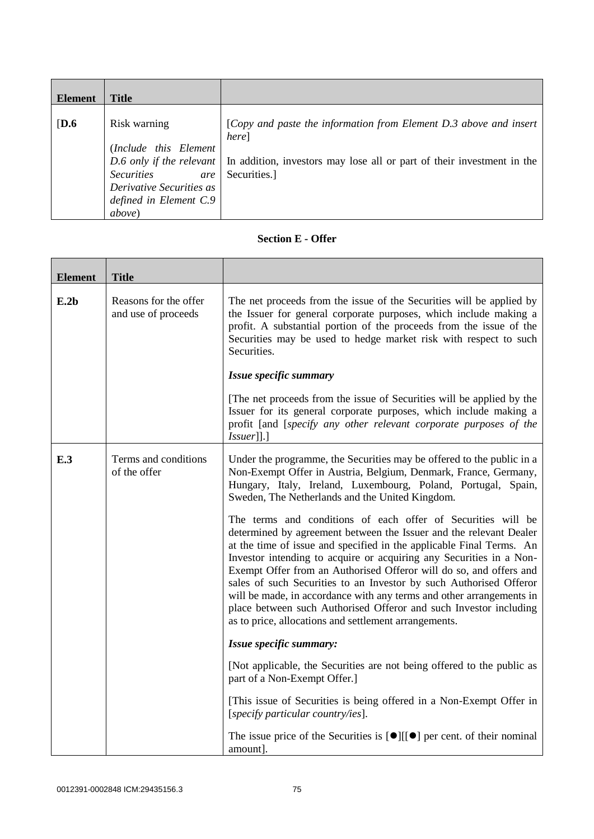| <b>Element</b> | <b>Title</b>                                                                                                                              |                                                                                                                                                                                              |
|----------------|-------------------------------------------------------------------------------------------------------------------------------------------|----------------------------------------------------------------------------------------------------------------------------------------------------------------------------------------------|
| [D.6]          | Risk warning<br>(Include this Element<br><i>Securities</i><br>are<br>Derivative Securities as<br>defined in Element C.9<br><i>above</i> ) | [Copy and paste the information from Element D.3 above and insert<br>here]<br>D.6 only if the relevant In addition, investors may lose all or part of their investment in the<br>Securities. |

## **Section E - Offer**

| <b>Element</b> | <b>Title</b>                                 |                                                                                                                                                                                                                                                                                                                                                                                                                                                                                                                                                                                                                                     |
|----------------|----------------------------------------------|-------------------------------------------------------------------------------------------------------------------------------------------------------------------------------------------------------------------------------------------------------------------------------------------------------------------------------------------------------------------------------------------------------------------------------------------------------------------------------------------------------------------------------------------------------------------------------------------------------------------------------------|
| E.2b           | Reasons for the offer<br>and use of proceeds | The net proceeds from the issue of the Securities will be applied by<br>the Issuer for general corporate purposes, which include making a<br>profit. A substantial portion of the proceeds from the issue of the<br>Securities may be used to hedge market risk with respect to such<br>Securities.                                                                                                                                                                                                                                                                                                                                 |
|                |                                              | Issue specific summary                                                                                                                                                                                                                                                                                                                                                                                                                                                                                                                                                                                                              |
|                |                                              | The net proceeds from the issue of Securities will be applied by the<br>Issuer for its general corporate purposes, which include making a<br>profit [and [specify any other relevant corporate purposes of the<br> Issuer ].]                                                                                                                                                                                                                                                                                                                                                                                                       |
| E.3            | Terms and conditions<br>of the offer         | Under the programme, the Securities may be offered to the public in a<br>Non-Exempt Offer in Austria, Belgium, Denmark, France, Germany,<br>Hungary, Italy, Ireland, Luxembourg, Poland, Portugal, Spain,<br>Sweden, The Netherlands and the United Kingdom.                                                                                                                                                                                                                                                                                                                                                                        |
|                |                                              | The terms and conditions of each offer of Securities will be<br>determined by agreement between the Issuer and the relevant Dealer<br>at the time of issue and specified in the applicable Final Terms. An<br>Investor intending to acquire or acquiring any Securities in a Non-<br>Exempt Offer from an Authorised Offeror will do so, and offers and<br>sales of such Securities to an Investor by such Authorised Offeror<br>will be made, in accordance with any terms and other arrangements in<br>place between such Authorised Offeror and such Investor including<br>as to price, allocations and settlement arrangements. |
|                |                                              | Issue specific summary:                                                                                                                                                                                                                                                                                                                                                                                                                                                                                                                                                                                                             |
|                |                                              | [Not applicable, the Securities are not being offered to the public as<br>part of a Non-Exempt Offer.]                                                                                                                                                                                                                                                                                                                                                                                                                                                                                                                              |
|                |                                              | [This issue of Securities is being offered in a Non-Exempt Offer in<br>[specify particular country/ies].                                                                                                                                                                                                                                                                                                                                                                                                                                                                                                                            |
|                |                                              | The issue price of the Securities is $[\bullet][[\bullet]$ per cent. of their nominal<br>amount].                                                                                                                                                                                                                                                                                                                                                                                                                                                                                                                                   |